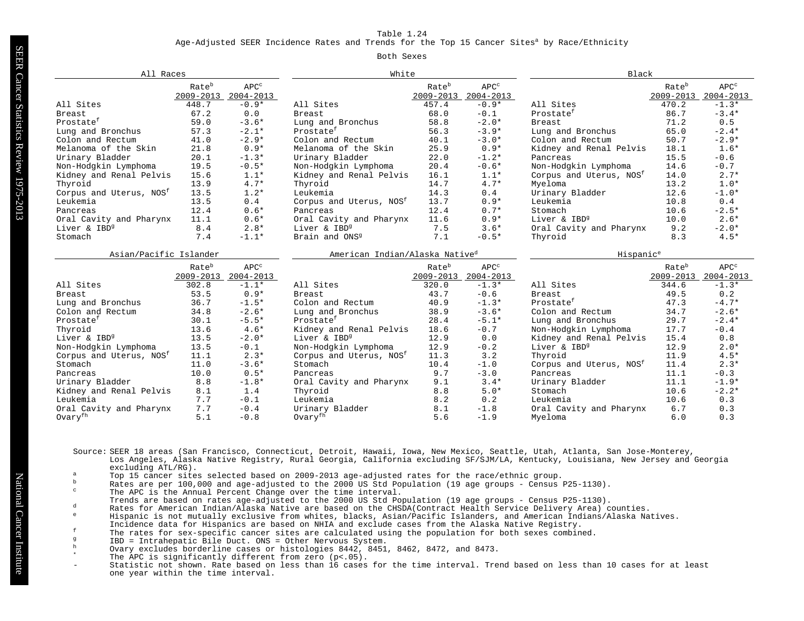Age-Adjusted SEER Incidence Rates and Trends for the Top 15 Cancer Sites<sup>a</sup> by Race/Ethnicity

### Both Sexes

| All Races                           |                                |                      | White                                      | Black                          |                               |                                     |                                |                               |
|-------------------------------------|--------------------------------|----------------------|--------------------------------------------|--------------------------------|-------------------------------|-------------------------------------|--------------------------------|-------------------------------|
|                                     | Rate <sup>b</sup><br>2009-2013 | $APC^c$<br>2004-2013 |                                            | Rate <sup>b</sup><br>2009-2013 | APC <sup>c</sup><br>2004-2013 |                                     | Rate <sup>b</sup><br>2009-2013 | APC <sup>c</sup><br>2004-2013 |
| All Sites                           | 448.7                          | $-0.9*$              | All Sites                                  | 457.4                          | $-0.9*$                       | All Sites                           | 470.2                          | $-1.3*$                       |
| <b>Breast</b>                       | 67.2                           | 0.0                  | <b>Breast</b>                              | 68.0                           | $-0.1$                        | Prostate <sup>f</sup>               | 86.7                           | $-3.4*$                       |
| Prostate <sup>f</sup>               | 59.0                           | $-3.6*$              | Lung and Bronchus                          | 58.8                           | $-2.0*$                       | <b>Breast</b>                       | 71.2                           | 0.5                           |
| Lung and Bronchus                   | 57.3                           | $-2.1*$              | Prostate <sup>f</sup>                      | 56.3                           | $-3.9*$                       | Lung and Bronchus                   | 65.0                           | $-2.4*$                       |
| Colon and Rectum                    | 41.0                           | $-2.9*$              | Colon and Rectum                           | 40.1                           | $-3.0*$                       | Colon and Rectum                    | 50.7                           | $-2.9*$                       |
| Melanoma of the Skin                | 21.8                           | $0.9*$               | Melanoma of the Skin                       | 25.9                           | $0.9*$                        | Kidney and Renal Pelvis             | 18.1                           | $1.6*$                        |
| Urinary Bladder                     | 20.1                           | $-1.3*$              | Urinary Bladder                            | 22.0                           | $-1.2*$                       | Pancreas                            | 15.5                           | $-0.6$                        |
| Non-Hodgkin Lymphoma                | 19.5                           | $-0.5*$              | Non-Hodgkin Lymphoma                       | 20.4                           | $-0.6*$                       | Non-Hodgkin Lymphoma                | 14.6                           | $-0.7$                        |
| Kidney and Renal Pelvis             | 15.6                           | $1.1*$               | Kidney and Renal Pelvis                    | 16.1                           | $1.1*$                        | Corpus and Uterus, NOS <sup>f</sup> | 14.0                           | $2.7*$                        |
| Thyroid                             | 13.9                           | $4.7*$               | Thyroid                                    | 14.7                           | $4.7*$                        | Myeloma                             | 13.2                           | $1.0*$                        |
| Corpus and Uterus, NOS <sup>f</sup> | 13.5                           | $1.2*$               | Leukemia                                   | 14.3                           | 0.4                           | Urinary Bladder                     | 12.6                           | $-1.0*$                       |
| Leukemia                            | 13.5                           | 0.4                  | Corpus and Uterus, NOS <sup>t</sup>        | 13.7                           | $0.9*$                        | Leukemia                            | 10.8                           | 0.4                           |
| Pancreas                            | 12.4                           | $0.6*$               | Pancreas                                   | 12.4                           | $0.7*$                        | Stomach                             | 10.6                           | $-2.5*$                       |
| Oral Cavity and Pharynx             | 11.1                           | $0.6*$               | Oral Cavity and Pharynx                    | 11.6                           | $0.9*$                        | Liver & IBD <sup>9</sup>            | 10.0                           | $2.6*$                        |
| Liver & IBD <sup>9</sup>            | 8.4                            | $2.8*$               | Liver & IBD <sup>9</sup>                   | 7.5                            | $3.6*$                        | Oral Cavity and Pharynx             | 9.2                            | $-2.0*$                       |
| Stomach                             | 7.4                            | $-1.1*$              | Brain and ONS <sup>9</sup>                 | 7.1                            | $-0.5*$                       | Thyroid                             | 8.3                            | $4.5*$                        |
| Asian/Pacific Islander              |                                |                      | American Indian/Alaska Native <sup>d</sup> |                                | Hispanic <sup>e</sup>         |                                     |                                |                               |
|                                     | Rate <sup>b</sup>              | $APC^c$              |                                            | Rate <sup>b</sup>              | $\text{APC}^\circ$            |                                     | Rate <sup>b</sup>              | $\text{APC}^\circ$            |
|                                     |                                | 2009-2013 2004-2013  |                                            | 2009-2013                      | 2004-2013                     |                                     | 2009-2013                      | 2004-2013                     |
| All Sites                           | 302.8                          | $-1.1*$              | All Sites                                  | 320.0                          | $-1.3*$                       | All Sites                           | 344.6                          | $-1.3*$                       |
| <b>Breast</b>                       | 53.5                           | $0.9*$               | <b>Breast</b>                              | 43.7                           | $-0.6$                        | Breast                              | 49.5                           | 0.2                           |
| Lung and Bronchus                   | 36.7                           | $-1.5*$              | Colon and Rectum                           | 40.9                           | $-1.3*$                       | Prostate <sup>f</sup>               | 47.3                           | $-4.7*$                       |
| Colon and Rectum                    | 34.8                           | $-2.6*$              | Lung and Bronchus                          | 38.9                           | $-3.6*$                       | Colon and Rectum                    | 34.7                           | $-2.6*$                       |
| Prostate <sup>f</sup>               | 30.1                           | $-5.5*$              | Prostate <sup>f</sup>                      | 28.4                           | $-5.1*$                       | Lung and Bronchus                   | 29.7                           | $-2.4*$                       |
| Thyroid                             | 13.6                           | $4.6*$               | Kidney and Renal Pelvis                    | 18.6                           | $-0.7$                        | Non-Hodgkin Lymphoma                | 17.7                           | $-0.4$                        |
| Liver & IBD <sup>9</sup>            | 13.5                           | $-2.0*$              | Liver & IBD <sup>9</sup>                   | 12.9                           | 0.0                           | Kidney and Renal Pelvis             | 15.4                           | 0.8                           |
| Non-Hodgkin Lymphoma                | 13.5                           | $-0.1$               | Non-Hodgkin Lymphoma                       | 12.9                           | $-0.2$                        | Liver & IBD <sup>9</sup>            | 12.9                           | $2.0*$                        |
| Corpus and Uterus, NOS <sup>f</sup> | 11.1                           | $2.3*$               | Corpus and Uterus, NOS <sup>f</sup>        | 11.3                           | 3.2                           | Thyroid                             | 11.9                           | $4.5*$                        |
| Stomach                             | 11.0                           | $-3.6*$              | Stomach                                    | 10.4                           | $-1.0$                        | Corpus and Uterus, NOS <sup>f</sup> | 11.4                           | $2.3*$                        |
| Pancreas                            | 10.0                           | $0.5*$               | Pancreas                                   | 9.7                            | $-3.0$                        | Pancreas                            | 11.1                           | $-0.3$                        |
| Urinary Bladder                     | 8.8                            | $-1.8*$              | Oral Cavity and Pharynx                    | 9.1                            | $3.4*$                        | Urinary Bladder                     | 11.1                           | $-1.9*$                       |
| Kidney and Renal Pelvis             | 8.1                            | 1.4                  | Thyroid                                    | 8.8                            | $5.0*$                        | Stomach                             | 10.6                           | $-2.2*$                       |
| Leukemia                            | 7.7                            | $-0.1$               | Leukemia                                   | 8.2                            | 0.2                           | Leukemia                            | 10.6                           | 0.3                           |
| Oral Cavity and Pharynx             | 7.7                            | $-0.4$               | Urinary Bladder                            | 8.1                            | $-1.8$                        | Oral Cavity and Pharynx             | 6.7                            | 0.3                           |
| Ovary <sup>fh</sup>                 | 5.1                            | $-0.8$               | Ovary <sup>fh</sup>                        | 5.6                            | $-1.9$                        | Myeloma                             | 6.0                            | 0.3                           |

Source: SEER 18 areas (San Francisco, Connecticut, Detroit, Hawaii, Iowa, New Mexico, Seattle, Utah, Atlanta, San Jose-Monterey, Los Angeles, Alaska Native Registry, Rural Georgia, California excluding SF/SJM/LA, Kentucky, Louisiana, New Jersey and Georgia excluding ATL/RG).

- <sup>a</sup> Top 15 cancer sites selected based on 2009-2013 age-adjusted rates for the race/ethnic group.
- b Rates are per 100,000 and age-adjusted to the 2000 US Std Population (19 age groups Census P25-1130).
- The APC is the Annual Percent Change over the time interval.
- Trends are based on rates age-adjusted to the 2000 US Std Population (19 age groups Census P25-1130).
- d Rates for American Indian/Alaska Native are based on the CHSDA(Contract Health Service Delivery Area) counties.<br>Rates for American Indian/Alaska Native are based on the CHSDA(Contract Health Service Delivery Area) counti
- <sup>e</sup> Hispanic is not mutually exclusive from whites, blacks, Asian/Pacific Islanders, and American Indians/Alaska Natives.
- Incidence data for Hispanics are based on NHIA and exclude cases from the Alaska Native Registry.
- For relation the rates for sex-specific cancer sites are calculated using the population for both sexes combined.<br>TRD = Intrahenatic Rile Duct ONS = Other Nervous System
- g<br>
IBD = Intrahepatic Bile Duct. ONS = Other Nervous System.<br>  $\frac{h}{\sqrt{1-\frac{1}{h}}}\left\{\frac{1}{h}\right\}$
- h Ovary excludes borderline cases or histologies 8442, 8451, 8462, 8472, and 8473.
- The APC is significantly different from zero  $(p<.05)$ .
- Statistic not shown. Rate based on less than 16 cases for the time interval. Trend based on less than 10 cases for at least one year within the time interval.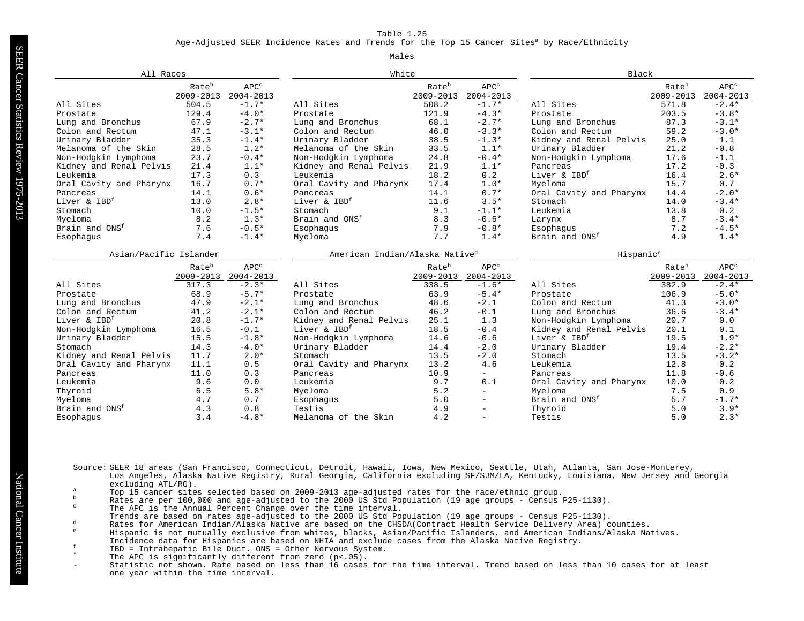### Age-Adjusted SEER Incidence Rates and Trends for the Top 15 Cancer Sites<sup>a</sup> by Race/Ethnicity

### Males

| All Races                  |                                    |                                      | White                                      |                                    | Black                             |                            |                                    |                          |
|----------------------------|------------------------------------|--------------------------------------|--------------------------------------------|------------------------------------|-----------------------------------|----------------------------|------------------------------------|--------------------------|
|                            | Rate <sup>b</sup><br>$2009 - 2013$ | $\mbox{APC}^{\mbox{c}}$<br>2004-2013 |                                            | Rate <sup>b</sup><br>$2009 - 2013$ | APC <sup>c</sup><br>$2004 - 2013$ |                            | Rate <sup>b</sup><br>$2009 - 2013$ | $APC^c$<br>$2004 - 2013$ |
| All Sites                  | 504.5                              | $-1.7*$                              | All Sites                                  | 508.2                              | $-1.7*$                           | All Sites                  | 571.8                              | $-2.4*$                  |
| Prostate                   | 129.4                              | $-4.0*$                              | Prostate                                   | 121.9                              | $-4.3*$                           | Prostate                   | 203.5                              | $-3.8*$                  |
| Lung and Bronchus          | 67.9                               | $-2.7*$                              | Lung and Bronchus                          | 68.1                               | $-2.7*$                           | Lung and Bronchus          | 87.3                               | $-3.1*$                  |
| Colon and Rectum           | 47.1                               | $-3.1*$                              | Colon and Rectum                           | 46.0                               | $-3.3*$                           | Colon and Rectum           | 59.2                               | $-3.0*$                  |
| Urinary Bladder            | 35.3                               | $-1.4*$                              | Urinary Bladder                            | 38.5                               | $-1.3*$                           | Kidney and Renal Pelvis    | 25.0                               | 1.1                      |
| Melanoma of the Skin       | 28.5                               | $1.2*$                               | Melanoma of the Skin                       | 33.5                               | $1.1*$                            | Urinary Bladder            | 21.2                               | $-0.8$                   |
| Non-Hodgkin Lymphoma       | 23.7                               | $-0.4*$                              | Non-Hodgkin Lymphoma                       | 24.8                               | $-0.4*$                           | Non-Hodgkin Lymphoma       | 17.6                               | $-1.1$                   |
| Kidney and Renal Pelvis    | 21.4                               | $1.1*$                               | Kidney and Renal Pelvis                    | 21.9                               | $1.1*$                            | Pancreas                   | 17.2                               | $-0.3$                   |
| Leukemia                   | 17.3                               | 0.3                                  | Leukemia                                   | 18.2                               | 0.2                               | Liver & IBD <sup>f</sup>   | 16.4                               | $2.6*$                   |
| Oral Cavity and Pharynx    | 16.7                               | $0.7*$                               | Oral Cavity and Pharynx                    | 17.4                               | $1.0*$                            | Myeloma                    | 15.7                               | 0.7                      |
| Pancreas                   | 14.1                               | $0.6*$                               | Pancreas                                   | 14.1                               | $0.7*$                            | Oral Cavity and Pharynx    | 14.4                               | $-2.0*$                  |
| Liver & IBD <sup>f</sup>   | 13.0                               | $2.8*$                               | Liver & IBD <sup>f</sup>                   | 11.6                               | $3.5*$                            | Stomach                    | 14.0                               | $-3.4*$                  |
| Stomach                    | 10.0                               | $-1.5*$                              | Stomach                                    | 9.1                                | $-1.1*$                           | Leukemia                   | 13.8                               | 0.2                      |
| Myeloma                    | 8.2                                | $1.3*$                               | Brain and ONS <sup>f</sup>                 | 8.3                                | $-0.6*$                           | Larynx                     | 8.7                                | $-3.4*$                  |
| Brain and ONS <sup>f</sup> | 7.6                                | $-0.5*$                              | Esophagus                                  | 7.9                                | $-0.8*$                           | Esophaqus                  | 7.2                                | $-4.5*$                  |
| Esophagus                  | 7.4                                | $-1.4*$                              | Myeloma                                    | 7.7                                | $1.4*$                            | Brain and ONS <sup>f</sup> | 4.9                                | $1.4*$                   |
| Asian/Pacific Islander     |                                    |                                      | American Indian/Alaska Native <sup>d</sup> |                                    |                                   | Hispanic <sup>e</sup>      |                                    |                          |
|                            | Rate <sup>b</sup>                  | $APC^c$                              |                                            | Rate <sup>b</sup>                  | APC <sup>c</sup>                  |                            | Rate <sup>b</sup>                  | APC <sup>c</sup>         |
|                            | 2009-2013                          | 2004-2013                            |                                            | 2009-2013                          | 2004-2013                         |                            | 2009-2013                          | $2004 - 2013$            |
| All Sites                  | 317.3                              | $-2.3*$                              | All Sites                                  | 338.5                              | $-1.6*$                           | All Sites                  | 382.9                              | $-2.4*$                  |
| Prostate                   | 68.9                               | $-5.7*$                              | Prostate                                   | 63.9                               | $-5.4*$                           | Prostate                   | 106.9                              | $-5.0*$                  |
| Lung and Bronchus          | 47.9                               | $-2.1*$                              | Lung and Bronchus                          | 48.6                               | $-2.1$                            | Colon and Rectum           | 41.3                               | $-3.0*$                  |
| Colon and Rectum           | 41.2                               | $-2.1*$                              | Colon and Rectum                           | 46.2                               | $-0.1$                            | Lung and Bronchus          | 36.6                               | $-3.4*$                  |
| Liver & IBD <sup>f</sup>   | 20.8                               | $-1.7*$                              | Kidney and Renal Pelvis                    | 25.1                               | 1.3                               | Non-Hodgkin Lymphoma       | 20.7                               | 0.0                      |
| Non-Hodgkin Lymphoma       | 16.5                               | $-0.1$                               | Liver & IBD <sup>f</sup>                   | 18.5                               | $-0.4$                            | Kidney and Renal Pelvis    | 20.1                               | 0.1                      |
| Urinary Bladder            | 15.5                               | $-1.8*$                              | Non-Hodgkin Lymphoma                       | 14.6                               | $-0.6$                            | Liver & IBD <sup>f</sup>   | 19.5                               | $1.9*$                   |
| Stomach                    | 14.3                               | $-4.0*$                              | Urinary Bladder                            | 14.4                               | $-2.0$                            | Urinary Bladder            | 19.4                               | $-2.2*$                  |
| Kidney and Renal Pelvis    | 11.7                               | $2.0*$                               | Stomach                                    | 13.5                               | $-2.0$                            | Stomach                    | 13.5                               | $-3.2*$                  |
| Oral Cavity and Pharynx    |                                    |                                      |                                            |                                    |                                   | Leukemia                   | 12.8                               | 0.2                      |
|                            | 11.1                               | 0.5                                  | Oral Cavity and Pharynx                    | 13.2                               | 4.6                               |                            |                                    |                          |
| Pancreas                   | 11.0                               | 0.3                                  | Pancreas                                   | 10.9                               | $-$                               | Pancreas                   | 11.8                               | $-0.6$                   |
| Leukemia                   | 9.6                                | 0.0                                  | Leukemia                                   | 9.7                                | 0.1                               | Oral Cavity and Pharynx    | 10.0                               | 0.2                      |
| Thyroid                    | 6.5                                | $5.8*$                               | Myeloma                                    | 5.2                                | $\overline{\phantom{0}}$          | Myeloma                    | 7.5                                | 0.9                      |
| Myeloma                    | 4.7                                | 0.7                                  | Esophagus                                  | 5.0                                | $\equiv$                          | Brain and ONS <sup>f</sup> | 5.7                                | $-1.7*$                  |
| Brain and ONS <sup>f</sup> | 4.3                                | 0.8                                  | Testis                                     | 4.9                                | $\overline{a}$                    | Thyroid                    | 5.0                                | $3.9*$                   |

- Source: SEER 18 areas (San Francisco, Connecticut, Detroit, Hawaii, Iowa, New Mexico, Seattle, Utah, Atlanta, San Jose-Monterey, Los Angeles, Alaska Native Registry, Rural Georgia, California excluding SF/SJM/LA, Kentucky, Louisiana, New Jersey and Georgia excluding ATL/RG).
- a Top 15 cancer sites selected based on 2009-2013 age-adjusted rates for the race/ethnic group.
- b Rates are per 100,000 and age-adjusted to the 2000 US Std Population (19 age groups Census P25-1130).
- The APC is the Annual Percent Change over the time interval.
- Trends are based on rates age-adjusted to the 2000 US Std Population (19 age groups Census P25-1130).
- d Rates for American Indian/Alaska Native are based on the CHSDA(Contract Health Service Delivery Area) counties.
- <sup>e</sup> Hispanic is not mutually exclusive from whites, blacks, Asian/Pacific Islanders, and American Indians/Alaska Natives. Incidence data for Hispanics are based on NHIA and exclude cases from the Alaska Native Registry.
- <sup>f</sup> IBD = Intrahepatic Bile Duct. ONS = Other Nervous System.
- The APC is significantly different from zero  $(p<.05)$ .
- Statistic not shown. Rate based on less than 16 cases for the time interval. Trend based on less than 10 cases for at least one year within the time interval.

National Cancer Institute National Cancer Institute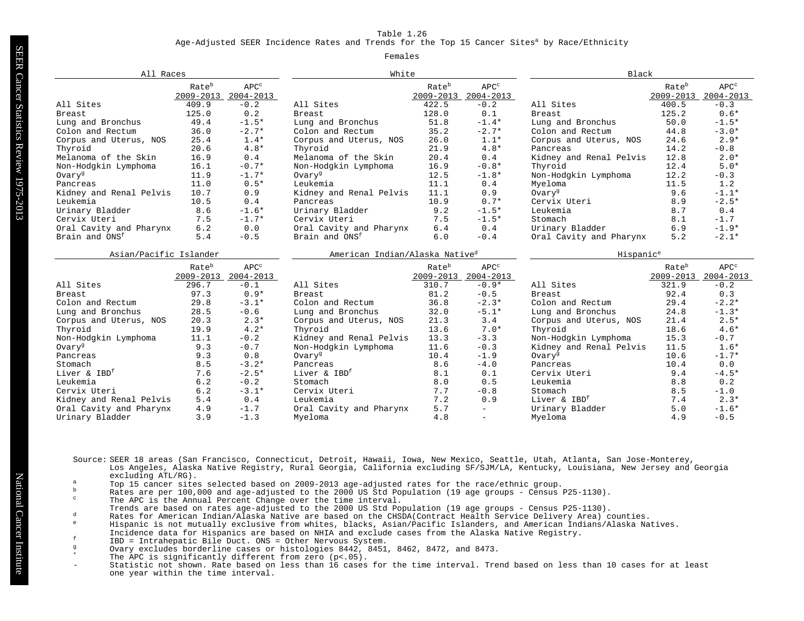Age-Adjusted SEER Incidence Rates and Trends for the Top 15 Cancer Sites<sup>a</sup> by Race/Ethnicity

### Females

| All Races                  |                                    |                                 | White                                      |                                |                               | Black                    |                                |                                   |
|----------------------------|------------------------------------|---------------------------------|--------------------------------------------|--------------------------------|-------------------------------|--------------------------|--------------------------------|-----------------------------------|
|                            | Rate <sup>b</sup><br>$2009 - 2013$ | $\text{APC}^\circ$<br>2004-2013 |                                            | Rate <sup>b</sup><br>2009-2013 | APC <sup>c</sup><br>2004-2013 |                          | Rate <sup>b</sup><br>2009-2013 | APC <sup>c</sup><br>$2004 - 2013$ |
| All Sites                  | 409.9                              | $-0.2$                          | All Sites                                  | 422.5                          | $-0.2$                        | All Sites                | 400.5                          | $-0.3$                            |
| <b>Breast</b>              | 125.0                              | 0.2                             | <b>Breast</b>                              | 128.0                          | 0.1                           | <b>Breast</b>            | 125.2                          | $0.6*$                            |
| Lung and Bronchus          | 49.4                               | $-1.5*$                         | Lung and Bronchus                          | 51.8                           | $-1.4*$                       | Lung and Bronchus        | 50.0                           | $-1.5*$                           |
| Colon and Rectum           | 36.0                               | $-2.7*$                         | Colon and Rectum                           | 35.2                           | $-2.7*$                       | Colon and Rectum         | 44.8                           | $-3.0*$                           |
| Corpus and Uterus, NOS     | 25.4                               | $1.4*$                          | Corpus and Uterus, NOS                     | 26.0                           | $1.1*$                        | Corpus and Uterus, NOS   | 24.6                           | $2.9*$                            |
| Thyroid                    | 20.6                               | $4.8*$                          | Thyroid                                    | 21.9                           | $4.8*$                        | Pancreas                 | 14.2                           | $-0.8$                            |
| Melanoma of the Skin       | 16.9                               | 0.4                             | Melanoma of the Skin                       | 20.4                           | 0.4                           | Kidney and Renal Pelvis  | 12.8                           | $2.0*$                            |
| Non-Hodgkin Lymphoma       | 16.1                               | $-0.7*$                         | Non-Hodgkin Lymphoma                       | 16.9                           | $-0.8*$                       | Thyroid                  | 12.4                           | $5.0*$                            |
| Ovary <sup>g</sup>         | 11.9                               | $-1.7*$                         | Ovary <sup>g</sup>                         | 12.5                           | $-1.8*$                       | Non-Hodgkin Lymphoma     | 12.2                           | $-0.3$                            |
| Pancreas                   | 11.0                               | $0.5*$                          | Leukemia                                   | 11.1                           | 0.4                           | Myeloma                  | 11.5                           | 1.2                               |
| Kidney and Renal Pelvis    | 10.7                               | 0.9                             | Kidney and Renal Pelvis                    | 11.1                           | 0.9                           | Ovary <sup>g</sup>       | 9.6                            | $-1.1*$                           |
| Leukemia                   | 10.5                               | 0.4                             | Pancreas                                   | 10.9                           | $0.7*$                        | Cervix Uteri             | 8.9                            | $-2.5*$                           |
| Urinary Bladder            | 8.6                                | $-1.6*$                         | Urinary Bladder                            | 9.2                            | $-1.5*$                       | Leukemia                 | 8.7                            | 0.4                               |
| Cervix Uteri               | 7.5                                | $-1.7*$                         | Cervix Uteri                               | 7.5                            | $-1.5*$                       | Stomach                  | 8.1                            | $-1.7$                            |
| Oral Cavity and Pharynx    | 6.2                                | 0.0                             | Oral Cavity and Pharynx                    | 6.4                            | 0.4                           | Urinary Bladder          | 6.9                            | $-1.9*$                           |
| Brain and ONS <sup>f</sup> | 5.4                                | $-0.5$                          | Brain and ONS <sup>f</sup>                 | 6.0                            | $-0.4$                        | Oral Cavity and Pharynx  | 5.2                            | $-2.1*$                           |
| Asian/Pacific Islander     |                                    |                                 | American Indian/Alaska Native <sup>d</sup> |                                |                               | Hispanic <sup>e</sup>    |                                |                                   |
|                            | Rate <sup>b</sup>                  | $APC^c$                         |                                            | Rate <sup>b</sup>              | $APC^c$                       |                          | Rate <sup>b</sup>              | APC <sup>c</sup>                  |
|                            | 2009-2013                          | 2004-2013                       |                                            | $2009 - 2013$                  | 2004-2013                     |                          | 2009-2013                      | $2004 - 2013$                     |
| All Sites                  | 296.7                              | $-0.1$                          | All Sites                                  | 310.7                          | $-0.9*$                       | All Sites                | 321.9                          | $-0.2$                            |
| <b>Breast</b>              | 97.3                               | $0.9*$                          | <b>Breast</b>                              | 81.2                           | $-0.5$                        | Breast                   | 92.4                           | 0.3                               |
| Colon and Rectum           | 29.8                               | $-3.1*$                         | Colon and Rectum                           | 36.8                           | $-2.3*$                       | Colon and Rectum         | 29.4                           | $-2.2*$                           |
| Lung and Bronchus          | 28.5                               | $-0.6$                          | Lung and Bronchus                          | 32.0                           | $-5.1*$                       | Lung and Bronchus        | 24.8                           | $-1.3*$                           |
| Corpus and Uterus, NOS     | 20.3                               | $2.3*$                          | Corpus and Uterus, NOS                     | 21.3                           | 3.4                           | Corpus and Uterus, NOS   | 21.4                           | $2.5*$                            |
| Thyroid                    | 19.9                               | $4.2*$                          | Thyroid                                    | 13.6                           | $7.0*$                        | Thyroid                  | 18.6                           | $4.6*$                            |
| Non-Hodgkin Lymphoma       | 11.1                               | $-0.2$                          | Kidney and Renal Pelvis                    | 13.3                           | $-3.3$                        | Non-Hodgkin Lymphoma     | 15.3                           | $-0.7$                            |
| Ovary <sup>g</sup>         | 9.3                                | $-0.7$                          | Non-Hodgkin Lymphoma                       | 11.6                           | $-0.3$                        | Kidney and Renal Pelvis  | 11.5                           | $1.6*$                            |
| Pancreas                   | 9.3                                | 0.8                             | Ovary <sup>g</sup>                         | 10.4                           | $-1.9$                        | Ovary <sup>g</sup>       | 10.6                           | $-1.7*$                           |
| Stomach                    | 8.5                                | $-3.2*$                         | Pancreas                                   | 8.6                            | $-4.0$                        | Pancreas                 | 10.4                           | 0.0                               |
| Liver & IBD <sup>f</sup>   | 7.6                                | $-2.5*$                         | Liver & IBD <sup>f</sup>                   | 8.1                            | 0.1                           | Cervix Uteri             | 9.4                            | $-4.5*$                           |
| Leukemia                   | 6.2                                | $-0.2$                          | Stomach                                    | 8.0                            | 0.5                           | Leukemia                 | 8.8                            | 0.2                               |
| Cervix Uteri               | 6.2                                | $-3.1*$                         | Cervix Uteri                               | 7.7                            | $-0.8$                        | Stomach                  | 8.5                            | $-1.0$                            |
| Kidney and Renal Pelvis    | 5.4                                | 0.4                             | Leukemia                                   | 7.2                            | 0.9                           | Liver & IBD <sup>f</sup> | 7.4                            | $2.3*$                            |
| Oral Cavity and Pharynx    | 4.9                                | $-1.7$                          | Oral Cavity and Pharynx                    | 5.7                            | $\overline{a}$                | Urinary Bladder          | 5.0                            | $-1.6*$                           |
| Urinary Bladder            | 3.9                                | $-1.3$                          | Myeloma                                    | 4.8                            | $\equiv$                      | Myeloma                  | 4.9                            | $-0.5$                            |

Source: SEER 18 areas (San Francisco, Connecticut, Detroit, Hawaii, Iowa, New Mexico, Seattle, Utah, Atlanta, San Jose-Monterey, Los Angeles, Alaska Native Registry, Rural Georgia, California excluding SF/SJM/LA, Kentucky, Louisiana, New Jersey and Georgia excluding ATL/RG).

a Top 15 cancer sites selected based on 2009-2013 age-adjusted rates for the race/ethnic group.<br>b pates are per 100,000 and age-adjusted to the 2000 US Std Population (19 age groups - Census)

b Rates are per 100,000 and age-adjusted to the 2000 US Std Population (19 age groups - Census P25-1130).

- The APC is the Annual Percent Change over the time interval.
- Trends are based on rates age-adjusted to the 2000 US Std Population (19 age groups Census P25-1130).
- <sup>d</sup> Rates for American Indian/Alaska Native are based on the CHSDA(Contract Health Service Delivery Area) counties.
- <sup>e</sup> Hispanic is not mutually exclusive from whites, blacks, Asian/Pacific Islanders, and American Indians/Alaska Natives. Incidence data for Hispanics are based on NHIA and exclude cases from the Alaska Native Registry.
- <sup>f</sup> IBD = Intrahepatic Bile Duct. ONS = Other Nervous System.
- <sup>g</sup> Ovary excludes borderline cases or histologies 8442, 8451, 8462, 8472, and 8473.
- The APC is significantly different from zero  $(p<.05)$ .
- Statistic not shown. Rate based on less than 16 cases for the time interval. Trend based on less than 10 cases for at least one year within the time interval.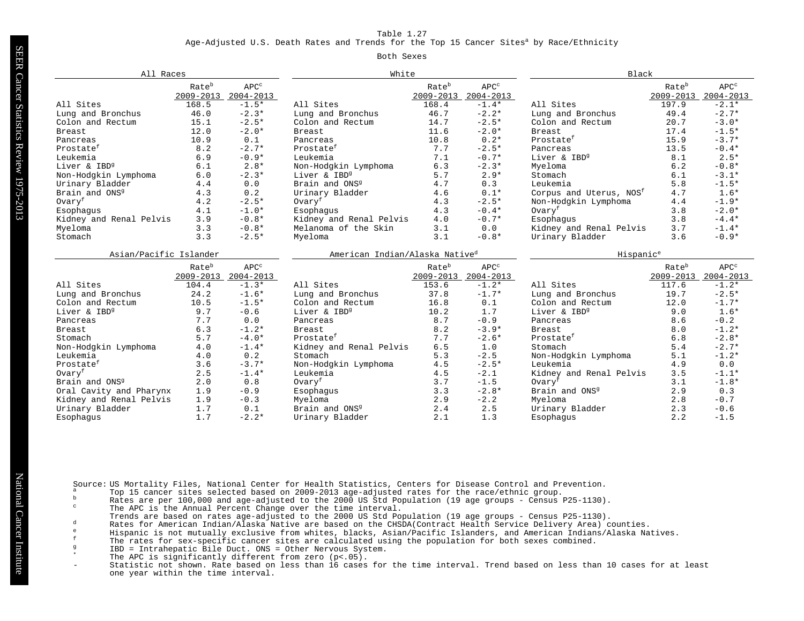Age-Adjusted U.S. Death Rates and Trends for the Top 15 Cancer Sites<sup>a</sup> by Race/Ethnicity

### Both Sexes

| All Races                  |                    |                      | White                                      |                                |                               |                                     | Black                          |                                   |  |
|----------------------------|--------------------|----------------------|--------------------------------------------|--------------------------------|-------------------------------|-------------------------------------|--------------------------------|-----------------------------------|--|
|                            | Rateb<br>2009-2013 | $APC^c$<br>2004-2013 |                                            | Rate <sup>b</sup><br>2009-2013 | APC <sup>c</sup><br>2004-2013 |                                     | Rate <sup>b</sup><br>2009-2013 | APC <sup>c</sup><br>$2004 - 2013$ |  |
| All Sites                  | 168.5              | $-1.5*$              | All Sites                                  | 168.4                          | $-1.4*$                       | All Sites                           | 197.9                          | $-2.1*$                           |  |
| Lung and Bronchus          | 46.0               | $-2.3*$              | Lung and Bronchus                          | 46.7                           | $-2.2*$                       | Lung and Bronchus                   | 49.4                           | $-2.7*$                           |  |
| Colon and Rectum           | 15.1               | $-2.5*$              | Colon and Rectum                           | 14.7                           | $-2.5*$                       | Colon and Rectum                    | 20.7                           | $-3.0*$                           |  |
| Breast                     | 12.0               | $-2.0*$              | <b>Breast</b>                              | 11.6                           | $-2.0*$                       | <b>Breast</b>                       | 17.4                           | $-1.5*$                           |  |
| Pancreas                   | 10.9               | 0.1                  | Pancreas                                   | 10.8                           | $0.2*$                        | Prostate <sup>f</sup>               | 15.9                           | $-3.7*$                           |  |
| Prostatef                  | 8.2                | $-2.7*$              | Prostate <sup>f</sup>                      | 7.7                            | $-2.5*$                       | Pancreas                            | 13.5                           | $-0.4*$                           |  |
| Leukemia                   | 6.9                | $-0.9*$              | Leukemia                                   | 7.1                            | $-0.7*$                       | Liver & IBD <sup>9</sup>            | 8.1                            | $2.5*$                            |  |
| Liver & IBD <sup>9</sup>   | 6.1                | $2.8*$               | Non-Hodgkin Lymphoma                       | 6.3                            | $-2.3*$                       | Myeloma                             | 6.2                            | $-0.8*$                           |  |
| Non-Hodgkin Lymphoma       | 6.0                | $-2.3*$              | Liver & IBD <sup>9</sup>                   | 5.7                            | $2.9*$                        | Stomach                             | 6.1                            | $-3.1*$                           |  |
| Urinary Bladder            | 4.4                | 0.0                  | Brain and ONS <sup>9</sup>                 | 4.7                            | 0.3                           | Leukemia                            | 5.8                            | $-1.5*$                           |  |
| Brain and ONS <sup>9</sup> | 4.3                | 0.2                  | Urinary Bladder                            | 4.6                            | $0.1*$                        | Corpus and Uterus, NOS <sup>f</sup> | 4.7                            | $1.6*$                            |  |
| Ovaryf                     | 4.2                | $-2.5*$              | Ovaryf                                     | 4.3                            | $-2.5*$                       | Non-Hodgkin Lymphoma                | 4.4                            | $-1.9*$                           |  |
| Esophagus                  | 4.1                | $-1.0*$              | Esophagus                                  | 4.3                            | $-0.4*$                       | Ovaryf                              | 3.8                            | $-2.0*$                           |  |
| Kidney and Renal Pelvis    | 3.9                | $-0.8*$              | Kidney and Renal Pelvis                    | 4.0                            | $-0.7*$                       | Esophagus                           | 3.8                            | $-4.4*$                           |  |
| Myeloma                    | 3.3                | $-0.8*$              | Melanoma of the Skin                       | 3.1                            | 0.0                           | Kidney and Renal Pelvis             | 3.7                            | $-1.4*$                           |  |
| Stomach                    | 3.3                | $-2.5*$              | Myeloma                                    | 3.1                            | $-0.8*$                       | Urinary Bladder                     | 3.6                            | $-0.9*$                           |  |
| Asian/Pacific Islander     |                    |                      | American Indian/Alaska Native <sup>d</sup> |                                |                               | Hispanic <sup>e</sup>               |                                |                                   |  |
|                            | Rate <sup>b</sup>  | $APC^c$              |                                            | Rate <sup>b</sup>              | $APC^c$                       |                                     | Rate <sup>b</sup>              | $APC^c$                           |  |
|                            | 2009-2013          | 2004-2013            |                                            | 2009-2013                      | 2004-2013                     |                                     | 2009-2013                      | $2004 - 2013$                     |  |
| All Sites                  | 104.4              | $-1.3*$              | All Sites                                  | 153.6                          | $-1.2*$                       | All Sites                           | 117.6                          | $-1.2*$                           |  |
| Lung and Bronchus          | 24.2               | $-1.6*$              | Lung and Bronchus                          | 37.8                           | $-1.7*$                       | Lung and Bronchus                   | 19.7                           | $-2.5*$                           |  |
| Colon and Rectum           | 10.5               | $-1.5*$              | Colon and Rectum                           | 16.8                           | 0.1                           | Colon and Rectum                    | 12.0                           | $-1.7*$                           |  |
| Liver & IBD <sup>9</sup>   | 9.7                | $-0.6$               | Liver & IBD <sup>9</sup>                   | 10.2                           | 1.7                           | Liver & IBD <sup>9</sup>            | 9.0                            | $1.6*$                            |  |
| Pancreas                   | 7.7                | 0.0                  | Pancreas                                   | 8.7                            | $-0.9$                        | Pancreas                            | 8.6                            | $-0.2$                            |  |
| Breast                     | 6.3                | $-1.2*$              | Breast                                     | 8.2                            | $-3.9*$                       | <b>Breast</b>                       | 8.0                            | $-1.2*$                           |  |
| Stomach                    | 5.7                | $-4.0*$              | Prostate <sup>f</sup>                      | 7.7                            | $-2.6*$                       | Prostate <sup>f</sup>               | 6.8                            | $-2.8*$                           |  |
| Non-Hodgkin Lymphoma       | 4.0                | $-1.4*$              | Kidney and Renal Pelvis                    | 6.5                            | 1.0                           | Stomach                             | 5.4                            | $-2.7*$                           |  |
| Leukemia                   | 4.0                | 0.2                  | Stomach                                    | 5.3                            | $-2.5$                        | Non-Hodgkin Lymphoma                | 5.1                            | $-1.2*$                           |  |
| Prostate <sup>f</sup>      | 3.6                | $-3.7*$              | Non-Hodgkin Lymphoma                       | 4.5                            | $-2.5*$                       | Leukemia                            | 4.9                            | 0.0                               |  |
| Ovaryf                     | 2.5                | $-1.4*$              | Leukemia                                   | 4.5                            | $-2.1$                        | Kidney and Renal Pelvis             | 3.5                            | $-1.1*$                           |  |
| Brain and ONS <sup>9</sup> | 2.0                | 0.8                  | Ovaryf                                     | 3.7                            | $-1.5$                        | Ovary <sup>f</sup>                  | 3.1                            | $-1.8*$                           |  |
| Oral Cavity and Pharynx    | 1.9                | $-0.9$               | Esophagus                                  | 3.3                            | $-2.8*$                       | Brain and ONS <sup>9</sup>          | 2.9                            | 0.3                               |  |
| Kidney and Renal Pelvis    | 1.9                | $-0.3$               | Myeloma                                    | 2.9                            | $-2.2$                        | Myeloma                             | 2.8                            | $-0.7$                            |  |
| Urinary Bladder            | 1.7                | 0.1                  | Brain and ONS <sup>9</sup>                 | 2.4                            | 2.5                           | Urinary Bladder                     | 2.3                            | $-0.6$                            |  |
| Esophagus                  | 1.7                | $-2.2*$              | Urinary Bladder                            | 2.1                            | 1.3                           | Esophaqus                           | 2.2                            | $-1.5$                            |  |

Source: US Mortality Files, National Center for Health Statistics, Centers for Disease Control and Prevention.<br>a Top 15 cancer sites selected based on 2009-2013 aga-adjusted rates for the race/ethnic group

- a Top 15 cancer sites selected based on 2009-2013 age-adjusted rates for the race/ethnic group.
- b Rates are per 100,000 and age-adjusted to the 2000 US Std Population (19 age groups Census P25-1130).
- The APC is the Annual Percent Change over the time interval.
- Trends are based on rates age-adjusted to the 2000 US Std Population (19 age groups Census P25-1130).
- d Rates for American Indian/Alaska Native are based on the CHSDA(Contract Health Service Delivery Area) counties.
- <sup>e</sup> Hispanic is not mutually exclusive from whites, blacks, Asian/Pacific Islanders, and American Indians/Alaska Natives.
- f The rates for sex-specific cancer sites are calculated using the population for both sexes combined.
	- IBD = Intrahepatic Bile Duct. ONS = Other Nervous System.
- \* The APC is significantly different from zero (p<.05).<br>- Statistic not shown Rate based on less than 16 cases
- Statistic not shown. Rate based on less than 16 cases for the time interval. Trend based on less than 10 cases for at least one year within the time interval.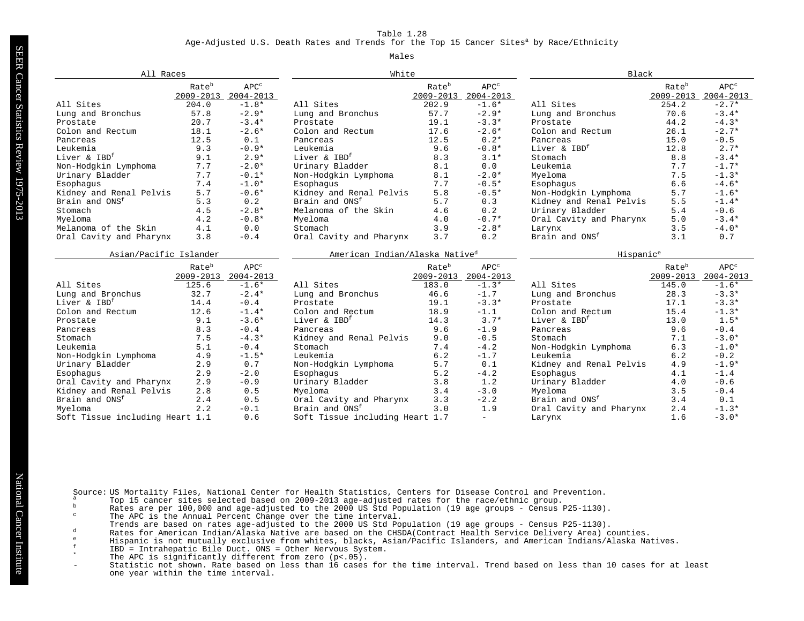Age-Adjusted U.S. Death Rates and Trends for the Top 15 Cancer Sites<sup>a</sup> by Race/Ethnicity

### Males

| All Races                       |                   |           | White                                      |                   |                  | Black                      |                   |                  |
|---------------------------------|-------------------|-----------|--------------------------------------------|-------------------|------------------|----------------------------|-------------------|------------------|
|                                 | Rate <sup>b</sup> | $APC^c$   |                                            | Rate <sup>b</sup> | APC <sup>c</sup> |                            | Rate <sup>b</sup> | APC <sup>c</sup> |
|                                 | 2009-2013         | 2004-2013 |                                            | 2009-2013         | 2004-2013        |                            | 2009-2013         | $2004 - 2013$    |
| All Sites                       | 204.0             | $-1.8*$   | All Sites                                  | 202.9             | $-1.6*$          | All Sites                  | 254.2             | $-2.7*$          |
| Lung and Bronchus               | 57.8              | $-2.9*$   | Lung and Bronchus                          | 57.7              | $-2.9*$          | Lung and Bronchus          | 70.6              | $-3.4*$          |
| Prostate                        | 20.7              | $-3.4*$   | Prostate                                   | 19.1              | $-3.3*$          | Prostate                   | 44.2              | $-4.3*$          |
| Colon and Rectum                | 18.1              | $-2.6*$   | Colon and Rectum                           | 17.6              | $-2.6*$          | Colon and Rectum           | 26.1              | $-2.7*$          |
| Pancreas                        | 12.5              | 0.1       | Pancreas                                   | 12.5              | $0.2*$           | Pancreas                   | 15.0              | $-0.5$           |
| Leukemia                        | 9.3               | $-0.9*$   | Leukemia                                   | 9.6               | $-0.8*$          | Liver & IBD <sup>f</sup>   | 12.8              | $2.7*$           |
| Liver & IBD <sup>f</sup>        | 9.1               | $2.9*$    | Liver & IBD <sup>f</sup>                   | 8.3               | $3.1*$           | Stomach                    | 8.8               | $-3.4*$          |
| Non-Hodgkin Lymphoma            | 7.7               | $-2.0*$   | Urinary Bladder                            | 8.1               | 0.0              | Leukemia                   | 7.7               | $-1.7*$          |
| Urinary Bladder                 | 7.7               | $-0.1*$   | Non-Hodgkin Lymphoma                       | 8.1               | $-2.0*$          | Myeloma                    | 7.5               | $-1.3*$          |
| Esophagus                       | 7.4               | $-1.0*$   | Esophaqus                                  | 7.7               | $-0.5*$          | Esophagus                  | 6.6               | $-4.6*$          |
| Kidney and Renal Pelvis         | 5.7               | $-0.6*$   | Kidney and Renal Pelvis                    | 5.8               | $-0.5*$          | Non-Hodgkin Lymphoma       | 5.7               | $-1.6*$          |
| Brain and ONS <sup>f</sup>      | 5.3               | 0.2       | Brain and ONS <sup>f</sup>                 | 5.7               | 0.3              | Kidney and Renal Pelvis    | 5.5               | $-1.4*$          |
| Stomach                         | 4.5               | $-2.8*$   | Melanoma of the Skin                       | 4.6               | 0.2              | Urinary Bladder            | 5.4               | $-0.6$           |
| Myeloma                         | 4.2               | $-0.8*$   | Myeloma                                    | 4.0               | $-0.7*$          | Oral Cavity and Pharynx    | 5.0               | $-3.4*$          |
| Melanoma of the Skin            | 4.1               | 0.0       | Stomach                                    | 3.9               | $-2.8*$          | Larynx                     | 3.5               | $-4.0*$          |
| Oral Cavity and Pharynx         | 3.8               | $-0.4$    | Oral Cavity and Pharynx                    | 3.7               | 0.2              | Brain and ONS <sup>f</sup> | 3.1               | 0.7              |
| Asian/Pacific Islander          |                   |           | American Indian/Alaska Native <sup>d</sup> |                   |                  | Hispanic <sup>e</sup>      |                   |                  |
|                                 | Rate <sup>b</sup> | $APC^c$   |                                            | Rate <sup>b</sup> | APC <sup>c</sup> |                            | Rate <sup>b</sup> | APC <sup>c</sup> |
|                                 | 2009-2013         | 2004-2013 |                                            | 2009-2013         | $2004 - 2013$    |                            | 2009-2013         | $2004 - 2013$    |
| All Sites                       | 125.6             | $-1.6*$   | All Sites                                  | 183.0             | $-1.3*$          | All Sites                  | 145.0             | $-1.6*$          |
| Lung and Bronchus               | 32.7              | $-2.4*$   | Lung and Bronchus                          | 46.6              | $-1.7$           | Lung and Bronchus          | 28.3              | $-3.3*$          |
| Liver & IBD <sup>f</sup>        | 14.4              | $-0.4$    | Prostate                                   | 19.1              | $-3.3*$          | Prostate                   | 17.1              | $-3.3*$          |
| Colon and Rectum                | 12.6              | $-1.4*$   | Colon and Rectum                           | 18.9              | $-1.1$           | Colon and Rectum           | 15.4              | $-1.3*$          |
| Prostate                        | 9.1               | $-3.6*$   | Liver & IBD <sup>f</sup>                   | 14.3              | $3.7*$           | Liver & IBD <sup>f</sup>   | 13.0              | $1.5*$           |
| Pancreas                        | 8.3               | $-0.4$    | Pancreas                                   | 9.6               | $-1.9$           | Pancreas                   | 9.6               | $-0.4$           |
| Stomach                         | 7.5               | $-4.3*$   | Kidney and Renal Pelvis                    | 9.0               | $-0.5$           | Stomach                    | 7.1               | $-3.0*$          |
| Leukemia                        | 5.1               | $-0.4$    | Stomach                                    | 7.4               | $-4.2$           | Non-Hodgkin Lymphoma       | 6.3               | $-1.0*$          |
| Non-Hodgkin Lymphoma            | 4.9               | $-1.5*$   | Leukemia                                   | 6.2               | $-1.7$           | Leukemia                   | 6.2               | $-0.2$           |
| Urinary Bladder                 | 2.9               | 0.7       | Non-Hodgkin Lymphoma                       | 5.7               | 0.1              | Kidney and Renal Pelvis    | 4.9               | $-1.9*$          |
| Esophaqus                       | 2.9               | $-2.0$    | Esophaqus                                  | 5.2               | $-4.2$           | Esophaqus                  | 4.1               | $-1.4$           |
| Oral Cavity and Pharynx         | 2.9               | $-0.9$    | Urinary Bladder                            | 3.8               | 1.2              | Urinary Bladder            | 4.0               | $-0.6$           |
| Kidney and Renal Pelvis         | 2.8               | 0.5       | Myeloma                                    | 3.4               | $-3.0$           | Myeloma                    | 3.5               | $-0.4$           |
| Brain and ONS <sup>f</sup>      | 2.4               | 0.5       | Oral Cavity and Pharynx                    | 3.3               | $-2.2$           | Brain and ONS <sup>f</sup> | 3.4               | 0.1              |
| Myeloma                         | 2.2               | $-0.1$    | Brain and ONS <sup>f</sup>                 | 3.0               | 1.9              | Oral Cavity and Pharynx    | 2.4               | $-1.3*$          |
| Soft Tissue including Heart 1.1 |                   | 0.6       | Soft Tissue including Heart 1.7            |                   | $-$              | Larynx                     | 1.6               | $-3.0*$          |

Source: US Mortality Files, National Center for Health Statistics, Centers for Disease Control and Prevention.<br><sup>a</sup> Top 15 cancer sites selected based on 2009-2013 age-adjusted rates for the race/ethnic group.

- 
- b Rates are per 100,000 and age-adjusted to the race/edded youp.<br>Rates are per 100,000 and age-adjusted to the 2000 US Std Population (19 age groups Census P25-1130).
- The APC is the Annual Percent Change over the time interval.
- Trends are based on rates age-adjusted to the 2000 US Std Population (19 age groups Census P25-1130).
- d Rates for American Indian/Alaska Native are based on the CHSDA(Contract Health Service Delivery Area) counties.
- e Hispanic is not mutually exclusive from whites, blacks, Asian/Pacific Islanders, and American Indians/Alaska Natives.
- <sup>f</sup> IBD = Intrahepatic Bile Duct. ONS = Other Nervous System.
- \* The APC is significantly different from zero (p<.05).<br>- Statistic not shown Rate based on less than 16 cases
- Statistic not shown. Rate based on less than 16 cases for the time interval. Trend based on less than 10 cases for at least one year within the time interval.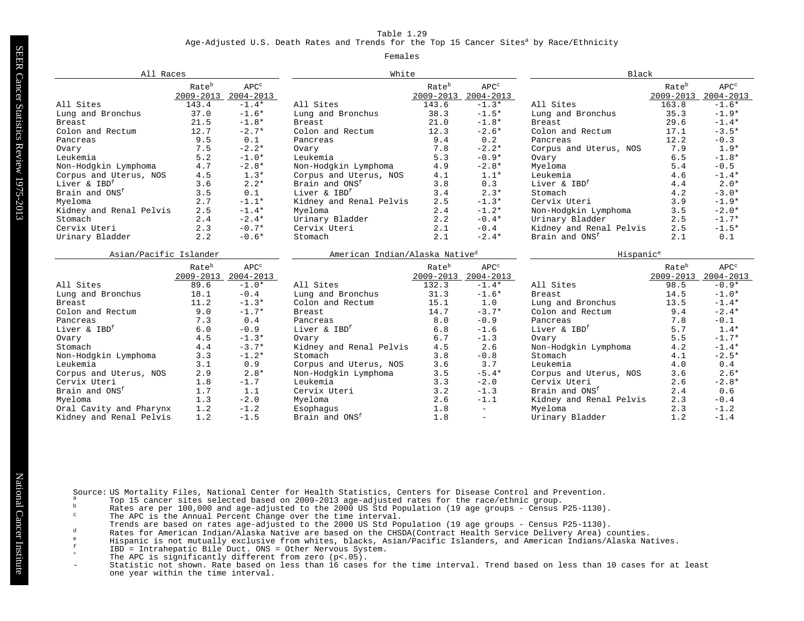Age-Adjusted U.S. Death Rates and Trends for the Top 15 Cancer Sites<sup>a</sup> by Race/Ethnicity

### Females

| All Races                  |                                |                               | White                                   |                                            |                               | Black                      |                                |                                   |
|----------------------------|--------------------------------|-------------------------------|-----------------------------------------|--------------------------------------------|-------------------------------|----------------------------|--------------------------------|-----------------------------------|
|                            | Rate <sup>b</sup><br>2009-2013 | APC <sup>c</sup><br>2004-2013 |                                         | Rate <sup>b</sup><br>2009-2013             | APC <sup>c</sup><br>2004-2013 |                            | Rate <sup>b</sup><br>2009-2013 | APC <sup>c</sup><br>$2004 - 2013$ |
| All Sites                  | 143.4                          | $-1.4*$                       | All Sites                               | 143.6                                      | $-1.3*$                       | All Sites                  | 163.8                          | $-1.6*$                           |
| Lung and Bronchus          | 37.0                           | $-1.6*$                       | Lung and Bronchus                       | 38.3                                       | $-1.5*$                       | Lung and Bronchus          | 35.3                           | $-1.9*$                           |
| <b>Breast</b>              | 21.5                           | $-1.8*$                       | Breast.                                 | 21.0                                       | $-1.8*$                       | Breast.                    | 29.6                           | $-1.4*$                           |
| Colon and Rectum           | 12.7                           | $-2.7*$                       | Colon and Rectum                        | 12.3                                       | $-2.6*$                       | Colon and Rectum           | 17.1                           | $-3.5*$                           |
| Pancreas                   | 9.5                            | 0.1                           | Pancreas                                | 9.4                                        | 0.2                           | Pancreas                   | 12.2                           | $-0.3$                            |
| Ovary                      | 7.5                            | $-2.2*$                       | Ovary                                   | 7.8                                        | $-2.2*$                       | Corpus and Uterus, NOS     | 7.9                            | $1.9*$                            |
| Leukemia                   | 5.2                            | $-1.0*$                       | Leukemia                                | 5.3                                        | $-0.9*$                       | Ovary                      | 6.5                            | $-1.8*$                           |
| Non-Hodgkin Lymphoma       | 4.7                            | $-2.8*$                       | Non-Hodgkin Lymphoma                    | 4.9                                        | $-2.8*$                       | Myeloma                    | 5.4                            | $-0.5$                            |
| Corpus and Uterus, NOS     | 4.5                            | $1.3*$                        | Corpus and Uterus, NOS                  | 4.1                                        | $1.1*$                        | Leukemia                   | 4.6                            | $-1.4*$                           |
| Liver & IBD <sup>f</sup>   | 3.6                            | $2.2*$                        | Brain and ONS <sup>f</sup>              | 3.8                                        | 0.3                           | Liver & IBD <sup>f</sup>   | 4.4                            | $2.0*$                            |
| Brain and ONS <sup>f</sup> | 3.5                            | 0.1                           | Liver & IBD <sup>f</sup>                | 3.4                                        | $2.3*$                        | Stomach                    | 4.2                            | $-3.0*$                           |
| Myeloma                    | 2.7                            | $-1.1*$                       | Kidney and Renal Pelvis                 | 2.5                                        | $-1.3*$                       | Cervix Uteri               | 3.9                            | $-1.9*$                           |
| Kidney and Renal Pelvis    | 2.5                            | $-1.4*$                       | Myeloma                                 | 2.4                                        | $-1.2*$                       | Non-Hodgkin Lymphoma       | 3.5                            | $-2.0*$                           |
| Stomach                    | 2.4                            | $-2.4*$                       | Urinary Bladder                         | 2.2                                        | $-0.4*$                       | Urinary Bladder            | 2.5                            | $-1.7*$                           |
| Cervix Uteri               | 2.3                            | $-0.7*$                       | Cervix Uteri                            | 2.1                                        | $-0.4$                        | Kidney and Renal Pelvis    | 2.5                            | $-1.5*$                           |
| Urinary Bladder            | 2.2                            | $-0.6*$                       | Stomach                                 | 2.1                                        | $-2.4*$                       | Brain and ONS <sup>f</sup> | 2.1                            | 0.1                               |
| Asian/Pacific Islander     |                                |                               |                                         | American Indian/Alaska Native <sup>d</sup> |                               | Hispanic <sup>e</sup>      |                                |                                   |
|                            | Rate <sup>b</sup>              | $APC^c$                       |                                         | Rate <sup>b</sup>                          | APC <sup>c</sup>              |                            | Rate <sup>b</sup>              | APC <sup>c</sup>                  |
|                            | 2009-2013                      | 2004-2013                     |                                         | 2009-2013                                  | 2004-2013                     |                            | $2009 - 2013$                  | $2004 - 2013$                     |
| All Sites                  | 89.6                           | $-1.0*$                       | All Sites                               | 132.3                                      | $-1.4*$                       | All Sites                  | 98.5                           | $-0.9*$                           |
| Lung and Bronchus          | 18.1                           | $-0.4$                        | Lung and Bronchus                       | 31.3                                       | $-1.6*$                       | <b>Breast</b>              | 14.5                           | $-1.0*$                           |
| <b>Breast</b>              | 11.2                           | $-1.3*$                       | Colon and Rectum                        | 15.1                                       | 1.0                           | Lung and Bronchus          | 13.5                           | $-1.4*$                           |
| Colon and Rectum           | 9.0                            | $-1.7*$                       | <b>Breast</b>                           | 14.7                                       | $-3.7*$                       | Colon and Rectum           | 9.4                            | $-2.4*$                           |
| Pancreas                   | 7.3                            | 0.4                           | Pancreas                                | 8.0                                        | $-0.9$                        | Pancreas                   | 7.8                            | $-0.1$                            |
| Liver & IBD <sup>f</sup>   |                                |                               |                                         |                                            |                               |                            |                                | $1.4*$                            |
| Ovary                      | 6.0                            | $-0.9$                        | Liver & IBD <sup>f</sup>                | 6.8                                        | $-1.6$                        | Liver & IBD <sup>f</sup>   | 5.7                            |                                   |
|                            | 4.5                            | $-1.3*$                       | Ovary                                   | 6.7                                        | $-1.3$                        | Ovary                      | 5.5                            | $-1.7*$                           |
| Stomach                    | 4.4                            | $-3.7*$                       | Kidney and Renal Pelvis                 | 4.5                                        | 2.6                           | Non-Hodgkin Lymphoma       | 4.2                            | $-1.4*$                           |
| Non-Hodgkin Lymphoma       | 3.3                            | $-1.2*$                       | Stomach                                 | 3.8                                        | $-0.8$                        | Stomach                    | 4.1                            | $-2.5*$                           |
| Leukemia                   | 3.1                            | 0.9                           | Corpus and Uterus, NOS                  | 3.6                                        | 3.7                           | Leukemia                   | 4.0                            | 0.4                               |
| Corpus and Uterus, NOS     | 2.9                            | $2.8*$                        | Non-Hodgkin Lymphoma                    | 3.5                                        | $-5.4*$                       | Corpus and Uterus, NOS     | 3.6                            | $2.6*$                            |
| Cervix Uteri               | 1.8                            | $-1.7$                        | Leukemia                                | 3.3                                        | $-2.0$                        | Cervix Uteri               | 2.6                            | $-2.8*$                           |
| Brain and ONS <sup>f</sup> | 1.7                            | 1.1                           | Cervix Uteri                            | 3.2                                        | $-1.3$                        | Brain and ONS <sup>f</sup> | 2.4                            | 0.6                               |
| Myeloma                    | 1.3                            | $-2.0$                        | Myeloma                                 | 2.6                                        | $-1.1$                        | Kidney and Renal Pelvis    | 2.3                            | $-0.4$                            |
| Oral Cavity and Pharynx    | 1.2<br>1.2                     | $-1.2$<br>$-1.5$              | Esophagus<br>Brain and ONS <sup>f</sup> | 1.8<br>1.8                                 | $\overline{\phantom{a}}$      | Myeloma                    | 2.3<br>1.2                     | $-1.2$<br>$-1.4$                  |

Source: US Mortality Files, National Center for Health Statistics, Centers for Disease Control and Prevention.<br><sup>a</sup> Top 15 cancer sites selected based on 2009-2013 age-adjusted rates for the race/ethnic group.

- 
- b Rates are per 100,000 and age-adjusted to the race/edded youp.<br>Rates are per 100,000 and age-adjusted to the 2000 US Std Population (19 age groups Census P25-1130).
- The APC is the Annual Percent Change over the time interval.
- Trends are based on rates age-adjusted to the 2000 US Std Population (19 age groups Census P25-1130).
- d Rates for American Indian/Alaska Native are based on the CHSDA(Contract Health Service Delivery Area) counties.
- e Hispanic is not mutually exclusive from whites, blacks, Asian/Pacific Islanders, and American Indians/Alaska Natives.
- <sup>f</sup> IBD = Intrahepatic Bile Duct. ONS = Other Nervous System.
- \* The APC is significantly different from zero (p<.05).<br>- Statistic not shown Rate based on less than 16 cases
- Statistic not shown. Rate based on less than 16 cases for the time interval. Trend based on less than 10 cases for at least one year within the time interval.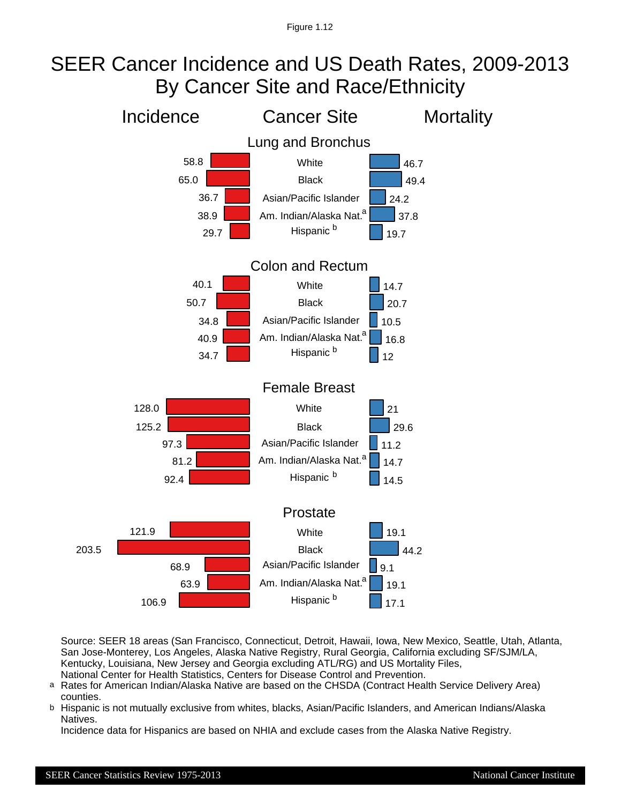# SEER Cancer Incidence and US Death Rates, 2009-2013 By Cancer Site and Race/Ethnicity



Source: SEER 18 areas (San Francisco, Connecticut, Detroit, Hawaii, Iowa, New Mexico, Seattle, Utah, Atlanta, San Jose-Monterey, Los Angeles, Alaska Native Registry, Rural Georgia, California excluding SF/SJM/LA, Kentucky, Louisiana, New Jersey and Georgia excluding ATL/RG) and US Mortality Files, National Center for Health Statistics, Centers for Disease Control and Prevention.

- Rates for American Indian/Alaska Native are based on the CHSDA (Contract Health Service Delivery Area) counties. a
- Hispanic is not mutually exclusive from whites, blacks, Asian/Pacific Islanders, and American Indians/Alaska Natives. b

Incidence data for Hispanics are based on NHIA and exclude cases from the Alaska Native Registry.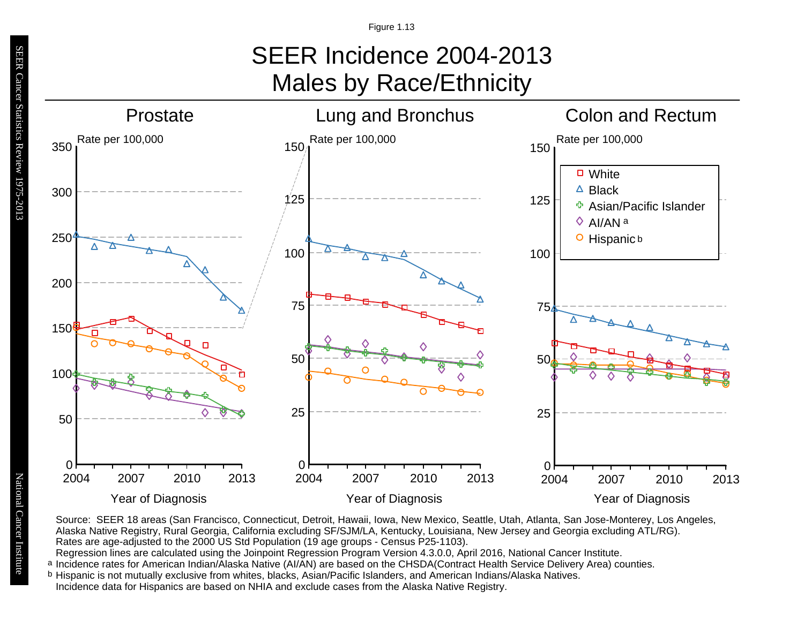# SEER Incidence 2004-2013 Males by Race/Ethnicity



Source: SEER 18 areas (San Francisco, Connecticut, Detroit, Hawaii, Iowa, New Mexico, Seattle, Utah, Atlanta, San Jose-Monterey, Los Angeles, Alaska Native Registry, Rural Georgia, California excluding SF/SJM/LA, Kentucky, Louisiana, New Jersey and Georgia excluding ATL/RG). Rates are age-adjusted to the 2000 US Std Population (19 age groups - Census P25-1103). Regression lines are calculated using the Joinpoint Regression Program Version 4.3.0.0, April 2016, National Cancer Institute.

- a Incidence rates for American Indian/Alaska Native (AI/AN) are based on the CHSDA(Contract Health Service Delivery Area) counties.
- <sup>a</sup> Incidence rates for American Indian/Alaska Native (AI/AN) are based on the CHSDA(Contract Health Service Deliver<br><sup>b</sup> Hispanic is not mutually exclusive from whites, blacks, Asian/Pacific Islanders, and American Indians Incidence data for Hispanics are based on NHIA and exclude cases from the Alaska Native Registry.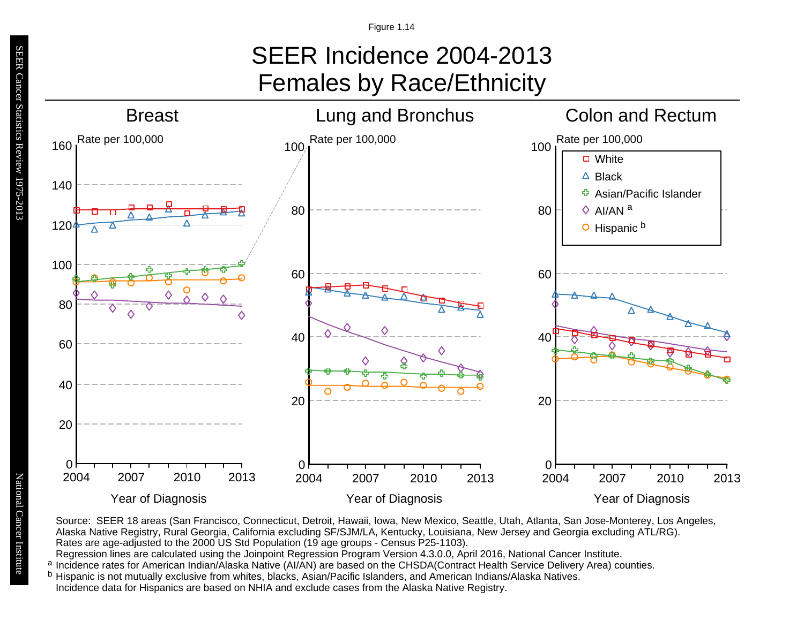# SEER Incidence 2004-2013 Females by Race/Ethnicity



Source: SEER 18 areas (San Francisco, Connecticut, Detroit, Hawaii, Iowa, New Mexico, Seattle, Utah, Atlanta, San Jose-Monterey, Los Angeles, Alaska Native Registry, Rural Georgia, California excluding SF/SJM/LA, Kentucky, Louisiana, New Jersey and Georgia excluding ATL/RG). Rates are age-adjusted to the 2000 US Std Population (19 age groups - Census P25-1103). Regression lines are calculated using the Joinpoint Regression Program Version 4.3.0.0, April 2016, National Cancer Institute.

- 
- <sup>a</sup> Incidence rates for American Indian/Ălaska Native (AI/ĀN) are based on the CHSDA(Contract Health Service Delivery Area) counties.<br><sup>b</sup> Hispanic is not mutually exclusive from whites, blacks, Asian/Pacific Islanders, and b Hispanic is not mutually exclusive from whites, blacks, Asian/Pacific Islanders, and American Indians/Alaska Natives. Incidence data for Hispanics are based on NHIA and exclude cases from the Alaska Native Registry.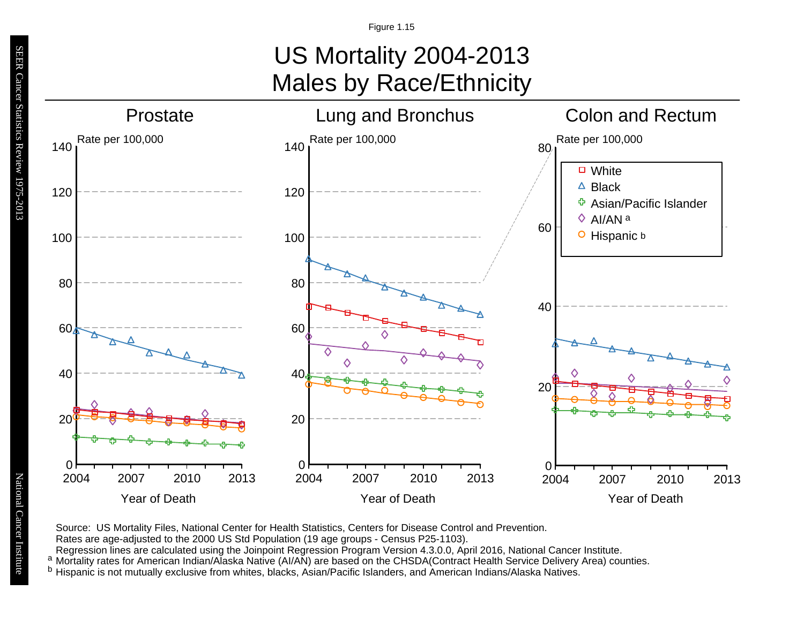# US Mortality 2004-2013 Males by Race/Ethnicity



Source: US Mortality Files, National Center for Health Statistics, Centers for Disease Control and Prevention.

Rates are age-adjusted to the 2000 US Std Population (19 age groups - Census P25-1103).

Regression lines are calculated using the Joinpoint Regression Program Version 4.3.0.0, April 2016, National Cancer Institute.

a Mortality rates for American Indian/Alaska Native (AI/AN) are based on the CHSDA(Contract Health Service Delivery Area) counties.

<sup>b</sup> Hispanic is not mutually exclusive from whites, blacks, Asian/Pacific Islanders, and American Indians/Alaska Natives.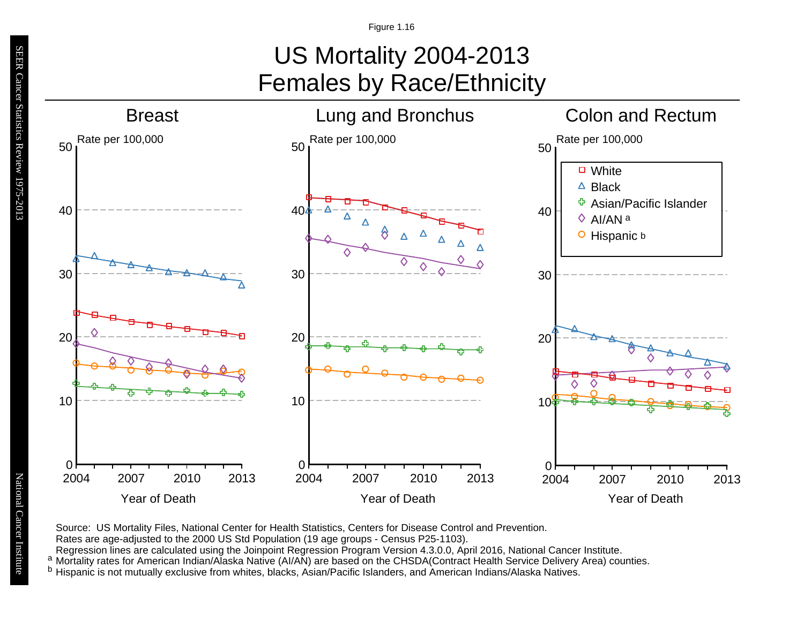# US Mortality 2004-2013 Females by Race/Ethnicity



Source: US Mortality Files, National Center for Health Statistics, Centers for Disease Control and Prevention.

Rates are age-adjusted to the 2000 US Std Population (19 age groups - Census P25-1103).

Regression lines are calculated using the Joinpoint Regression Program Version 4.3.0.0, April 2016, National Cancer Institute.

a Mortality rates for American Indian/Alaska Native (AI/AN) are based on the CHSDA(Contract Health Service Delivery Area) counties.

<sup>b</sup> Hispanic is not mutually exclusive from whites, blacks, Asian/Pacific Islanders, and American Indians/Alaska Natives.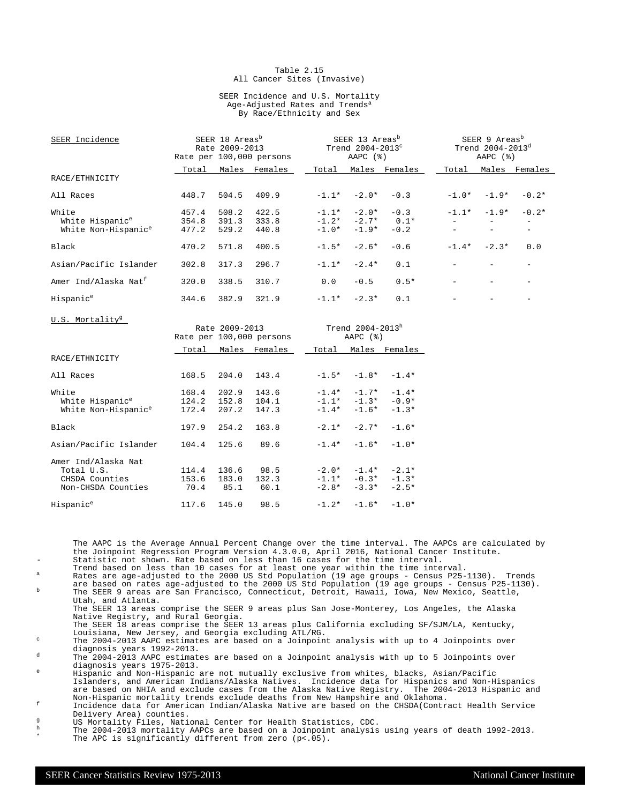### Table 2.15 All Cancer Sites (Invasive)

### SEER Incidence and U.S. Mortality Age-Adjusted Rates and Trends<sup>a</sup> By Race/Ethnicity and Sex

| SEER Incidence                   |       | SEER 18 Areas <sup>b</sup><br>Rate 2009-2013 | Rate per 100,000 persons                   |         | SEER 13 Areas <sup>b</sup><br>Trend $2004-2013^{\circ}$<br>$AAPC$ $(%)$ |                                         |                          | SEER 9 Areas <sup>b</sup><br>Trend $2004 - 2013^d$<br>AAPC $(%)$ |                          |
|----------------------------------|-------|----------------------------------------------|--------------------------------------------|---------|-------------------------------------------------------------------------|-----------------------------------------|--------------------------|------------------------------------------------------------------|--------------------------|
|                                  | Total |                                              | Males Females                              |         |                                                                         | Total Males Females Total Males Females |                          |                                                                  |                          |
| RACE/ETHNICITY                   |       |                                              |                                            |         |                                                                         |                                         |                          |                                                                  |                          |
| All Races                        | 448.7 | 504.5                                        | 409.9                                      |         | $-1.1* -2.0*$                                                           | $-0.3$                                  | $-1.0*$                  | $-1.9*$                                                          | $-0.2*$                  |
| White                            | 457.4 | 508.2                                        | 422.5                                      |         | $-1.1* -2.0* -0.3$                                                      |                                         | $-1.1*$                  | $-1.9*$                                                          | $-0.2*$                  |
| White Hispanic <sup>e</sup>      | 354.8 | 391.3                                        | 333.8                                      | $-1.2*$ | $-2.7*$                                                                 | $0.1*$                                  |                          | $\equiv$                                                         | $ \,$                    |
| White Non-Hispanic <sup>e</sup>  | 477.2 | 529.2                                        | 440.8                                      | $-1.0*$ | $-1.9*$                                                                 | $-0.2$                                  |                          | $\overline{\phantom{a}}$                                         | $\sim$                   |
| Black                            | 470.2 | 571.8                                        | 400.5                                      | $-1.5*$ | $-2.6*$                                                                 | $-0.6$                                  | $-1.4*$                  | $-2.3*$                                                          | 0.0                      |
| Asian/Pacific Islander           | 302.8 | 317.3                                        | 296.7                                      | $-1.1*$ | $-2.4*$                                                                 | 0.1                                     |                          | $\overline{\phantom{a}}$                                         | $\overline{\phantom{0}}$ |
| Amer Ind/Alaska Nat <sup>f</sup> | 320.0 | 338.5                                        | 310.7                                      | 0.0     | $-0.5$                                                                  | $0.5*$                                  | $\overline{\phantom{a}}$ | $\overline{\phantom{m}}$                                         | $-$                      |
| Hispanic <sup>e</sup>            | 344.6 | 382.9                                        | 321.9                                      |         | $-1.1* -2.3*$                                                           | 0.1                                     |                          |                                                                  |                          |
| U.S. Mortality <sup>g</sup>      |       |                                              |                                            |         |                                                                         |                                         |                          |                                                                  |                          |
|                                  |       |                                              | Rate 2009-2013<br>Rate per 100,000 persons |         | Trend 2004-2013h<br>AAPC $(%)$                                          |                                         |                          |                                                                  |                          |
|                                  | Total |                                              | Males Females                              |         |                                                                         | Total Males Females                     |                          |                                                                  |                          |
| RACE/ETHNICITY                   |       |                                              |                                            |         |                                                                         |                                         |                          |                                                                  |                          |
| All Races                        | 168.5 | 204.0                                        | 143.4                                      | $-1.5*$ | $-1.8*$                                                                 | $-1.4*$                                 |                          |                                                                  |                          |
| White                            | 168.4 | 202.9                                        | 143.6                                      |         |                                                                         | $-1.4* -1.7* -1.4*$                     |                          |                                                                  |                          |
| White Hispanic <sup>e</sup>      | 124.2 | 152.8                                        | 104.1                                      | $-1.1*$ |                                                                         | $-1.3* -0.9*$                           |                          |                                                                  |                          |
| White Non-Hispanic <sup>e</sup>  | 172.4 | 207.2                                        | 147.3                                      | $-1.4*$ | $-1.6*$                                                                 | $-1.3*$                                 |                          |                                                                  |                          |
| Black                            | 197.9 | 254.2                                        | 163.8                                      | $-2.1*$ | $-2.7*$                                                                 | $-1.6*$                                 |                          |                                                                  |                          |
| Asian/Pacific Islander           | 104.4 | 125.6                                        | 89.6                                       | $-1.4*$ | $-1.6*$                                                                 | $-1.0*$                                 |                          |                                                                  |                          |
| Amer Ind/Alaska Nat              |       |                                              |                                            |         |                                                                         |                                         |                          |                                                                  |                          |
| Total U.S.                       | 114.4 | 136.6                                        | 98.5                                       |         |                                                                         | $-2.0* -1.4* -2.1*$                     |                          |                                                                  |                          |
| CHSDA Counties                   | 153.6 | 183.0                                        | 132.3                                      |         |                                                                         | $-1.1* -0.3* -1.3*$                     |                          |                                                                  |                          |
| Non-CHSDA Counties               | 70.4  | 85.1                                         | 60.1                                       | $-2.8*$ |                                                                         | $-3.3* -2.5*$                           |                          |                                                                  |                          |
| Hispanic <sup>e</sup>            | 117.6 | 145.0                                        | 98.5                                       | $-1.2*$ |                                                                         | $-1.6* -1.0*$                           |                          |                                                                  |                          |

The AAPC is the Average Annual Percent Change over the time interval. The AAPCs are calculated by the Joinpoint Regression Program Version 4.3.0.0, April 2016, National Cancer Institute. Statistic not shown. Rate based on less than 16 cases for the time interval.

Trend based on less than 10 cases for at least one year within the time interval.

<sup>a</sup> Rates are age-adjusted to the 2000 US Std Population (19 age groups - Census P25-1130). Trends are based on rates age-adjusted to the 2000 US Std Population (19 age groups - Census P25-1130). <sup>b</sup> The SEER 9 areas are San Francisco, Connecticut, Detroit, Hawaii, Iowa, New Mexico, Seattle, Utah, and Atlanta.

The SEER 13 areas comprise the SEER 9 areas plus San Jose-Monterey, Los Angeles, the Alaska Native Registry, and Rural Georgia.

The SEER 18 areas comprise the SEER 13 areas plus California excluding SF/SJM/LA, Kentucky,

Louisiana, New Jersey, and Georgia excluding ATL/RG. <sup>c</sup> The 2004-2013 AAPC estimates are based on a Joinpoint analysis with up to 4 Joinpoints over diagnosis years 1992-2013.

<sup>d</sup> The 2004-2013 AAPC estimates are based on a Joinpoint analysis with up to 5 Joinpoints over diagnosis years 1975-2013.

<sup>e</sup> Hispanic and Non-Hispanic are not mutually exclusive from whites, blacks, Asian/Pacific Islanders, and American Indians/Alaska Natives. Incidence data for Hispanics and Non-Hispanics are based on NHIA and exclude cases from the Alaska Native Registry. The 2004-2013 Hispanic and Non-Hispanic mortality trends exclude deaths from New Hampshire and Oklahoma.

<sup>f</sup> Incidence data for American Indian/Alaska Native are based on the CHSDA(Contract Health Service Delivery Area) counties.

g<br>
US Mortality Files, National Center for Health Statistics, CDC.<br>
The 2004-2012 metality ADGs are based an a Joinnaint applying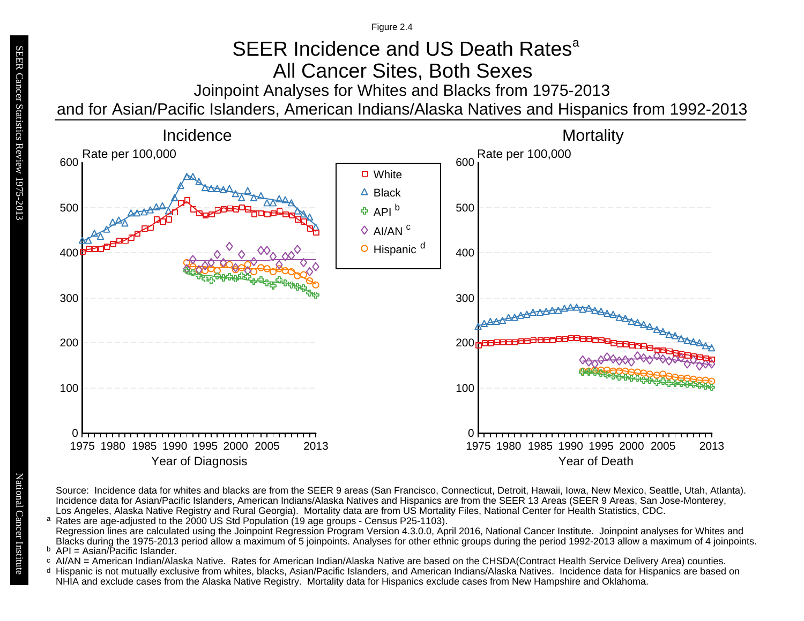Figure 2.4

# Joinpoint Analyses for Whites and Blacks from 1975-2013 SEER Incidence and US Death Rates<sup>a</sup> All Cancer Sites, Both Sexes

and for Asian/Pacific Islanders, American Indians/Alaska Natives and Hispanics from 1992-2013



Source: Incidence data for whites and blacks are from the SEER 9 areas (San Francisco, Connecticut, Detroit, Hawaii, Iowa, New Mexico, Seattle, Utah, Atlanta). Incidence data for Asian/Pacific Islanders, American Indians/Alaska Natives and Hispanics are from the SEER 13 Areas (SEER 9 Areas, San Jose-Monterey, Los Angeles, Alaska Native Registry and Rural Georgia). Mortality data are from US Mortality Files, National Center for Health Statistics, CDC. <sup>a</sup> Rates are age-adjusted to the 2000 US Std Population (19 age groups - Census P25-1103).

- <sup>b</sup> API = Asian/Pacific Islander.<br>○ AI/AN = American Indian/Ala AI/AN = American Indian/Alaska Native. Rates for American Indian/Alaska Native are based on the CHSDA(Contract Health Service Delivery Area) counties.
- Hispanic is not mutually exclusive from whites, blacks, Asian/Pacific Islanders, and American Indians/Alaska Natives. Incidence data for Hispanics are based on NHIA and exclude cases from the Alaska Native Registry. Mortality data for Hispanics exclude cases from New Hampshire and Oklahoma. a<br>b<br>d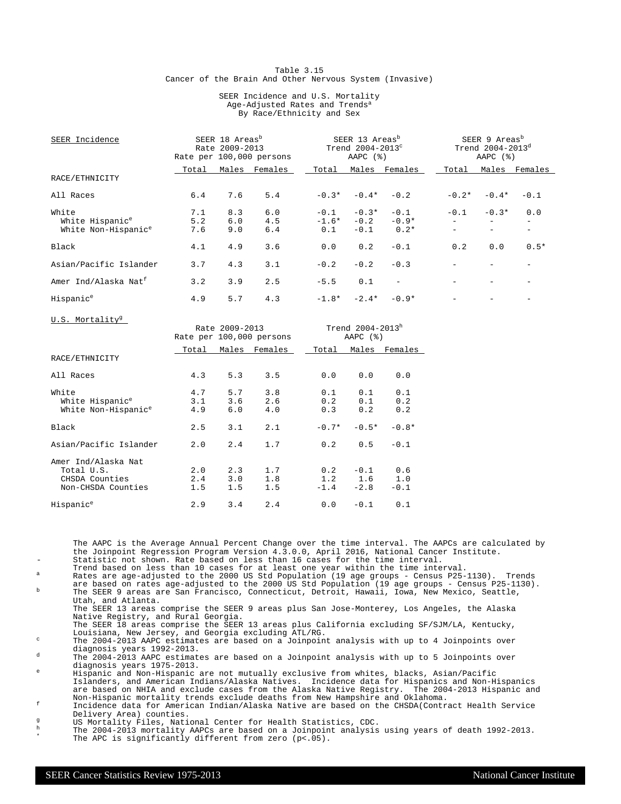### Table 3.15 Cancer of the Brain And Other Nervous System (Invasive)

### SEER Incidence and U.S. Mortality Age-Adjusted Rates and Trends<sup>a</sup> By Race/Ethnicity and Sex

| SEER Incidence                   |       | SEER 18 Areas <sup>b</sup><br>Rate 2009-2013 | Rate per 100,000 persons |         | SEER 13 Areas <sup>b</sup><br>Trend 2004-2013 <sup>c</sup><br>AAPC $(%)$ |                          |          | SEER 9 Areas <sup>b</sup><br>Trend $2004 - 2013^d$<br>AAPC $(%)$ |               |
|----------------------------------|-------|----------------------------------------------|--------------------------|---------|--------------------------------------------------------------------------|--------------------------|----------|------------------------------------------------------------------|---------------|
|                                  | Total |                                              | Males Females            | Total   |                                                                          | Males Females            | Total    |                                                                  | Males Females |
| RACE/ETHNICITY                   |       |                                              |                          |         |                                                                          |                          |          |                                                                  |               |
| All Races                        | 6.4   | 7.6                                          | 5.4                      | $-0.3*$ | $-0.4*$                                                                  | $-0.2$                   | $-0.2*$  | $-0.4*$                                                          | $-0.1$        |
| White                            | 7.1   | 8.3                                          | 6.0                      | $-0.1$  | $-0.3*$                                                                  | $-0.1$                   | $-0.1$   | $-0.3*$                                                          | 0.0           |
| White Hispanic <sup>e</sup>      | 5.2   | 6.0                                          | 4.5                      | $-1.6*$ | $-0.2$                                                                   | $-0.9*$                  |          |                                                                  |               |
| White Non-Hispanic <sup>e</sup>  | 7.6   | 9.0                                          | 6.4                      | 0.1     | $-0.1$                                                                   | $0.2*$                   | $\equiv$ | $\equiv$                                                         |               |
| Black                            | 4.1   | 4.9                                          | 3.6                      | 0.0     | 0.2                                                                      | $-0.1$                   | 0.2      | 0.0                                                              | $0.5*$        |
| Asian/Pacific Islander           | 3.7   | 4.3                                          | 3.1                      | $-0.2$  | $-0.2$                                                                   | $-0.3$                   |          |                                                                  |               |
| Amer Ind/Alaska Nat <sup>f</sup> | 3.2   | 3.9                                          | 2.5                      | $-5.5$  | 0.1                                                                      | $\overline{\phantom{a}}$ |          |                                                                  |               |
| Hispanic <sup>e</sup>            | 4.9   | 5.7                                          | 4.3                      | $-1.8*$ | $-2.4*$                                                                  | $-0.9*$                  |          |                                                                  |               |

 $P_{\text{at}}$  2009-2013 Trend 2004-2013h

U.S. Mortality<sup>g</sup>

|                                 | nduc 2009 2019<br>Rate per 100,000 persons |       |         | 110110 2001 2019<br>AAPC $(%)$ |         |         |  |
|---------------------------------|--------------------------------------------|-------|---------|--------------------------------|---------|---------|--|
|                                 | Total                                      | Males | Females | Total                          | Males   | Females |  |
| RACE/ETHNICITY                  |                                            |       |         |                                |         |         |  |
| All Races                       | 4.3                                        | 5.3   | 3.5     | 0.0                            | 0.0     | 0.0     |  |
| White                           | 4.7                                        | 5.7   | 3.8     | 0.1                            | 0.1     | 0.1     |  |
| White Hispanic <sup>e</sup>     | 3.1                                        | 3.6   | 2.6     | 0.2                            | 0.1     | 0.2     |  |
| White Non-Hispanic <sup>e</sup> | 4.9                                        | 6.0   | 4.0     | 0.3                            | 0.2     | 0.2     |  |
| Black                           | 2.5                                        | 3.1   | 2.1     | $-0.7*$                        | $-0.5*$ | $-0.8*$ |  |
| Asian/Pacific Islander          | 2.0                                        | 2.4   | 1.7     | 0.2                            | $0.5 -$ | $-0.1$  |  |
| Amer Ind/Alaska Nat             |                                            |       |         |                                |         |         |  |
| Total U.S.                      | 2.0                                        | 2.3   | 1.7     | 0.2                            | $-0.1$  | 0.6     |  |
| CHSDA Counties                  | 2.4                                        | 3.0   | 1.8     | 1.2                            | 1.6     | 1.0     |  |
| Non-CHSDA Counties              | 1.5                                        | 1.5   | 1.5     | $-1.4$                         | $-2.8$  | $-0.1$  |  |
| Hispanic <sup>e</sup>           | 2.9                                        | 3.4   | 2.4     | 0.0                            | $-0.1$  | 0.1     |  |

The AAPC is the Average Annual Percent Change over the time interval. The AAPCs are calculated by the Joinpoint Regression Program Version 4.3.0.0, April 2016, National Cancer Institute. Statistic not shown. Rate based on less than 16 cases for the time interval.

Trend based on less than 10 cases for at least one year within the time interval.

a Rates are age-adjusted to the 2000 US Std Population (19 age groups - Census P25-1130). Trends are based on rates age-adjusted to the 2000 US Std Population (19 age groups - Census P25-1130). <sup>b</sup> The SEER 9 areas are San Francisco, Connecticut, Detroit, Hawaii, Iowa, New Mexico, Seattle, Utah, and Atlanta.

The SEER 13 areas comprise the SEER 9 areas plus San Jose-Monterey, Los Angeles, the Alaska Native Registry, and Rural Georgia.

The SEER 18 areas comprise the SEER 13 areas plus California excluding SF/SJM/LA, Kentucky,

Louisiana, New Jersey, and Georgia excluding ATL/RG. <sup>c</sup> The 2004-2013 AAPC estimates are based on a Joinpoint analysis with up to 4 Joinpoints over diagnosis years 1992-2013.

<sup>d</sup> The 2004-2013 AAPC estimates are based on a Joinpoint analysis with up to 5 Joinpoints over diagnosis years 1975-2013.

<sup>e</sup> Hispanic and Non-Hispanic are not mutually exclusive from whites, blacks, Asian/Pacific Islanders, and American Indians/Alaska Natives. Incidence data for Hispanics and Non-Hispanics are based on NHIA and exclude cases from the Alaska Native Registry. The 2004-2013 Hispanic and Non-Hispanic mortality trends exclude deaths from New Hampshire and Oklahoma.

<sup>f</sup> Incidence data for American Indian/Alaska Native are based on the CHSDA(Contract Health Service Delivery Area) counties.

<sup>g</sup> US Mortality Files, National Center for Health Statistics, CDC.<br>h The 2004 2012 mentality APOs are based an a Joinnaint applysis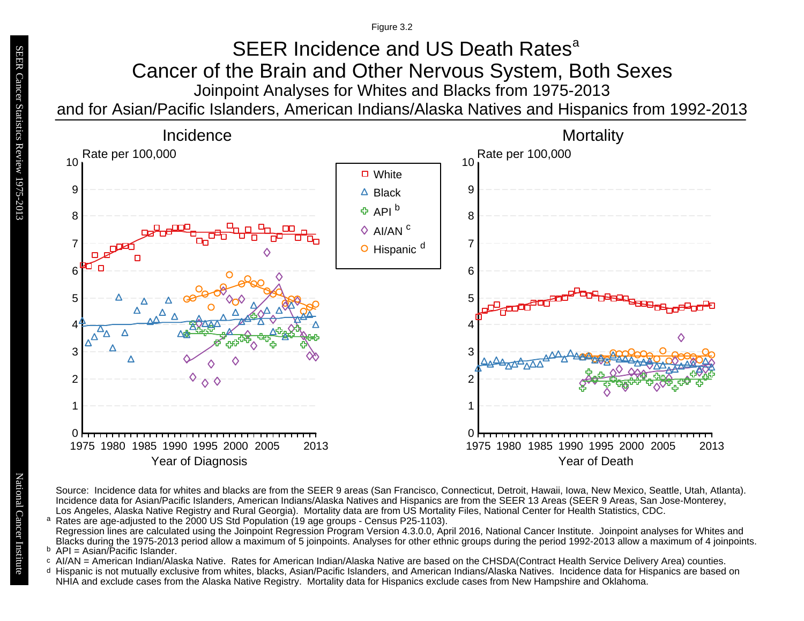Figure 3.2

# Joinpoint Analyses for Whites and Blacks from 1975-2013 and for Asian/Pacific Islanders, American Indians/Alaska Natives and Hispanics from 1992-2013 SEER Incidence and US Death Rates<sup>a</sup> Cancer of the Brain and Other Nervous System, Both Sexes



Source: Incidence data for whites and blacks are from the SEER 9 areas (San Francisco, Connecticut, Detroit, Hawaii, Iowa, New Mexico, Seattle, Utah, Atlanta). Incidence data for Asian/Pacific Islanders, American Indians/Alaska Natives and Hispanics are from the SEER 13 Areas (SEER 9 Areas, San Jose-Monterey, Los Angeles, Alaska Native Registry and Rural Georgia). Mortality data are from US Mortality Files, National Center for Health Statistics, CDC. <sup>a</sup> Rates are age-adjusted to the 2000 US Std Population (19 age groups - Census P25-1103).

- <sup>b</sup> API = Asian/Pacific Islander.<br>○ AI/AN = American Indian/Ala AI/AN = American Indian/Alaska Native. Rates for American Indian/Alaska Native are based on the CHSDA(Contract Health Service Delivery Area) counties.
- Hispanic is not mutually exclusive from whites, blacks, Asian/Pacific Islanders, and American Indians/Alaska Natives. Incidence data for Hispanics are based on NHIA and exclude cases from the Alaska Native Registry. Mortality data for Hispanics exclude cases from New Hampshire and Oklahoma. a<br>b<br>d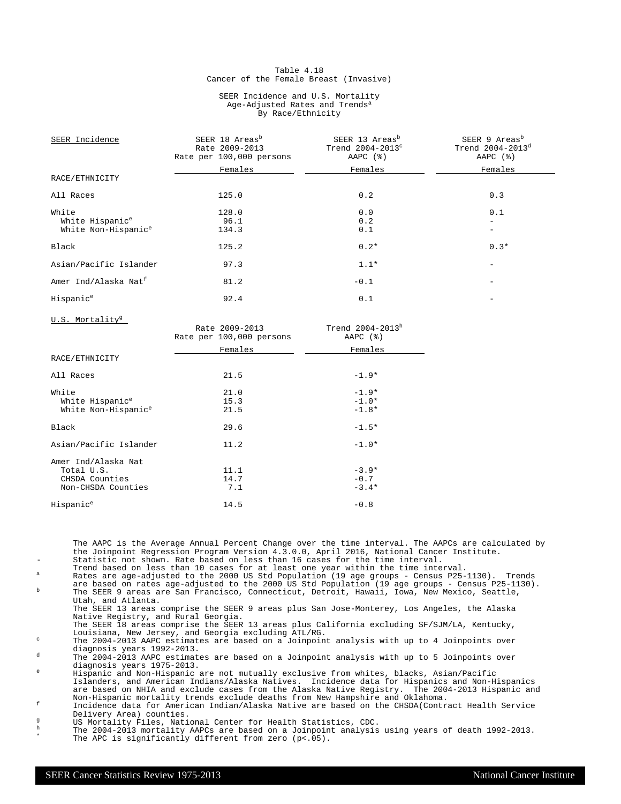### Table 4.18 Cancer of the Female Breast (Invasive)

### SEER Incidence and U.S. Mortality Age-Adjusted Rates and Trends<sup>a</sup> By Race/Ethnicity

| SEER Incidence                   | SEER 18 Areas <sup>b</sup><br>Rate 2009-2013<br>Rate per 100,000 persons | SEER 13 Areas <sup>b</sup><br>Trend 2004-2013°<br>AAPC $(%)$ | SEER 9 Areas <sup>b</sup><br>Trend 2004-2013 <sup>d</sup><br>AAPC $(%)$ |
|----------------------------------|--------------------------------------------------------------------------|--------------------------------------------------------------|-------------------------------------------------------------------------|
|                                  | Females                                                                  | Females                                                      | Females                                                                 |
| RACE/ETHNICITY                   |                                                                          |                                                              |                                                                         |
| All Races                        | 125.0                                                                    | 0.2                                                          | 0.3                                                                     |
| White                            | 128.0                                                                    | 0.0                                                          | 0.1                                                                     |
| White Hispanic <sup>e</sup>      | 96.1                                                                     | 0.2                                                          |                                                                         |
| White Non-Hispanic <sup>e</sup>  | 134.3                                                                    | 0.1                                                          |                                                                         |
| Black                            | 125.2                                                                    | $0.2*$                                                       | $0.3*$                                                                  |
| Asian/Pacific Islander           | 97.3                                                                     | $1.1*$                                                       |                                                                         |
| Amer Ind/Alaska Nat <sup>f</sup> | 81.2                                                                     | $-0.1$                                                       |                                                                         |
| Hispanic <sup>e</sup>            | 92.4                                                                     | 0.1                                                          |                                                                         |

U.S. Mortality<sup>9</sup>

|                                 | Rate 2009-2013<br>Rate per 100,000 persons | Trend $2004 - 2013^h$<br>AAPC $(%)$ |
|---------------------------------|--------------------------------------------|-------------------------------------|
|                                 | Females                                    | Females                             |
| RACE/ETHNICITY                  |                                            |                                     |
| All Races                       | 21.5                                       | $-1.9*$                             |
| White                           | 21.0                                       | $-1.9*$                             |
| White Hispanic <sup>e</sup>     | 15.3                                       | $-1.0*$                             |
| White Non-Hispanic <sup>e</sup> | 21.5                                       | $-1.8*$                             |
| Black                           | 29.6                                       | $-1.5*$                             |
| Asian/Pacific Islander          | 11.2                                       | $-1.0*$                             |
| Amer Ind/Alaska Nat             |                                            |                                     |
| Total U.S.                      | 11.1                                       | $-3.9*$                             |
| CHSDA Counties                  | 14.7                                       | $-0.7$                              |
| Non-CHSDA Counties              | 7.1                                        | $-3.4*$                             |
| Hispanic <sup>e</sup>           | 14.5                                       | $-0.8$                              |

The AAPC is the Average Annual Percent Change over the time interval. The AAPCs are calculated by the Joinpoint Regression Program Version 4.3.0.0, April 2016, National Cancer Institute. Statistic not shown. Rate based on less than 16 cases for the time interval.

Trend based on less than 10 cases for at least one year within the time interval.

<sup>a</sup> Rates are age-adjusted to the 2000 US Std Population (19 age groups - Census P25-1130). Trends are based on rates age-adjusted to the 2000 US Std Population (19 age groups - Census P25-1130). <sup>b</sup> The SEER 9 areas are San Francisco, Connecticut, Detroit, Hawaii, Iowa, New Mexico, Seattle, Utah, and Atlanta. The SEER 13 areas comprise the SEER 9 areas plus San Jose-Monterey, Los Angeles, the Alaska

Native Registry, and Rural Georgia. The SEER 18 areas comprise the SEER 13 areas plus California excluding SF/SJM/LA, Kentucky,

Louisiana, New Jersey, and Georgia excluding ATL/RG. <sup>c</sup> The 2004-2013 AAPC estimates are based on a Joinpoint analysis with up to 4 Joinpoints over diagnosis years 1992-2013.

<sup>d</sup> The 2004-2013 AAPC estimates are based on a Joinpoint analysis with up to 5 Joinpoints over diagnosis years 1975-2013.

<sup>e</sup> Hispanic and Non-Hispanic are not mutually exclusive [from whites, blacks, Asian/Pacific](http://surveillance.cancer.gov/devcan/) Islanders, and American Indians/Alaska Natives. Incidence data for Hispanics and Non-Hispanics are based on NHIA and exclude cases from the Alaska Native Registry. The 2004-2013 Hispanic and Non-Hispanic mortality trends exclude deaths from New Hampshire and Oklahoma.

<sup>f</sup> Incidence data for American Indian/Alaska Native are based on the CHSDA(Contract Health Service Delivery Area) counties.

g<br>
US Mortality Files, National Center for Health Statistics, CDC.<br>
The 2004-2012 metality ADGs are based an a Joinnaint applying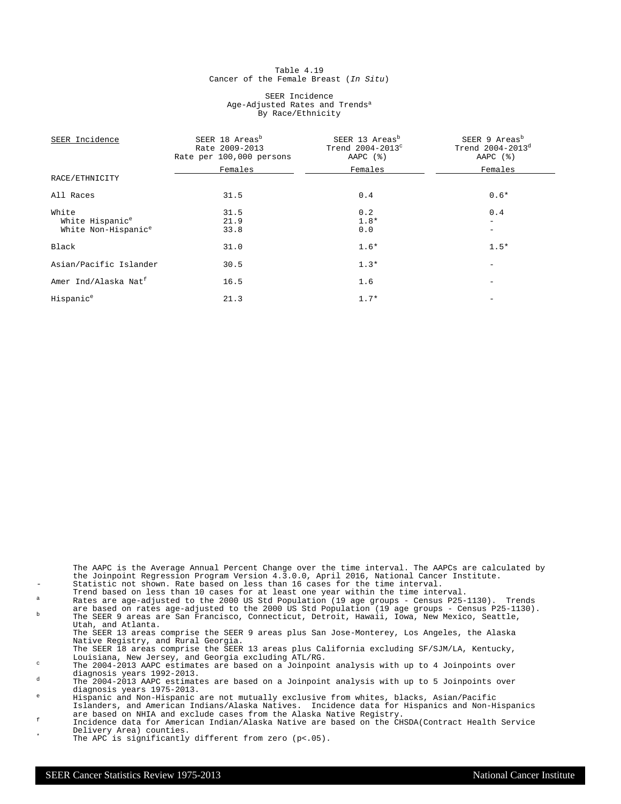### Table 4.19 Cancer of the Female Breast (In Situ)

### SEER Incidence Age-Adjusted Rates and Trends<sup>a</sup> By Race/Ethnicity

| SEER Incidence                   | SEER 18 Areas <sup>b</sup><br>Rate 2009-2013<br>Rate per 100,000 persons | SEER 13 Areas <sup>b</sup><br>Trend $2004-2013^{\circ}$<br>AAPC $(%)$ | SEER 9 Areas <sup>b</sup><br>Trend $2004 - 2013^d$<br>AAPC $(%)$ |
|----------------------------------|--------------------------------------------------------------------------|-----------------------------------------------------------------------|------------------------------------------------------------------|
|                                  | Females                                                                  | Females                                                               | Females                                                          |
| RACE/ETHNICITY                   |                                                                          |                                                                       |                                                                  |
| All Races                        | 31.5                                                                     | 0.4                                                                   | $0.6*$                                                           |
| White                            | 31.5                                                                     | 0.2                                                                   | 0.4                                                              |
| White Hispanic <sup>e</sup>      | 21.9                                                                     | $1.8*$                                                                |                                                                  |
| White Non-Hispanic <sup>e</sup>  | 33.8                                                                     | 0.0                                                                   | -                                                                |
| Black                            | 31.0                                                                     | $1.6*$                                                                | $1.5*$                                                           |
| Asian/Pacific Islander           | 30.5                                                                     | $1.3*$                                                                |                                                                  |
| Amer Ind/Alaska Nat <sup>f</sup> | 16.5                                                                     | 1.6                                                                   |                                                                  |
| Hispanic <sup>e</sup>            | 21.3                                                                     | $1.7*$                                                                |                                                                  |

The AAPC is the Average Annual Percent Change over the time interval. The AAPCs are calculated by the Joinpoint Regression Program Version 4.3.0.0, April 2016, National Cancer Institute. Statistic not shown. Rate based on less than 16 cases for the time interval. Trend based on less than 10 cases for at least one year within the time interval. <sup>a</sup> Rates are age-adjusted to the 2000 US Std Population (19 age groups - Census P25-1130). Trends are based on rates age-adjusted to the 2000 US Std Population (19 age groups - Census P25-1130). <sup>b</sup> The SEER 9 areas are San Francisco, Connecticut, Detroit, Hawaii, Iowa, New Mexico, Seattle, Utah, and Atlanta. The SEER 13 areas comprise the SEER 9 areas plus San Jose-Monterey, Los Angeles, the Alaska Native Registry, and Rural Georgia. The SEER 18 areas comprise the SEER 13 areas plus California excluding SF/SJM/LA, Kentucky, Louisiana, New Jersey, and Georgia excluding ATL/RG. <sup>c</sup> The 2004-2013 AAPC estimates are based on a Joinpoint analysis with up to 4 Joinpoints over diagnosis years 1992-2013.  $d$  The 2004-2013 AAPC estimates are based on a Joinpoint analysis with up to 5 Joinpoints over diagnosis years 1975-2013. <sup>e</sup> Hispanic and Non-Hispanic are not mutually exclusive from whites, blacks, Asian/Pacific Islanders, and American Indians/Alaska Natives. Incidence data for Hispanics and Non-Hispanics are based on NHIA and exclude cases from the Alaska Native Registry.

<sup>f</sup> Incidence data for American Indian/Alaska Native are based on the CHSDA(Contract Health Service Delivery Area) counties.

The APC is significantly different from zero  $(p<.05)$ .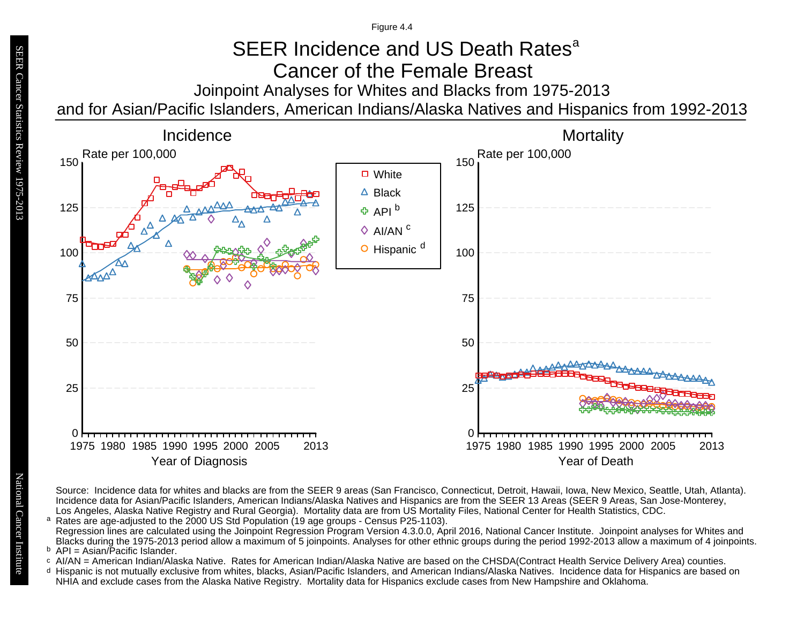Figure 4.4

# SEER Incidence and US Death Rates<sup>a</sup> Cancer of the Female Breast

Joinpoint Analyses for Whites and Blacks from 1975-2013

and for Asian/Pacific Islanders, American Indians/Alaska Natives and Hispanics from 1992-2013



Source: Incidence data for whites and blacks are from the SEER 9 areas (San Francisco, Connecticut, Detroit, Hawaii, Iowa, New Mexico, Seattle, Utah, Atlanta). Incidence data for Asian/Pacific Islanders, American Indians/Alaska Natives and Hispanics are from the SEER 13 Areas (SEER 9 Areas, San Jose-Monterey, Los Angeles, Alaska Native Registry and Rural Georgia). Mortality data are from US Mortality Files, National Center for Health Statistics, CDC. <sup>a</sup> Rates are age-adjusted to the 2000 US Std Population (19 age groups - Census P25-1103).

Regression lines are calculated using the Joinpoint Regression Program Version 4.3.0.0, April 2016, National Cancer Institute. Joinpoint analyses for Whites and Blacks during the 1975-2013 period allow a maximum of 5 joinpoints. Analyses for other ethnic groups during the period 1992-2013 allow a maximum of 4 joinpoints.

<sup>b</sup> API = Asian/Pacific Islander.<br>○ AI/AN = American Indian/Ala AI/AN = American Indian/Alaska Native. Rates for American Indian/Alaska Native are based on the CHSDA(Contract Health Service Delivery Area) counties.

Hispanic is not mutually exclusive from whites, blacks, Asian/Pacific Islanders, and American Indians/Alaska Natives. Incidence data for Hispanics are based on NHIA and exclude cases from the Alaska Native Registry. Mortality data for Hispanics exclude cases from New Hampshire and Oklahoma. a<br>b<br>d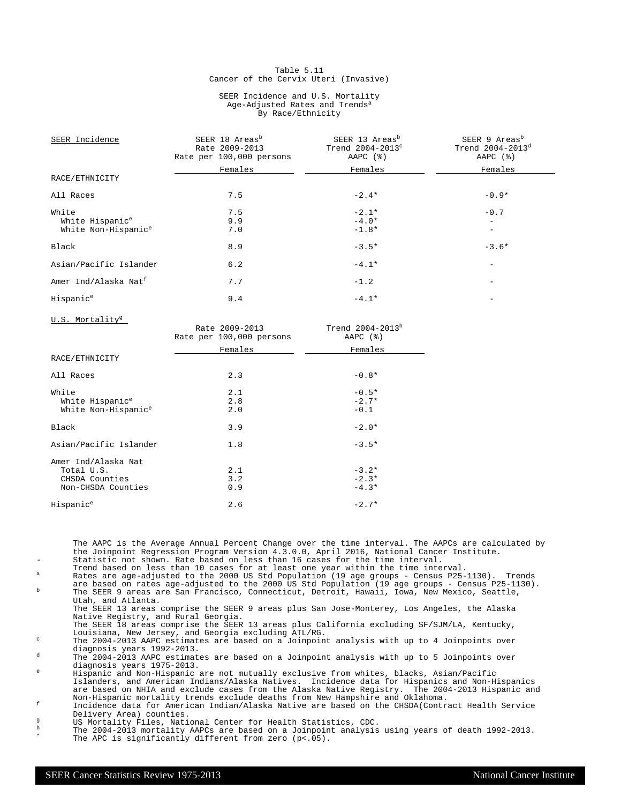### Table 5.11 Cancer of the Cervix Uteri (Invasive)

### SEER Incidence and U.S. Mortality Age-Adjusted Rates and Trends<sup>a</sup> By Race/Ethnicity

| SEER Incidence                   | SEER 18 Areas <sup>b</sup><br>Rate 2009-2013<br>Rate per 100,000 persons | SEER 13 Areas <sup>b</sup><br>Trend $2004-2013^{\circ}$<br>AAPC $(%)$ | SEER 9 Areas <sup>b</sup><br>Trend 2004-2013 <sup>d</sup><br>AAPC $(%)$ |
|----------------------------------|--------------------------------------------------------------------------|-----------------------------------------------------------------------|-------------------------------------------------------------------------|
|                                  | Females                                                                  | Females                                                               | Females                                                                 |
| RACE/ETHNICITY                   |                                                                          |                                                                       |                                                                         |
| All Races                        | 7.5                                                                      | $-2.4*$                                                               | $-0.9*$                                                                 |
| White                            | 7.5                                                                      | $-2.1*$                                                               | $-0.7$                                                                  |
| White Hispanic <sup>e</sup>      | 9.9                                                                      | $-4.0*$                                                               | -                                                                       |
| White Non-Hispanic <sup>e</sup>  | 7.0                                                                      | $-1.8*$                                                               | -                                                                       |
| Black                            | 8.9                                                                      | $-3.5*$                                                               | $-3.6*$                                                                 |
| Asian/Pacific Islander           | 6.2                                                                      | $-4.1*$                                                               |                                                                         |
| Amer Ind/Alaska Nat <sup>f</sup> | 7.7                                                                      | $-1.2$                                                                |                                                                         |
| Hispanic <sup>e</sup>            | 9.4                                                                      | $-4.1*$                                                               |                                                                         |

U.S. Mortality<sup>9</sup>

|                                 | Rate 2009-2013<br>Rate per 100,000 persons | Trend 2004-2013h<br>AAPC $(%)$ |
|---------------------------------|--------------------------------------------|--------------------------------|
|                                 | Females                                    | Females                        |
| RACE/ETHNICITY                  |                                            |                                |
| All Races                       | 2.3                                        | $-0.8*$                        |
| White                           | 2.1                                        | $-0.5*$                        |
| White Hispanic <sup>e</sup>     | 2.8                                        | $-2.7*$                        |
| White Non-Hispanic <sup>e</sup> | 2.0                                        | $-0.1$                         |
| Black                           | 3.9                                        | $-2.0*$                        |
| Asian/Pacific Islander          | 1.8                                        | $-3.5*$                        |
| Amer Ind/Alaska Nat             |                                            |                                |
| Total U.S.                      | 2.1                                        | $-3.2*$                        |
| CHSDA Counties                  | 3.2                                        | $-2.3*$                        |
| Non-CHSDA Counties              | 0.9                                        | $-4.3*$                        |
| Hispanic <sup>e</sup>           | 2.6                                        | $-2.7*$                        |

The AAPC is the Average Annual Percent Change over the time interval. The AAPCs are calculated by the Joinpoint Regression Program Version 4.3.0.0, April 2016, National Cancer Institute. Statistic not shown. Rate based on less than 16 cases for the time interval.

- Trend based on less than 10 cases for at least one year within the time interval.
- <sup>a</sup> Rates are age-adjusted to the 2000 US Std Population (19 age groups Census P25-1130). Trends
- are based on rates age-adjusted to the 2000 US Std Population (19 age groups Census P25-1130). <sup>b</sup> The SEER 9 areas are San Francisco, Connecticut, Detroit, Hawaii, Iowa, New Mexico, Seattle, Utah, and Atlanta. The SEER 13 areas comprise the SEER 9 areas plus San Jose-Monterey, Los Angeles, the Alaska

Native Registry, and Rural Georgia. The SEER 18 areas comprise the SEER 13 areas plus California excluding SF/SJM/LA, Kentucky,

Louisiana, New Jersey, and Georgia excluding ATL/RG. <sup>c</sup> The 2004-2013 AAPC estimates are based on a Joinpoint analysis with up to 4 Joinpoints over

diagnosis years 1992-2013.

<sup>d</sup> The 2004-2013 AAPC estimates are based on a Joinpoint analysis with up to 5 Joinpoints over diagnosis years 1975-2013.

<sup>e</sup> Hispanic and Non-Hispanic are not mutually exclusive from whites, blacks, Asian/Pacific Islanders, and American Indians/Alaska Natives. Incidence data for Hispanics and Non-Hispanics are based on NHIA and exclude cases from the Alaska Native Registry. The 2004-2013 Hispanic and Non-Hispanic mortality trends exclude deaths from New Hampshire and Oklahoma.

<sup>f</sup> Incidence data for American Indian/Alaska Native are based on the CHSDA(Contract Health Service Delivery Area) counties.

g<br>
US Mortality Files, National Center for Health Statistics, CDC.<br>
The 2004-2012 metality ADGs are based an a Joinnaint applying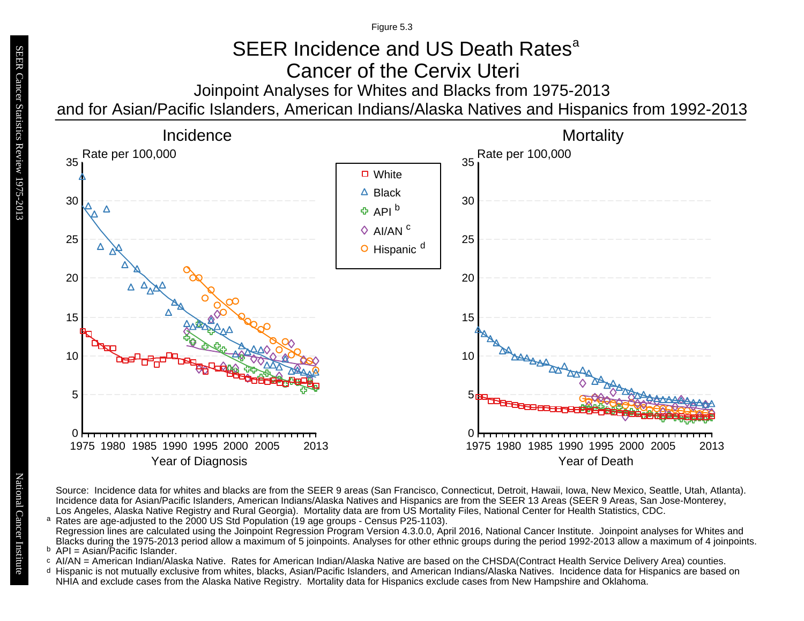### Joinpoint Analyses for Whites and Blacks from 1975-2013 and for Asian/Pacific Islanders, American Indians/Alaska Natives and Hispanics from 1992-2013 SEER Incidence and US Death Rates<sup>a</sup> Cancer of the Cervix Uteri Figure 5.3



Source: Incidence data for whites and blacks are from the SEER 9 areas (San Francisco, Connecticut, Detroit, Hawaii, Iowa, New Mexico, Seattle, Utah, Atlanta). Incidence data for Asian/Pacific Islanders, American Indians/Alaska Natives and Hispanics are from the SEER 13 Areas (SEER 9 Areas, San Jose-Monterey, Los Angeles, Alaska Native Registry and Rural Georgia). Mortality data are from US Mortality Files, National Center for Health Statistics, CDC. <sup>a</sup> Rates are age-adjusted to the 2000 US Std Population (19 age groups - Census P25-1103).

Regression lines are calculated using the Joinpoint Regression Program Version 4.3.0.0, April 2016, National Cancer Institute. Joinpoint analyses for Whites and Blacks during the 1975-2013 period allow a maximum of 5 joinpoints. Analyses for other ethnic groups during the period 1992-2013 allow a maximum of 4 joinpoints.

- <sup>b</sup> API = Asian/Pacific Islander.<br>○ AI/AN = American Indian/Ala AI/AN = American Indian/Alaska Native. Rates for American Indian/Alaska Native are based on the CHSDA(Contract Health Service Delivery Area) counties.
- Hispanic is not mutually exclusive from whites, blacks, Asian/Pacific Islanders, and American Indians/Alaska Natives. Incidence data for Hispanics are based on NHIA and exclude cases from the Alaska Native Registry. Mortality data for Hispanics exclude cases from New Hampshire and Oklahoma. a<br>b<br>d

National Cancer InstituteNational Cancer Institute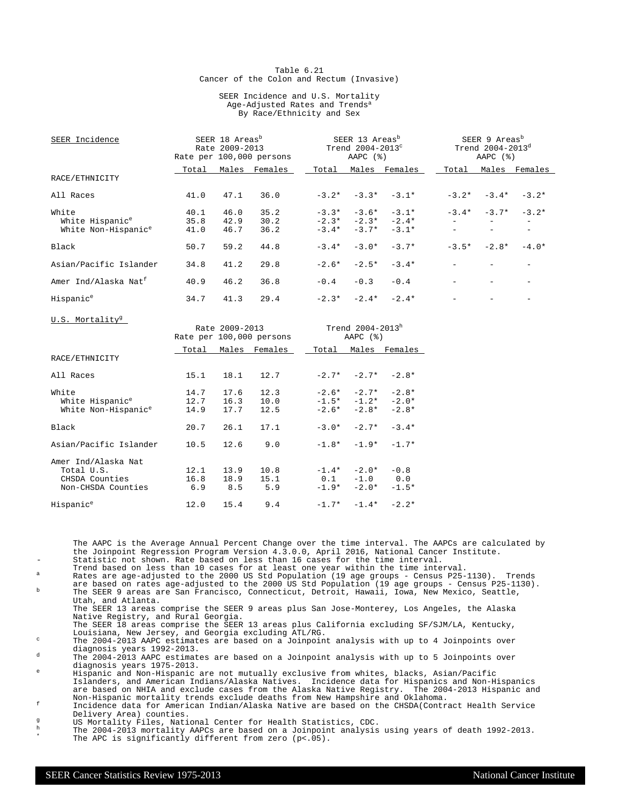### Table 6.21 Cancer of the Colon and Rectum (Invasive)

### SEER Incidence and U.S. Mortality Age-Adjusted Rates and Trends<sup>a</sup> By Race/Ethnicity and Sex

| SEER Incidence                   | SEER 18 Areas <sup>b</sup><br>Rate 2009-2013<br>Rate per 100,000 persons |                |                          |         | SEER 13 Areas <sup>b</sup><br>Trend 2004-2013 $^{\rm c}$<br>$AAPC$ $(%)$ |                            | SEER 9 Areas <sup>b</sup><br>Trend 2004-2013 <sup>d</sup><br>AAPC $(%)$ |                          |                          |  |
|----------------------------------|--------------------------------------------------------------------------|----------------|--------------------------|---------|--------------------------------------------------------------------------|----------------------------|-------------------------------------------------------------------------|--------------------------|--------------------------|--|
|                                  | Total                                                                    |                | Males Females            | Total   |                                                                          | Males Females              | Total                                                                   |                          | Males Females            |  |
| RACE/ETHNICITY                   |                                                                          |                |                          |         |                                                                          |                            |                                                                         |                          |                          |  |
| All Races                        | 41.0                                                                     | 47.1           | 36.0                     |         |                                                                          | $-3.2$ * $-3.3$ * $-3.1$ * |                                                                         | $-3.2* -3.4*$            | $-3.2*$                  |  |
| White                            | 40.1                                                                     | 46.0           | 35.2                     |         |                                                                          | $-3.3* -3.6* -3.1*$        |                                                                         | $-3.4* -3.7* -3.2*$      |                          |  |
| White Hispanic <sup>e</sup>      | 35.8                                                                     | 42.9           | 30.2                     |         |                                                                          | $-2.3* -2.3* -2.4*$        |                                                                         |                          |                          |  |
| White Non-Hispanic <sup>e</sup>  | 41.0                                                                     | 46.7           | 36.2                     |         |                                                                          | $-3.4* -3.7* -3.1*$        |                                                                         | $\equiv$                 | $\sim$                   |  |
| Black                            | 50.7                                                                     | 59.2           | 44.8                     | $-3.4*$ | $-3.0*$                                                                  | $-3.7*$                    |                                                                         | $-3.5* -2.8*$            | $-4.0*$                  |  |
| Asian/Pacific Islander           | 34.8                                                                     | 41.2           | 29.8                     | $-2.6*$ | $-2.5*$                                                                  | $-3.4*$                    |                                                                         |                          | $\overline{\phantom{a}}$ |  |
| Amer Ind/Alaska Nat <sup>f</sup> | 40.9                                                                     | 46.2           | 36.8                     | $-0.4$  | $-0.3$                                                                   | $-0.4$                     | $\overline{\phantom{m}}$                                                | $\overline{\phantom{a}}$ | $\overline{\phantom{a}}$ |  |
| Hispanic <sup>e</sup>            | 34.7                                                                     | 41.3           | 29.4                     |         | $-2.3* -2.4* -2.4*$                                                      |                            |                                                                         |                          |                          |  |
| U.S. Mortality <sup>g</sup>      |                                                                          |                |                          |         |                                                                          |                            |                                                                         |                          |                          |  |
|                                  |                                                                          | Rate 2009-2013 |                          |         | Trend 2004-2013h                                                         |                            |                                                                         |                          |                          |  |
|                                  |                                                                          |                | Rate per 100,000 persons |         | AAPC $(%)$                                                               |                            |                                                                         |                          |                          |  |
|                                  |                                                                          |                | Total Males Females      |         |                                                                          | Total Males Females        |                                                                         |                          |                          |  |
| RACE/ETHNICITY                   |                                                                          |                |                          |         |                                                                          |                            |                                                                         |                          |                          |  |
| All Races                        | 15.1                                                                     | 18.1           | 12.7                     |         | $-2.7* -2.7* -2.8*$                                                      |                            |                                                                         |                          |                          |  |
| White                            | 14.7                                                                     | 17.6           | 12.3                     |         | $-2.6* -2.7* -2.8*$                                                      |                            |                                                                         |                          |                          |  |
| White Hispanic <sup>e</sup>      | 12.7                                                                     | 16.3           | 10.0                     |         | $-1.5* -1.2* -2.0*$                                                      |                            |                                                                         |                          |                          |  |
| White Non-Hispanic <sup>e</sup>  | 14.9                                                                     | 17.7           | 12.5                     |         | $-2.6* -2.8* -2.8*$                                                      |                            |                                                                         |                          |                          |  |

| WILLE NON-NIBPANIC                                                        |             | ل على الله               |                     | - - - - - | $\sim$ $\sim$ $\sim$                                   | $\sim$ |
|---------------------------------------------------------------------------|-------------|--------------------------|---------------------|-----------|--------------------------------------------------------|--------|
| Black                                                                     |             | $20.7$ $26.1$ $17.1$     |                     |           | $-3.0* -2.7* -3.4*$                                    |        |
| Asian/Pacific Islander                                                    | 10.5        | 12.6                     | 9.0                 |           | $-1.8* -1.9* -1.7*$                                    |        |
| Amer Ind/Alaska Nat<br>Total U.S.<br>CHSDA Counties<br>Non-CHSDA Counties | 12.1<br>6.9 | 13.9<br>16.8 18.9<br>8.5 | 10.8<br>15.1<br>5.9 |           | $-1.4* -2.0*$<br>$0.1 -1.0 0.0$<br>$-1.9* -2.0* -1.5*$ | $-0.8$ |
| Hispanic <sup>e</sup>                                                     | 12.0        | 15.4                     | 9.4                 |           | $-1.7* -1.4* -2.2*$                                    |        |

The AAPC is the Average Annual Percent Change over the time interval. The AAPCs are calculated by the Joinpoint Regression Program Version 4.3.0.0, April 2016, National Cancer Institute. Statistic not shown. Rate based on less than 16 cases for the time interval.

Trend based on less than 10 cases for at least one year within the time interval.

a Rates are age-adjusted to the 2000 US Std Population (19 age groups - Census P25-1130). Trends are based on rates age-adjusted to the 2000 US Std Population (19 age groups - Census P25-1130). <sup>b</sup> The SEER 9 areas are San Francisco, Connecticut, Detroit, Hawaii, Iowa, New Mexico, Seattle, Utah, and Atlanta.

The SEER 13 areas comprise the SEER 9 areas plus San Jose-Monterey, Los Angeles, the Alaska Native Registry, and Rural Georgia.

The SEER 18 areas comprise the SEER 13 areas plus California excluding SF/SJM/LA, Kentucky,

Louisiana, New Jersey, and Georgia excluding ATL/RG. <sup>c</sup> The 2004-2013 AAPC estimates are based on a Joinpoint analysis with up to 4 Joinpoints over diagnosis years 1992-2013.

<sup>d</sup> The 2004-2013 AAPC estimates are based on a Joinpoint analysis with up to 5 Joinpoints over diagnosis years 1975-2013.

<sup>e</sup> Hispanic and Non-Hispanic are not mutually exclusive from whites, blacks, Asian/Pacific Islanders, and American Indians/Alaska Natives. Incidence data for Hispanics and Non-Hispanics are based on NHIA and exclude cases from the Alaska Native Registry. Non-Hispanic mortality trends exclude deaths from New Hampshire and Oklahoma.

<sup>f</sup> Incidence data for American Indian/Alaska Native are based on the CHSDA(Contract Health Service Delivery Area) counties.

g<br>
US Mortality Files, National Center for Health Statistics, CDC.<br>
The 2004-2013 mortality AADCs are based on a Joinnoint analysis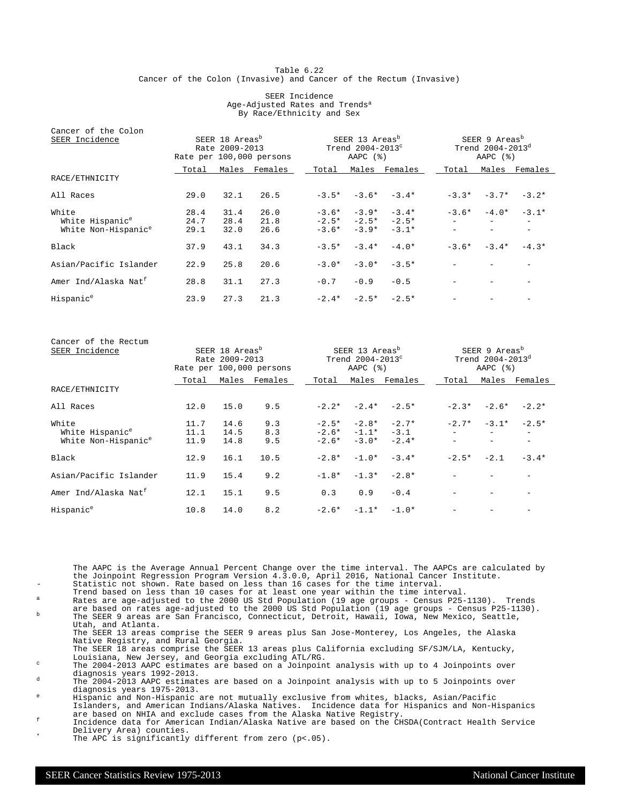### Table 6.22 Cancer of the Colon (Invasive) and Cancer of the Rectum (Invasive)

### SEER Incidence Age-Adjusted Rates and Trends<sup>a</sup> By Race/Ethnicity and Sex

| Cancer of the Colon              |       |                                              |                          |         |                                                                          |                     |                                                                         |               |               |
|----------------------------------|-------|----------------------------------------------|--------------------------|---------|--------------------------------------------------------------------------|---------------------|-------------------------------------------------------------------------|---------------|---------------|
| SEER Incidence                   |       | SEER 18 Areas <sup>b</sup><br>Rate 2009-2013 | Rate per 100,000 persons |         | SEER 13 Areas <sup>b</sup><br>Trend 2004-2013 <sup>c</sup><br>AAPC $(%)$ |                     | SEER 9 Areas <sup>b</sup><br>Trend 2004-2013 <sup>d</sup><br>AAPC $(%)$ |               |               |
|                                  | Total |                                              | Males Females            | Total   |                                                                          | Males Females       | Total                                                                   |               | Males Females |
| RACE/ETHNICITY                   |       |                                              |                          |         |                                                                          |                     |                                                                         |               |               |
| All Races                        | 29.0  | 32.1                                         | 26.5                     |         |                                                                          | $-3.5* -3.6* -3.4*$ |                                                                         | $-3.3* -3.7*$ | $-3.2*$       |
| White                            | 28.4  | 31.4                                         | 26.0                     | $-3.6*$ | $-3.9*$                                                                  | $-3.4*$             |                                                                         | $-3.6* -4.0*$ | $-3.1*$       |
| White Hispanic <sup>e</sup>      | 24.7  | 28.4                                         | 21.8                     |         | $-2.5* -2.5*$                                                            | $-2.5*$             |                                                                         |               |               |
| White Non-Hispanic <sup>e</sup>  | 29.1  | 32.0                                         | 26.6                     | $-3.6*$ | $-3.9*$                                                                  | $-3.1*$             |                                                                         |               |               |
| Black                            | 37.9  | 43.1                                         | 34.3                     | $-3.5*$ | $-3.4*$                                                                  | $-4.0*$             |                                                                         | $-3.6* -3.4*$ | $-4.3*$       |
| Asian/Pacific Islander           | 22.9  | 25.8                                         | 20.6                     | $-3.0*$ | $-3.0*$                                                                  | $-3.5*$             |                                                                         |               |               |
| Amer Ind/Alaska Nat <sup>f</sup> | 28.8  | 31.1                                         | 27.3                     | $-0.7$  | $-0.9$                                                                   | $-0.5$              |                                                                         |               |               |
| Hispanic <sup>e</sup>            | 23.9  | 27.3                                         | 21.3                     | $-2.4*$ | $-2.5*$                                                                  | $-2.5*$             |                                                                         |               |               |

| SEER Incidence                                                          | SEER 18 Areas <sup>b</sup><br>Rate 2009-2013<br>Rate per 100,000 persons |                      |                   | SEER 13 Areas <sup>b</sup><br>Trend 2004-2013 <sup>c</sup><br>AAPC $(%)$ |                                     |                              |         | SEER 9 Areas <sup>b</sup><br>Trend $2004 - 2013^d$<br>AAPC $(%)$ |         |  |
|-------------------------------------------------------------------------|--------------------------------------------------------------------------|----------------------|-------------------|--------------------------------------------------------------------------|-------------------------------------|------------------------------|---------|------------------------------------------------------------------|---------|--|
|                                                                         | Total                                                                    | Males                | Females           | Total                                                                    | Males                               | Females                      | Total   | Males                                                            | Females |  |
| RACE/ETHNICITY                                                          |                                                                          |                      |                   |                                                                          |                                     |                              |         |                                                                  |         |  |
| All Races                                                               | 12.0                                                                     | 15.0                 | 9.5               |                                                                          | $-2.2$ * $-2.4$ * $-2.5$ *          |                              | $-2.3*$ | $-2.6*$                                                          | $-2.2*$ |  |
| White<br>White Hispanic <sup>e</sup><br>White Non-Hispanic <sup>e</sup> | 11.7<br>11.1<br>11.9                                                     | 14.6<br>14.5<br>14.8 | 9.3<br>8.3<br>9.5 | $-2.5*$<br>$-2.6*$                                                       | $-2.8*$<br>$-2.6* -1.1*$<br>$-3.0*$ | $-2.7*$<br>$-3.1$<br>$-2.4*$ | $-2.7*$ | $-3.1*$                                                          | $-2.5*$ |  |
| Black                                                                   | 12.9                                                                     | 16.1                 | 10.5              | $-2.8*$                                                                  | $-1.0*$                             | $-3.4*$                      | $-2.5*$ | $-2.1$                                                           | $-3.4*$ |  |
| Asian/Pacific Islander                                                  | 11.9                                                                     | 15.4                 | 9.2               | $-1.8*$                                                                  | $-1.3*$                             | $-2.8*$                      |         |                                                                  |         |  |
| Amer Ind/Alaska Nat <sup>f</sup>                                        | 12.1                                                                     | 15.1                 | 9.5               | 0.3                                                                      | 0.9                                 | $-0.4$                       |         |                                                                  |         |  |
| Hispanic <sup>e</sup>                                                   | 10.8                                                                     | 14.0                 | 8.2               |                                                                          | $-2.6* -1.1*$                       | $-1.0*$                      |         |                                                                  |         |  |

The AAPC is the Average Annual Percent Change over the time interval. The AAPCs are calculated by the Joinpoint Regression Program Version 4.3.0.0, April 2016, National Cancer Institute. Statistic not shown. Rate based on less than 16 cases for the time interval.

Trend based on less than 10 cases for at least one year within the time interval.

<sup>a</sup> Rates are age-adjusted to the 2000 US Std Population (19 age groups - Census P25-1130). Trends

are based on rates age-adjusted to the 2000 US Std Population (19 age groups - Census P25-1130). <sup>b</sup> The SEER 9 areas are San Francisco, Connecticut, Detroit, Hawaii, Iowa, New Mexico, Seattle, Utah, and Atlanta.

The SEER 13 areas comprise the SEER 9 areas plus San Jose-Monterey, Los Angeles, the Alaska Native Registry, and Rural Georgia.

The SEER 18 areas comprise the SEER 13 areas plus California excluding SF/SJM/LA, Kentucky, Louisiana, New Jersey, and Georgia excluding ATL/RG. <sup>c</sup> The 2004-2013 AAPC estimates are based on a Joinpoint analysis with up to 4 Joinpoints over

diagnosis years 1992-2013.

 $d$  The 2004-2013 AAPC estimates are based on a Joinpoint analysis with up to 5 Joinpoints over diagnosis years 1975-2013.

<sup>e</sup> Hispanic and Non-Hispanic are not mutually exclusive from whites, blacks, Asian/Pacific Islanders, and American Indians/Alaska Natives. Incidence data for Hispanics and Non-Hispanics are based on NHIA and exclude cases from the Alaska Native Registry.

f Incidence data for American Indian/Alaska Native are based on the CHSDA(Contract Health Service Delivery Area) counties.

The APC is significantly different from zero  $(p<.05)$ .

Cancer of the Rectum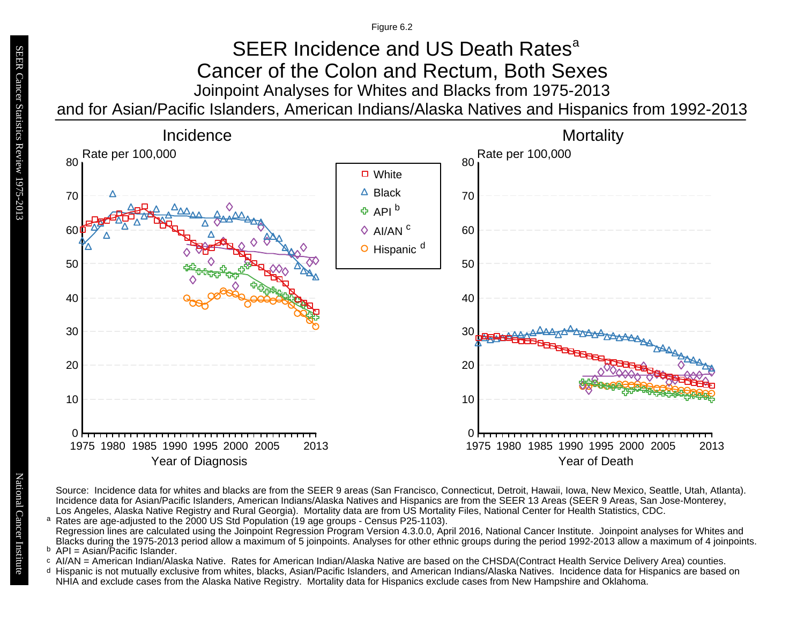Figure 6.2

# Joinpoint Analyses for Whites and Blacks from 1975-2013 SEER Incidence and US Death Rates<sup>a</sup> Cancer of the Colon and Rectum, Both Sexes

and for Asian/Pacific Islanders, American Indians/Alaska Natives and Hispanics from 1992-2013



Source: Incidence data for whites and blacks are from the SEER 9 areas (San Francisco, Connecticut, Detroit, Hawaii, Iowa, New Mexico, Seattle, Utah, Atlanta). Incidence data for Asian/Pacific Islanders, American Indians/Alaska Natives and Hispanics are from the SEER 13 Areas (SEER 9 Areas, San Jose-Monterey, Los Angeles, Alaska Native Registry and Rural Georgia). Mortality data are from US Mortality Files, National Center for Health Statistics, CDC. <sup>a</sup> Rates are age-adjusted to the 2000 US Std Population (19 age groups - Census P25-1103).

Regression lines are calculated using the Joinpoint Regression Program Version 4.3.0.0, April 2016, National Cancer Institute. Joinpoint analyses for Whites and Blacks during the 1975-2013 period allow a maximum of 5 joinpoints. Analyses for other ethnic groups during the period 1992-2013 allow a maximum of 4 joinpoints.

- <sup>b</sup> API = Asian/Pacific Islander.<br>○ AI/AN = American Indian/Ala  $\circ$  AI/AN = American Indian/Alaska Native. Rates for American Indian/Alaska Native are based on the CHSDA(Contract Health Service Delivery Area) counties.
- Hispanic is not mutually exclusive from whites, blacks, Asian/Pacific Islanders, and American Indians/Alaska Natives. Incidence data for Hispanics are based on NHIA and exclude cases from the Alaska Native Registry. Mortality data for Hispanics exclude cases from New Hampshire and Oklahoma. a<br>b<br>d

National Cancer InstituteNational Cancer Institute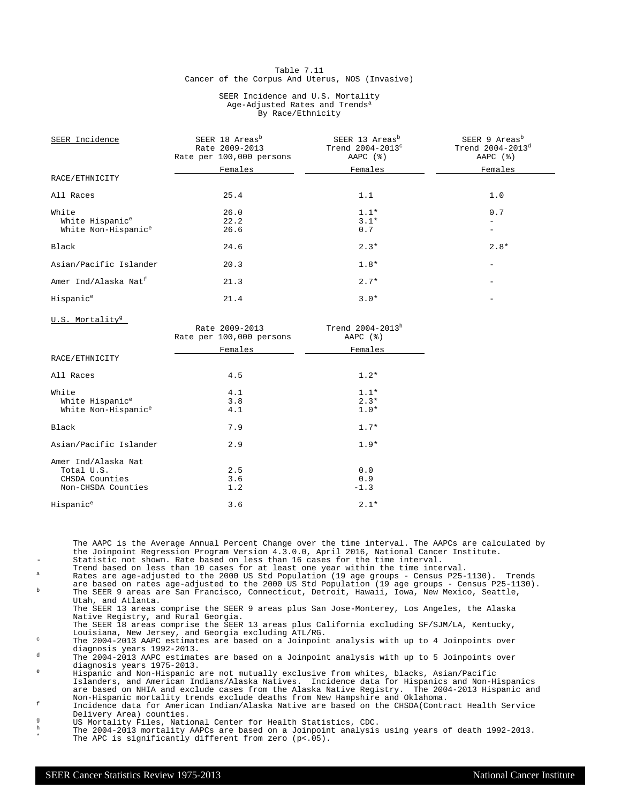### Table 7.11 Cancer of the Corpus And Uterus, NOS (Invasive)

### SEER Incidence and U.S. Mortality Age-Adjusted Rates and Trends<sup>a</sup> By Race/Ethnicity

| SEER Incidence                   | SEER 18 Areas <sup>b</sup><br>Rate 2009-2013<br>Rate per 100,000 persons | SEER 13 Areas <sup>b</sup><br>Trend 2004-2013°<br>AAPC $(%)$ | SEER 9 Areas <sup>b</sup><br>Trend 2004-2013 <sup>d</sup><br>AAPC $(%)$ |
|----------------------------------|--------------------------------------------------------------------------|--------------------------------------------------------------|-------------------------------------------------------------------------|
|                                  | Females                                                                  | Females                                                      | Females                                                                 |
| RACE/ETHNICITY                   |                                                                          |                                                              |                                                                         |
| All Races                        | 25.4                                                                     | 1.1                                                          | 1.0                                                                     |
| White                            | 26.0                                                                     | $1.1*$                                                       | 0.7                                                                     |
| White Hispanic <sup>e</sup>      | 22.2                                                                     | $3.1*$                                                       |                                                                         |
| White Non-Hispanic <sup>e</sup>  | 26.6                                                                     | 0.7                                                          |                                                                         |
| Black                            | 24.6                                                                     | $2.3*$                                                       | $2.8*$                                                                  |
| Asian/Pacific Islander           | 20.3                                                                     | $1.8*$                                                       |                                                                         |
| Amer Ind/Alaska Nat <sup>f</sup> | 21.3                                                                     | $2.7*$                                                       |                                                                         |
| Hispanic <sup>e</sup>            | 21.4                                                                     | $3.0*$                                                       |                                                                         |

U.S. Mortality<sup>9</sup>

|                                 | Rate 2009-2013<br>Rate per 100,000 persons | Trend 2004-2013h<br>AAPC $(%)$ |
|---------------------------------|--------------------------------------------|--------------------------------|
|                                 | Females                                    | Females                        |
| RACE/ETHNICITY                  |                                            |                                |
| All Races                       | 4.5                                        | $1.2*$                         |
| White                           | 4.1                                        | $1.1*$                         |
| White Hispanic <sup>e</sup>     | 3.8                                        | $2.3*$                         |
| White Non-Hispanic <sup>e</sup> | 4.1                                        | $1.0*$                         |
| Black                           | 7.9                                        | $1.7*$                         |
| Asian/Pacific Islander          | 2.9                                        | $1.9*$                         |
| Amer Ind/Alaska Nat             |                                            |                                |
| Total U.S.                      | 2.5                                        | 0.0                            |
| CHSDA Counties                  | 3.6                                        | 0.9                            |
| Non-CHSDA Counties              | 1.2                                        | $-1.3$                         |
| Hispanic <sup>e</sup>           | 3.6                                        | $2.1*$                         |

The AAPC is the Average Annual Percent Change over the time interval. The AAPCs are calculated by the Joinpoint Regression Program Version 4.3.0.0, April 2016, National Cancer Institute. Statistic not shown. Rate based on less than 16 cases for the time interval.

Trend based on less than 10 cases for at least one year within the time interval.

a Rates are age-adjusted to the 2000 US Std Population (19 age groups - Census P25-1130). Trends are based on rates age-adjusted to the 2000 US Std Population (19 age groups - Census P25-1130). <sup>b</sup> The SEER 9 areas are San Francisco, Connecticut, Detroit, Hawaii, Iowa, New Mexico, Seattle, Utah, and Atlanta.

The SEER 13 areas comprise the SEER 9 areas plus San Jose-Monterey, Los Angeles, the Alaska Native Registry, and Rural Georgia.

The SEER 18 areas comprise the SEER 13 areas plus California excluding SF/SJM/LA, Kentucky,

Louisiana, New Jersey, and Georgia excluding ATL/RG. <sup>c</sup> The 2004-2013 AAPC estimates are based on a Joinpoint analysis with up to 4 Joinpoints over diagnosis years 1992-2013.

<sup>d</sup> The 2004-2013 AAPC estimates are based on a Joinpoint analysis with up to 5 Joinpoints over diagnosis years 1975-2013.

<sup>e</sup> Hispanic and Non-Hispanic are not mutually exclusive from whites, blacks, Asian/Pacific Islanders, and American Indians/Alaska Natives. Incidence data for Hispanics and Non-Hispanics are based on NHIA and exclude cases from the Alaska Native Registry. The 2004-2013 Hispanic and Non-Hispanic mortality trends exclude deaths from New Hampshire and Oklahoma.

<sup>f</sup> Incidence data for American Indian/Alaska Native are based on the CHSDA(Contract Health Service Delivery Area) counties.

g<br>
US Mortality Files, National Center for Health Statistics, CDC.<br>
The 2004-2012 metality ADGs are based an a Joinnaint applying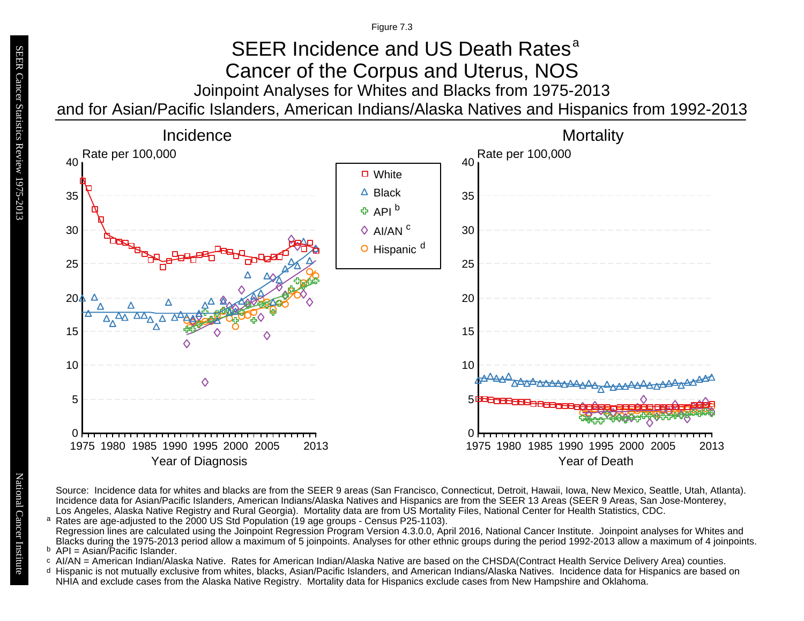Figure 7.3

# Joinpoint Analyses for Whites and Blacks from 1975-2013 SEER Incidence and US Death Rates<sup>a</sup> Cancer of the Corpus and Uterus, NOS

and for Asian/Pacific Islanders, American Indians/Alaska Natives and Hispanics from 1992-2013



Source: Incidence data for whites and blacks are from the SEER 9 areas (San Francisco, Connecticut, Detroit, Hawaii, Iowa, New Mexico, Seattle, Utah, Atlanta). Incidence data for Asian/Pacific Islanders, American Indians/Alaska Natives and Hispanics are from the SEER 13 Areas (SEER 9 Areas, San Jose-Monterey, Los Angeles, Alaska Native Registry and Rural Georgia). Mortality data are from US Mortality Files, National Center for Health Statistics, CDC. <sup>a</sup> Rates are age-adjusted to the 2000 US Std Population (19 age groups - Census P25-1103).

Regression lines are calculated using the Joinpoint Regression Program Version 4.3.0.0, April 2016, National Cancer Institute. Joinpoint analyses for Whites and Blacks during the 1975-2013 period allow a maximum of 5 joinpoints. Analyses for other ethnic groups during the period 1992-2013 allow a maximum of 4 joinpoints.

<sup>b</sup> API = Asian/Pacific Islander.<br>○ AI/AN = American Indian/Ala AI/AN = American Indian/Alaska Native. Rates for American Indian/Alaska Native are based on the CHSDA(Contract Health Service Delivery Area) counties.

Hispanic is not mutually exclusive from whites, blacks, Asian/Pacific Islanders, and American Indians/Alaska Natives. Incidence data for Hispanics are based on NHIA and exclude cases from the Alaska Native Registry. Mortality data for Hispanics exclude cases from New Hampshire and Oklahoma. a<br>b<br>d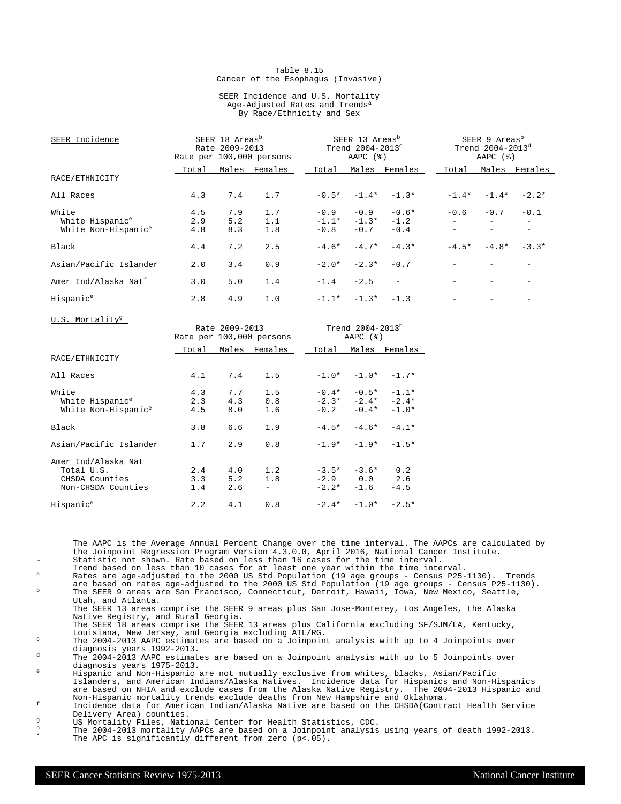### Table 8.15 Cancer of the Esophagus (Invasive)

### SEER Incidence and U.S. Mortality Age-Adjusted Rates and Trends<sup>a</sup> By Race/Ethnicity and Sex

| SEER Incidence                                                          | SEER 18 Areas <sup>b</sup><br>Rate 2009-2013<br>Rate per 100,000 persons |                   |                   | SEER 13 Areas <sup>b</sup><br>Trend $2004-2013^{\circ}$<br>AAPC $(%)$ |                             |                             |         | SEER 9 Areas <sup>b</sup><br>Trend $2004 - 2013^d$<br>AAPC $(%)$ |         |  |
|-------------------------------------------------------------------------|--------------------------------------------------------------------------|-------------------|-------------------|-----------------------------------------------------------------------|-----------------------------|-----------------------------|---------|------------------------------------------------------------------|---------|--|
|                                                                         | Total                                                                    | Males             | Females           | Total                                                                 | Males                       | Females                     | Total   | Males                                                            | Females |  |
| RACE/ETHNICITY                                                          |                                                                          |                   |                   |                                                                       |                             |                             |         |                                                                  |         |  |
| All Races                                                               | 4.3                                                                      | 7.4               | 1.7               | $-0.5*$                                                               |                             | $-1.4* -1.3*$               | $-1.4*$ | $-1.4*$                                                          | $-2.2*$ |  |
| White<br>White Hispanic <sup>e</sup><br>White Non-Hispanic <sup>e</sup> | 4.5<br>2.9<br>4.8                                                        | 7.9<br>5.2<br>8.3 | 1.7<br>1.1<br>1.8 | $-0.9$<br>$-1.1*$<br>$-0.8$                                           | $-0.9$<br>$-1.3*$<br>$-0.7$ | $-0.6*$<br>$-1.2$<br>$-0.4$ | $-0.6$  | $-0.7$<br>$\overline{\phantom{a}}$                               | $-0.1$  |  |
| Black                                                                   | 4.4                                                                      | 7.2               | 2.5               | $-4.6*$                                                               | $-4.7*$                     | $-4.3*$                     | $-4.5*$ | $-4.8*$                                                          | $-3.3*$ |  |
| Asian/Pacific Islander                                                  | 2.0                                                                      | 3.4               | 0.9               | $-2.0*$                                                               | $-2.3*$                     | $-0.7$                      |         |                                                                  |         |  |
| Amer Ind/Alaska Nat <sup>f</sup>                                        | 3.0                                                                      | 5.0               | 1.4               | $-1.4$                                                                | $-2.5$                      | $\equiv$                    |         | $\overline{\phantom{0}}$                                         |         |  |
| Hispanic <sup>e</sup>                                                   | 2.8                                                                      | 4.9               | 1.0               |                                                                       | $-1.1* -1.3* -1.3$          |                             |         |                                                                  |         |  |

Rate  $2009 - 2013$ <br>
Per  $100,000$  persons  $XAPC$  ( $\})$ Rate per 100,000 persons Total Males Females 1Total Males Females RACE/ETHNICITY All Races 4.1 7.4 1.5  $-1.0*$   $-1.0*$   $-1.7*$ White<br>
White Hispanic<sup>e</sup> 1.3 7.7 1.5 -0.4\* -0.5\* -1.1\*<br>
2.3 4.3 0.8 -2.3\* -2.4\* -2.4\*  $2.3$   $4.3$   $0.8$   $-2.3*$   $-2.4*$   $-2.4*$ <br>  $4.5$   $8.0$   $1.6$   $-0.2$   $-0.4*$   $-1.0*$ White Non-Hispanic<sup>e</sup> Black 3.8 6.6 1.9 -4.5\* -4.6\* -4.1\* Asian/Pacific Islander 1.7 2.9 0.8 -1.9\* -1.9\* -1.5\* Amer Ind/Alaska Nat Total U.S. 2.4 4.0 1.2 -3.5\* -3.6\* 0.2 CHSDA Counties 3.3 5.2 1.8 -2.9 0.0 2.6<br>Non-CHSDA Counties 1.4 2.6 - -2.2\* -1.6 -4.5 Non-CHSDA Counties 1.4 2.6 -Hispanic<sup>e</sup> 2.2 4.1 0.8 -2.4\* -1.0\* -2.5\*

The AAPC is the Average Annual Percent Change over the time interval. The AAPCs are calculated by the Joinpoint Regression Program Version 4.3.0.0, April 2016, National Cancer Institute. Statistic not shown. Rate based on less than 16 cases for the time interval.

Trend based on less than 10 cases for at least one year within the time interval.

<sup>a</sup> Rates are age-adjusted to the 2000 US Std Population (19 age groups - Census P25-1130). Trends are based on rates age-adjusted to the 2000 US Std Population (19 age groups - Census P25-1130). <sup>b</sup> The SEER 9 areas are San Francisco, Connecticut, Detroit, Hawaii, Iowa, New Mexico, Seattle, Utah, and Atlanta.

The SEER 13 areas comprise the SEER 9 areas plus San Jose-Monterey, Los Angeles, the Alaska Native Registry, and Rural Georgia.

The SEER 18 areas comprise the SEER 13 areas plus California excluding SF/SJM/LA, Kentucky,

Louisiana, New Jersey, and Georgia excluding ATL/RG. <sup>c</sup> The 2004-2013 AAPC estimates are based on a Joinpoint analysis with up to 4 Joinpoints over diagnosis years 1992-2013.

 $d = The^{-2004-2013}$  AAPC estimates are based on a Joinpoint analysis with up to 5 Joinpoints over diagnosis years 1975-2013.

<sup>e</sup> Hispanic and Non-Hispanic are not mutually exclusive from whites, blacks, Asian/Pacific Islanders, and American Indians/Alaska Natives. Incidence data for Hispanics and Non-Hispanics are based on NHIA and exclude cases from the Alaska Native Registry. The 2004-2013 Hispanic and Non-Hispanic mortality trends exclude deaths from New Hampshire and Oklahoma.

<sup>f</sup> Incidence data for American Indian/Alaska Native are based on the CHSDA(Contract Health Service Delivery Area) counties.

<sup>g</sup> US Mortality Files, National Center for Health Statistics, CDC.<br>h The 2004 2012 mentality APOs are based an a Joinnaint applysis

 $^{\text{h}}$  The 2004-2013 mortality AAPCs are based on a Joinpoint analysis using years of death 1992-2013. \* The APC is significantly different from zero (p<.05).

U.S. Mortality<sup>g</sup>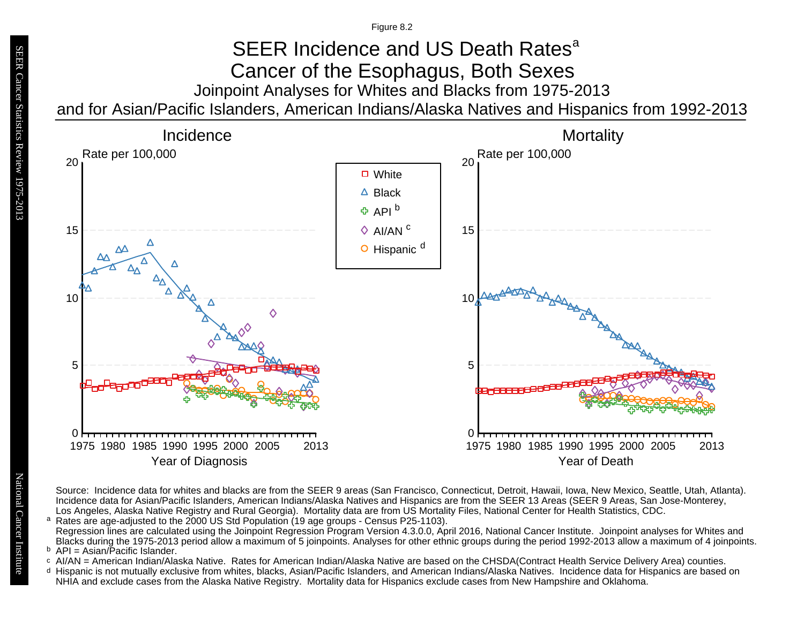Figure 8.2

## Joinpoint Analyses for Whites and Blacks from 1975-2013 and for Asian/Pacific Islanders, American Indians/Alaska Natives and Hispanics from 1992-2013 SEER Incidence and US Death Rates<sup>a</sup> Cancer of the Esophagus, Both Sexes

![](_page_26_Figure_2.jpeg)

Source: Incidence data for whites and blacks are from the SEER 9 areas (San Francisco, Connecticut, Detroit, Hawaii, Iowa, New Mexico, Seattle, Utah, Atlanta). Incidence data for Asian/Pacific Islanders, American Indians/Alaska Natives and Hispanics are from the SEER 13 Areas (SEER 9 Areas, San Jose-Monterey, Los Angeles, Alaska Native Registry and Rural Georgia). Mortality data are from US Mortality Files, National Center for Health Statistics, CDC. <sup>a</sup> Rates are age-adjusted to the 2000 US Std Population (19 age groups - Census P25-1103).

- <sup>b</sup> API = Asian/Pacific Islander.<br>○ AI/AN = American Indian/Ala AI/AN = American Indian/Alaska Native. Rates for American Indian/Alaska Native are based on the CHSDA(Contract Health Service Delivery Area) counties.
- Hispanic is not mutually exclusive from whites, blacks, Asian/Pacific Islanders, and American Indians/Alaska Natives. Incidence data for Hispanics are based on NHIA and exclude cases from the Alaska Native Registry. Mortality data for Hispanics exclude cases from New Hampshire and Oklahoma. a<br>b<br>d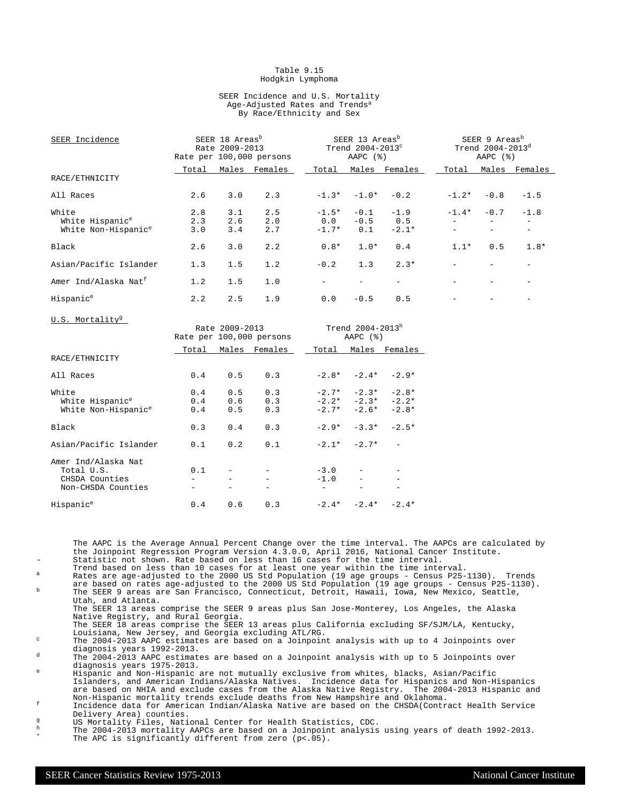### Table 9.15 Hodgkin Lymphoma

### SEER Incidence and U.S. Mortality Age-Adjusted Rates and Trends<sup>a</sup> By Race/Ethnicity and Sex

| SEER Incidence                       |            | SEER 18 Areas <sup>b</sup><br>Rate 2009-2013 | Rate per 100,000 persons | SEER 13 Areas <sup>b</sup><br>Trend 2004-2013 <sup>c</sup><br>AAPC $(%)$ |                  |               |         | SEER 9 Areas <sup>b</sup><br>Trend $2004 - 2013^d$<br>AAPC (%) |               |  |
|--------------------------------------|------------|----------------------------------------------|--------------------------|--------------------------------------------------------------------------|------------------|---------------|---------|----------------------------------------------------------------|---------------|--|
|                                      | Total      |                                              | Males Females            | Total                                                                    |                  | Males Females | Total   |                                                                | Males Females |  |
| RACE/ETHNICITY                       |            |                                              |                          |                                                                          |                  |               |         |                                                                |               |  |
| All Races                            | 2.6        | 3.0                                          | 2.3                      |                                                                          | $-1.3* -1.0*$    | $-0.2$        | $-1.2*$ | $-0.8$                                                         | $-1.5$        |  |
| White<br>White Hispanic <sup>e</sup> | 2.8<br>2.3 | 3.1<br>2.6                                   | 2.5<br>2.0               | $-1.5*$<br>0.0                                                           | $-0.1$<br>$-0.5$ | $-1.9$<br>0.5 | $-1.4*$ | $-0.7$                                                         | $-1.8$        |  |
| White Non-Hispanic <sup>e</sup>      | 3.0        | 3.4                                          | 2.7                      | $-1.7*$                                                                  | 0.1              | $-2.1*$       |         |                                                                |               |  |
| Black                                | 2.6        | 3.0                                          | 2.2                      | $0.8*$                                                                   | $1.0*$           | 0.4           | $1.1*$  | 0.5                                                            | $1.8*$        |  |
| Asian/Pacific Islander               | 1.3        | 1.5                                          | 1.2                      | $-0.2$                                                                   | 1.3              | $2.3*$        |         |                                                                |               |  |
| Amer Ind/Alaska Nat <sup>f</sup>     | 1.2        | 1.5                                          | 1.0                      |                                                                          |                  |               |         |                                                                |               |  |
| Hispanic <sup>e</sup>                | 2.2        | 2.5                                          | 1.9                      | 0.0                                                                      | $-0.5$           | 0.5           |         |                                                                |               |  |

Rate  $2009 - 2013$  Trend  $2004 - 2013$ <sup>h</sup> Per  $100,000$  persons AAPC  $(*)$ Rate per 100,000 persons Total Males Females Total Males Females RACE/ETHNICITY All Races  $0.4$   $0.5$   $0.3$   $-2.8$ \*  $-2.4$ \*  $-2.9$ \* White<br>
White Hispanic<sup>e</sup> 0.4 0.5 0.3 -2.7\* -2.3\* -2.8\*<br>
-2.2\* -2.3\* -2.2\* White Hispanic<sup>e</sup>  $0.4$   $0.6$   $0.3$   $-2.2$ \*  $-2.3$ \*  $-2.2$ \* White Non-Hispanic<sup>e</sup> 0.4 0.5 0.3  $-2.7*$   $-2.6*$   $-2.8*$ Black 0.3 0.4 0.3 -2.9\* -3.3\* -2.5\* Asian/Pacific Islander  $0.1$   $0.2$   $0.1$   $-2.1$ \*  $-2.7$ \*  $-$ Amer Ind/Alaska Nat  $Total U.S.$   $0.1$  - -  $-3.0$  -<br>CHSDA Counties - - - - - - 1.0 CHSDA Counties  $-1.0$   $-$ Non-CHSDA Counties Hispanic<sup>e</sup> 0.4 0.6 0.3  $-2.4*$   $-2.4*$   $-2.4*$ 

The AAPC is the Average Annual Percent Change over the time interval. The AAPCs are calculated by the Joinpoint Regression Program Version 4.3.0.0, April 2016, National Cancer Institute. Statistic not shown. Rate based on less than 16 cases for the time interval.

Trend based on less than 10 cases for at least one year within the time interval.

<sup>a</sup> Rates are age-adjusted to the 2000 US Std Population (19 age groups - Census P25-1130). Trends are based on rates age-adjusted to the 2000 US Std Population (19 age groups - Census P25-1130). <sup>b</sup> The SEER 9 areas are San Francisco, Connecticut, Detroit, Hawaii, Iowa, New Mexico, Seattle, Utah, and Atlanta.

The SEER 13 areas comprise the SEER 9 areas plus San Jose-Monterey, Los Angeles, the Alaska Native Registry, and Rural Georgia.

The SEER 18 areas comprise the SEER 13 areas plus California excluding SF/SJM/LA, Kentucky,

Louisiana, New Jersey, and Georgia excluding ATL/RG. <sup>c</sup> The 2004-2013 AAPC estimates are based on a Joinpoint analysis with up to 4 Joinpoints over diagnosis years 1992-2013.

 $d = The^{-2004-2013}$  AAPC estimates are based on a Joinpoint analysis with up to 5 Joinpoints over diagnosis years 1975-2013.

<sup>e</sup> Hispanic and Non-Hispanic are not mutually exclusive from whites, blacks, Asian/Pacific Islanders, and American Indians/Alaska Natives. Incidence data for Hispanics and Non-Hispanics are based on NHIA and exclude cases from the Alaska Native Registry. The 2004-2013 Hispanic and Non-Hispanic mortality trends exclude deaths from New Hampshire and Oklahoma.

<sup>f</sup> Incidence data for American Indian/Alaska Native are based on the CHSDA(Contract Health Service Delivery Area) counties.

<sup>g</sup> US Mortality Files, National Center for Health Statistics, CDC.<br>h The 2004 2012 mentality APOs are based an a Joinnaint applysis

 $^{\text{h}}$  The 2004-2013 mortality AAPCs are based on a Joinpoint analysis using years of death 1992-2013. \* The APC is significantly different from zero (p<.05).

U.S. Mortality<sup>g</sup>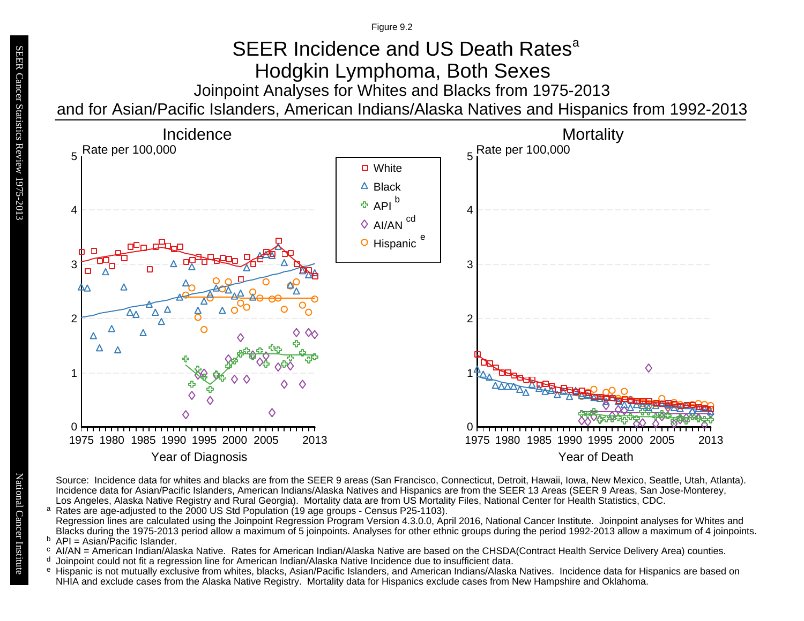Figure 9.2

# Joinpoint Analyses for Whites and Blacks from 1975-2013 and for Asian/Pacific Islanders, American Indians/Alaska Natives and Hispanics from 1992-2013 SEER Incidence and US Death Rates<sup>a</sup> Hodgkin Lymphoma, Both Sexes

![](_page_28_Figure_2.jpeg)

Source: Incidence data for whites and blacks are from the SEER 9 areas (San Francisco, Connecticut, Detroit, Hawaii, Iowa, New Mexico, Seattle, Utah, Atlanta). Incidence data for Asian/Pacific Islanders, American Indians/Alaska Natives and Hispanics are from the SEER 13 Areas (SEER 9 Areas, San Jose-Monterey, Los Angeles, Alaska Native Registry and Rural Georgia). Mortality data are from US Mortality Files, National Center for Health Statistics, CDC.

Rates are age-adjusted to the 2000 US Std Population (19 age groups - Census P25-1103). Regression lines are calculated using the Joinpoint Regression Program Version 4.3.0.0, April 2016, National Cancer Institute. Joinpoint analyses for Whites and Blacks during the 1975-2013 period allow a maximum of 5 joinpoints. Analyses for other ethnic groups during the period 1992-2013 allow a maximum of 4 joinpoints.

- <sup>b</sup> API = Asian/Pacific Islander.<br><sup>c</sup> AI/AN American Indian/Ala
- AI/AN = American Indian/Alaska Native. Rates for American Indian/Alaska Native are based on the CHSDA(Contract Health Service Delivery Area) counties.
- <sup>d</sup> Joinpoint could not fit a regression line for American Indian/Alaska Native Incidence due to insufficient data. a<br>b c d<br>e
- e Hispanic is not mutually exclusive from whites, blacks, Asian/Pacific Islanders, and American Indians/Alaska Natives. Incidence data for Hispanics are based on NHIA and exclude cases from the Alaska Native Registry. Mortality data for Hispanics exclude cases from New Hampshire and Oklahoma.

a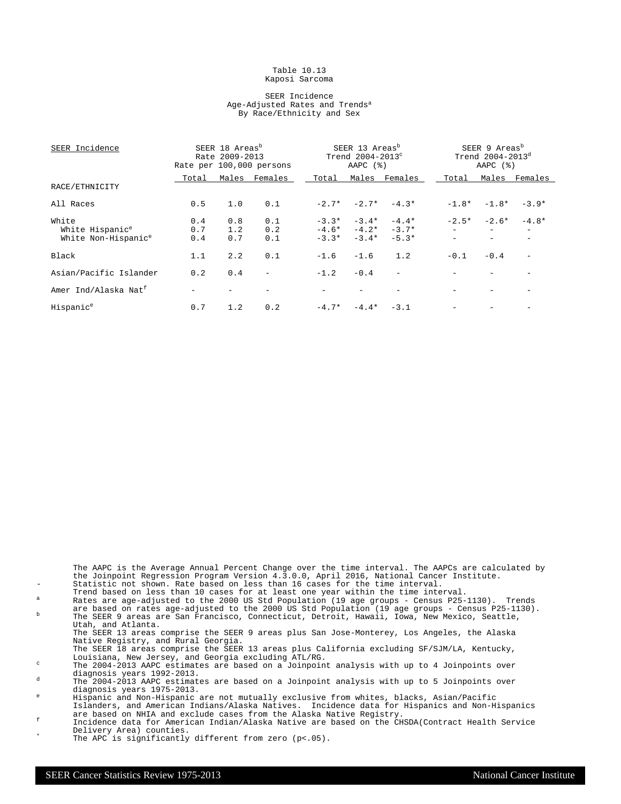#### Table 10.13 Kaposi Sarcoma

### SEER Incidence Age-Adjusted Rates and Trends<sup>a</sup> By Race/Ethnicity and Sex

| SEER Incidence                   | SEER 18 Areas <sup>b</sup><br>Rate 2009-2013<br>Rate per 100,000 persons |     |                          | SEER 13 Areas <sup>b</sup><br>Trend $2004-2013^c$<br>AAPC $(%)$ |                     |               | SEER 9 Areas <sup>b</sup><br>Trend $2004 - 2013^d$<br>AAPC $(%)$ |         |               |
|----------------------------------|--------------------------------------------------------------------------|-----|--------------------------|-----------------------------------------------------------------|---------------------|---------------|------------------------------------------------------------------|---------|---------------|
|                                  | Total                                                                    |     | Males Females            | Total                                                           |                     | Males Females | Total                                                            |         | Males Females |
| RACE/ETHNICITY                   |                                                                          |     |                          |                                                                 |                     |               |                                                                  |         |               |
| All Races                        | 0.5                                                                      | 1.0 | 0.1                      |                                                                 | $-2.7* -2.7* -4.3*$ |               | $-1.8*$                                                          | $-1.8*$ | $-3.9*$       |
| White                            | 0.4                                                                      | 0.8 | 0.1                      | $-3.3*$                                                         | $-3.4*$             | $-4.4*$       | $-2.5*$                                                          | $-2.6*$ | $-4.8*$       |
| White Hispanic <sup>e</sup>      | 0.7                                                                      | 1.2 | 0.2                      |                                                                 | $-4.6* -4.2* -3.7*$ |               |                                                                  |         |               |
| White Non-Hispanic <sup>e</sup>  | 0.4                                                                      | 0.7 | 0.1                      | $-3.3*$                                                         | $-3.4*$             | $-5.3*$       |                                                                  |         |               |
| Black                            | 1.1                                                                      | 2.2 | 0.1                      | $-1.6$                                                          | $-1.6$              | 1.2           | $-0.1$                                                           | $-0.4$  |               |
| Asian/Pacific Islander           | 0.2                                                                      | 0.4 | $\overline{\phantom{m}}$ | $-1.2$                                                          | $-0.4$              | $\equiv$      |                                                                  |         |               |
| Amer Ind/Alaska Nat <sup>f</sup> |                                                                          |     |                          |                                                                 |                     |               |                                                                  |         |               |
| Hispanic <sup>e</sup>            | 0.7                                                                      | 1.2 | 0.2                      |                                                                 | $-4.7* -4.4*$       | $-3.1$        |                                                                  |         |               |

The AAPC is the Average Annual Percent Change over the time interval. The AAPCs are calculated by the Joinpoint Regression Program Version 4.3.0.0, April 2016, National Cancer Institute. Statistic not shown. Rate based on less than 16 cases for the time interval. Trend based on less than 10 cases for at least one year within the time interval. <sup>a</sup> Rates are age-adjusted to the 2000 US Std Population (19 age groups - Census P25-1130). Trends are based on rates age-adjusted to the 2000 US Std Population (19 age groups - Census P25-1130). <sup>b</sup> The SEER 9 areas are San Francisco, Connecticut, Detroit, Hawaii, Iowa, New Mexico, Seattle, Utah, and Atlanta. The SEER 13 areas comprise the SEER 9 areas plus San Jose-Monterey, Los Angeles, the Alaska Native Registry, and Rural Georgia. The SEER 18 areas comprise the SEER 13 areas plus California excluding SF/SJM/LA, Kentucky, Louisiana, New Jersey, and Georgia excluding ATL/RG. <sup>c</sup> The 2004-2013 AAPC estimates are based on a Joinpoint analysis with up to 4 Joinpoints over diagnosis years 1992-2013.  $d$  The 2004-2013 AAPC estimates are based on a Joinpoint analysis with up to 5 Joinpoints over diagnosis years 1975-2013. <sup>e</sup> Hispanic and Non-Hispanic are not mutually exclusive from whites, blacks, Asian/Pacific Islanders, and American Indians/Alaska Natives. Incidence data for Hispanics and Non-Hispanics

are based on NHIA and exclude cases from the Alaska Native Registry. f Incidence data for American Indian/Alaska Native are based on the CHSDA(Contract Health Service

Delivery Area) counties. The APC is significantly different from zero  $(p<.05)$ .

SEER Cancer Statistics Review 1975-2013 National Cancer Institute National Cancer Institute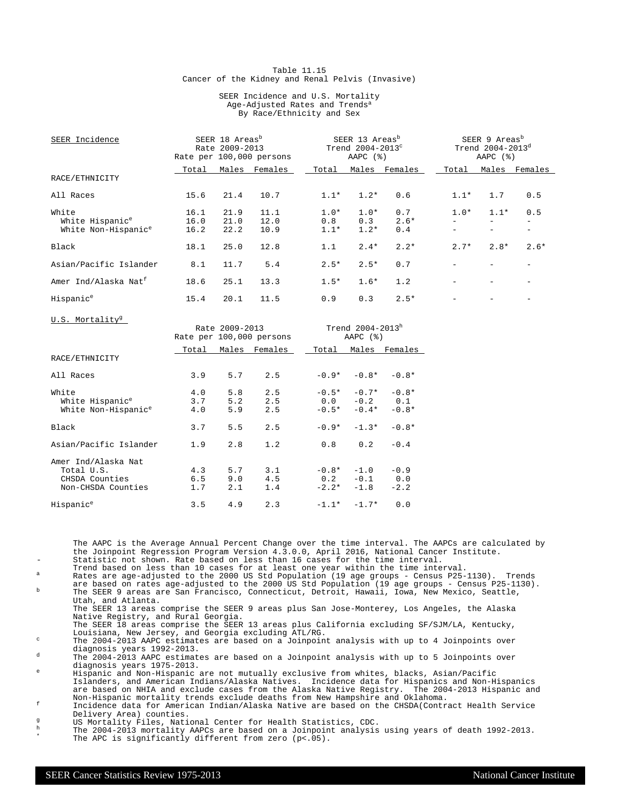### Table 11.15 Cancer of the Kidney and Renal Pelvis (Invasive)

### SEER Incidence and U.S. Mortality Age-Adjusted Rates and Trends<sup>a</sup> By Race/Ethnicity and Sex

| SEER Incidence                   | SEER 18 Areas <sup>b</sup><br>Rate 2009-2013<br>Rate per 100,000 persons |       |         | SEER 13 Areas <sup>b</sup><br>Trend 2004-2013 <sup>c</sup><br>AAPC (%) |        |         | SEER 9 Areas <sup>b</sup><br>Trend $2004 - 2013^d$<br>AAPC $(%)$ |        |         |
|----------------------------------|--------------------------------------------------------------------------|-------|---------|------------------------------------------------------------------------|--------|---------|------------------------------------------------------------------|--------|---------|
|                                  | Total                                                                    | Males | Females | Total                                                                  | Males  | Females | Total                                                            | Males  | Females |
| RACE/ETHNICITY                   |                                                                          |       |         |                                                                        |        |         |                                                                  |        |         |
| All Races                        | 15.6                                                                     | 21.4  | 10.7    | $1.1*$                                                                 | $1.2*$ | 0.6     | $1.1*$                                                           | 1.7    | 0.5     |
| White                            | 16.1                                                                     | 21.9  | 11.1    | $1.0*$                                                                 | $1.0*$ | 0.7     | $1.0*$                                                           | $1.1*$ | 0.5     |
| White Hispanic <sup>e</sup>      | 16.0                                                                     | 21.0  | 12.0    | 0.8                                                                    | 0.3    | $2.6*$  |                                                                  |        | -       |
| White Non-Hispanic <sup>e</sup>  | 16.2                                                                     | 22.2  | 10.9    | $1.1*$                                                                 | $1.2*$ | 0.4     |                                                                  |        |         |
| Black                            | 18.1                                                                     | 25.0  | 12.8    | 1.1                                                                    | $2.4*$ | $2.2*$  | $2.7*$                                                           | $2.8*$ | $2.6*$  |
| Asian/Pacific Islander           | 8.1                                                                      | 11.7  | 5.4     | $2.5*$                                                                 | $2.5*$ | 0.7     |                                                                  |        |         |
| Amer Ind/Alaska Nat <sup>f</sup> | 18.6                                                                     | 25.1  | 13.3    | $1.5*$                                                                 | $1.6*$ | 1.2     |                                                                  |        |         |
| Hispanic <sup>e</sup>            | 15.4                                                                     | 20.1  | 11.5    | 0.9                                                                    | 0.3    | $2.5*$  |                                                                  |        |         |
| U.S. Mortality <sup>9</sup>      |                                                                          |       |         |                                                                        |        |         |                                                                  |        |         |

|                                                                           |                   | Rate 2009-2013    | Rate per 100,000 persons | Trend 2004-2013h<br>AAPC $(%)$ |                                                  |                    |  |  |
|---------------------------------------------------------------------------|-------------------|-------------------|--------------------------|--------------------------------|--------------------------------------------------|--------------------|--|--|
|                                                                           | Total             |                   | Males Females            | Total                          |                                                  | Males Females      |  |  |
| RACE/ETHNICITY                                                            |                   |                   |                          |                                |                                                  |                    |  |  |
| All Races                                                                 | 3.9               | 5.7               | 2.5                      |                                | $-0.9* -0.8* -0.8*$                              |                    |  |  |
| White<br>White Hispanic <sup>e</sup><br>White Non-Hispanic <sup>e</sup>   | 4.0<br>3.7<br>4.0 | 5.8<br>5.2<br>5.9 | 2.5<br>2.5<br>2.5        |                                | $-0.5* -0.7*$<br>$0.0 -0.2 0.1$<br>$-0.5* -0.4*$ | $-0.8*$<br>$-0.8*$ |  |  |
| Black                                                                     | 3.7               | 5.5               | 2.5                      |                                | $-0.9* -1.3*$                                    | $-0.8*$            |  |  |
| Asian/Pacific Islander                                                    | 1.9               | 2.8               | 1.2                      | 0.8                            | 0.2                                              | $-0.4$             |  |  |
| Amer Ind/Alaska Nat<br>Total U.S.<br>CHSDA Counties<br>Non-CHSDA Counties | 4.3<br>6.5<br>1.7 | 5.7<br>9.0<br>2.1 | 3.1<br>4.5<br>1.4        |                                | $-0.8* -1.0$<br>$0.2 -0.1 0.0$<br>$-2.2* -1.8$   | $-0.9$<br>$-2.2$   |  |  |
| Hispanic <sup>e</sup>                                                     | 3.5               | 4.9               | 2.3                      |                                | $-1.1* -1.7*$                                    | 0.0                |  |  |

The AAPC is the Average Annual Percent Change over the time interval. The AAPCs are calculated by the Joinpoint Regression Program Version 4.3.0.0, April 2016, National Cancer Institute. Statistic not shown. Rate based on less than 16 cases for the time interval.

Trend based on less than 10 cases for at least one year within the time interval.

a Rates are age-adjusted to the 2000 US Std Population (19 age groups - Census P25-1130). Trends are based on rates age-adjusted to the 2000 US Std Population (19 age groups - Census P25-1130). <sup>b</sup> The SEER 9 areas are San Francisco, Connecticut, Detroit, Hawaii, Iowa, New Mexico, Seattle, Utah, and Atlanta.

The SEER 13 areas comprise the SEER 9 areas plus San Jose-Monterey, Los Angeles, the Alaska Native Registry, and Rural Georgia.

The SEER 18 areas comprise the SEER 13 areas plus California excluding SF/SJM/LA, Kentucky,

Louisiana, New Jersey, and Georgia excluding ATL/RG. <sup>c</sup> The 2004-2013 AAPC estimates are based on a Joinpoint analysis with up to 4 Joinpoints over diagnosis years 1992-2013.

<sup>d</sup> The 2004-2013 AAPC estimates are based on a Joinpoint analysis with up to 5 Joinpoints over diagnosis years 1975-2013.

<sup>e</sup> Hispanic and Non-Hispanic are not mutually exclusive from whites, blacks, Asian/Pacific Islanders, and American Indians/Alaska Natives. Incidence data for Hispanics and Non-Hispanics are based on NHIA and exclude cases from the Alaska Native Registry. The 2004-2013 Hispanic and Non-Hispanic mortality trends exclude deaths from New Hampshire and Oklahoma.

<sup>f</sup> Incidence data for American Indian/Alaska Native are based on the CHSDA(Contract Health Service Delivery Area) counties.

<sup>g</sup> US Mortality Files, National Center for Health Statistics, CDC.<br>h The 2004 2012 mentality APOs are based an a Joinnaint applysis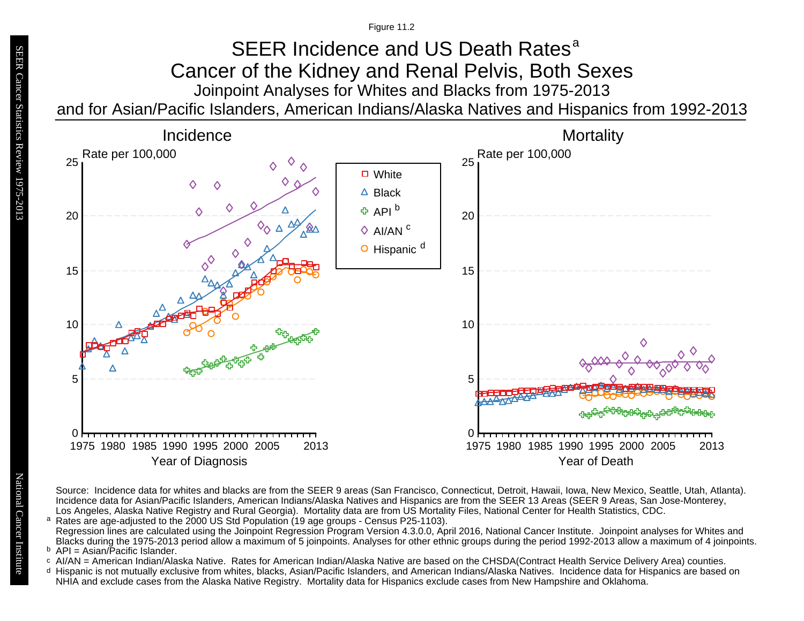# Joinpoint Analyses for Whites and Blacks from 1975-2013 SEER Incidence and US Death Rates<sup>a</sup> Cancer of the Kidney and Renal Pelvis, Both Sexes

and for Asian/Pacific Islanders, American Indians/Alaska Natives and Hispanics from 1992-2013

![](_page_31_Figure_3.jpeg)

Source: Incidence data for whites and blacks are from the SEER 9 areas (San Francisco, Connecticut, Detroit, Hawaii, Iowa, New Mexico, Seattle, Utah, Atlanta). Incidence data for Asian/Pacific Islanders, American Indians/Alaska Natives and Hispanics are from the SEER 13 Areas (SEER 9 Areas, San Jose-Monterey, Los Angeles, Alaska Native Registry and Rural Georgia). Mortality data are from US Mortality Files, National Center for Health Statistics, CDC. <sup>a</sup> Rates are age-adjusted to the 2000 US Std Population (19 age groups - Census P25-1103).

- <sup>b</sup> API = Asian/Pacific Islander.<br>○ AI/AN = American Indian/Ala AI/AN = American Indian/Alaska Native. Rates for American Indian/Alaska Native are based on the CHSDA(Contract Health Service Delivery Area) counties.
- Hispanic is not mutually exclusive from whites, blacks, Asian/Pacific Islanders, and American Indians/Alaska Natives. Incidence data for Hispanics are based on NHIA and exclude cases from the Alaska Native Registry. Mortality data for Hispanics exclude cases from New Hampshire and Oklahoma. a<br>b<br>d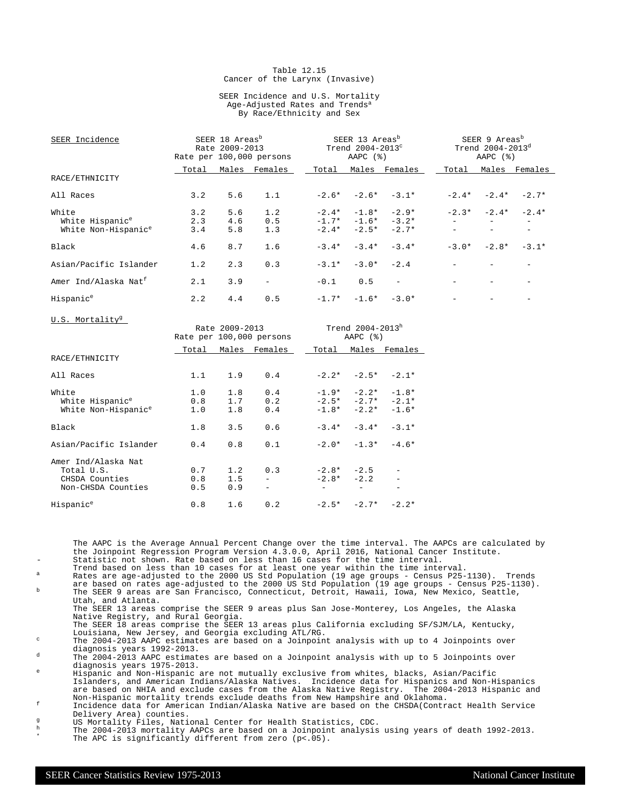### Table 12.15 Cancer of the Larynx (Invasive)

### SEER Incidence and U.S. Mortality Age-Adjusted Rates and Trends<sup>a</sup> By Race/Ethnicity and Sex

| SEER Incidence                   | SEER 18 Areas <sup>b</sup><br>Rate 2009-2013<br>Rate per 100,000 persons |     |                          | SEER 13 Areas <sup>b</sup><br>Trend $2004-2013^{\circ}$<br>AAPC $(%)$ |                     |                          | SEER 9 Areas <sup>b</sup><br>Trend $2004 - 2013^d$<br>AAPC $(%)$ |         |               |
|----------------------------------|--------------------------------------------------------------------------|-----|--------------------------|-----------------------------------------------------------------------|---------------------|--------------------------|------------------------------------------------------------------|---------|---------------|
|                                  | Total                                                                    |     | Males Females            | Total                                                                 |                     | Males Females            | Total                                                            |         | Males Females |
| RACE/ETHNICITY                   |                                                                          |     |                          |                                                                       |                     |                          |                                                                  |         |               |
| All Races                        | 3.2                                                                      | 5.6 | 1.1                      |                                                                       | $-2.6* -2.6* -3.1*$ |                          | $-2.4*$                                                          | $-2.4*$ | $-2.7*$       |
| White                            | 3.2                                                                      | 5.6 | 1.2                      |                                                                       | $-2.4* -1.8*$       | $-2.9*$                  | $-2.3*$                                                          | $-2.4*$ | $-2.4*$       |
| White Hispanic <sup>e</sup>      | 2.3                                                                      | 4.6 | 0.5                      |                                                                       | $-1.7* -1.6* -3.2*$ |                          |                                                                  |         |               |
| White Non-Hispanic <sup>e</sup>  | 3.4                                                                      | 5.8 | 1.3                      | $-2.4*$                                                               | $-2.5*$             | $-2.7*$                  |                                                                  |         |               |
| Black                            | 4.6                                                                      | 8.7 | 1.6                      | $-3.4*$                                                               | $-3.4*$             | $-3.4*$                  | $-3.0*$                                                          | $-2.8*$ | $-3.1*$       |
| Asian/Pacific Islander           | 1.2                                                                      | 2.3 | 0.3                      |                                                                       | $-3.1* -3.0* -2.4$  |                          |                                                                  |         |               |
| Amer Ind/Alaska Nat <sup>f</sup> | 2.1                                                                      | 3.9 | $\overline{\phantom{m}}$ | $-0.1$                                                                | 0.5                 | $\overline{\phantom{a}}$ |                                                                  |         |               |
| Hispanic <sup>e</sup>            | 2.2                                                                      | 4.4 | 0.5                      |                                                                       | $-1.7* -1.6* -3.0*$ |                          |                                                                  |         |               |

 $P_{\text{at}}$  2009-2013 Trend 2004-2013h

U.S. Mortality<sup>g</sup>

|                                 |       | Nate 2002-2013 | Rate per 100,000 persons | TTCHO SUUT SUIJ<br>AAPC $(%)$ |                            |               |  |  |
|---------------------------------|-------|----------------|--------------------------|-------------------------------|----------------------------|---------------|--|--|
|                                 | Total |                | Males Females            | Total                         |                            | Males Females |  |  |
| RACE/ETHNICITY                  |       |                |                          |                               |                            |               |  |  |
| All Races                       | 1.1   | 1.9            | 0.4                      |                               | $-2.2$ * $-2.5$ * $-2.1$ * |               |  |  |
| White                           | 1.0   | 1.8            | 0.4                      |                               | $-1.9* -2.2* -1.8*$        |               |  |  |
| White Hispanic <sup>e</sup>     | 0.8   | 1.7            | 0.2                      |                               | $-2.5* -2.7* -2.1*$        |               |  |  |
| White Non-Hispanic <sup>e</sup> | 1.0   | 1.8            | 0.4                      |                               | $-1.8* -2.2*$              | $-1.6*$       |  |  |
| Black                           | 1.8   | 3.5            | 0.6                      |                               | $-3.4* -3.4*$              | $-3.1*$       |  |  |
| Asian/Pacific Islander          | 0.4   | 0.8            | 0.1                      |                               | $-2.0* -1.3*$              | $-4.6*$       |  |  |
| Amer Ind/Alaska Nat             |       |                |                          |                               |                            |               |  |  |
| Total U.S.                      | 0.7   | 1.2            | 0.3                      | $-2.8* -2.5$                  |                            |               |  |  |
| CHSDA Counties                  | 0.8   | 1.5            |                          |                               | $-2.8* -2.2$               |               |  |  |
| Non-CHSDA Counties              | 0.5   | 0.9            | $\overline{\phantom{a}}$ |                               |                            |               |  |  |
| Hispanic <sup>e</sup>           | 0.8   | 1.6            | 0.2                      |                               | $-2.5* -2.7*$              | $-2.2*$       |  |  |

The AAPC is the Average Annual Percent Change over the time interval. The AAPCs are calculated by the Joinpoint Regression Program Version 4.3.0.0, April 2016, National Cancer Institute. Statistic not shown. Rate based on less than 16 cases for the time interval.

Trend based on less than 10 cases for at least one year within the time interval.

a Rates are age-adjusted to the 2000 US Std Population (19 age groups - Census P25-1130). Trends are based on rates age-adjusted to the 2000 US Std Population (19 age groups - Census P25-1130). <sup>b</sup> The SEER 9 areas are San Francisco, Connecticut, Detroit, Hawaii, Iowa, New Mexico, Seattle, Utah, and Atlanta.

The SEER 13 areas comprise the SEER 9 areas plus San Jose-Monterey, Los Angeles, the Alaska Native Registry, and Rural Georgia.

The SEER 18 areas comprise the SEER 13 areas plus California excluding SF/SJM/LA, Kentucky,

Louisiana, New Jersey, and Georgia excluding ATL/RG. <sup>c</sup> The 2004-2013 AAPC estimates are based on a Joinpoint analysis with up to 4 Joinpoints over diagnosis years 1992-2013.

<sup>d</sup> The 2004-2013 AAPC estimates are based on a Joinpoint analysis with up to 5 Joinpoints over diagnosis years 1975-2013.

<sup>e</sup> Hispanic and Non-Hispanic are not mutually exclusive from whites, blacks, Asian/Pacific Islanders, and American Indians/Alaska Natives. Incidence data for Hispanics and Non-Hispanics are based on NHIA and exclude cases from the Alaska Native Registry. The 2004-2013 Hispanic and Non-Hispanic mortality trends exclude deaths from New Hampshire and Oklahoma.

<sup>f</sup> Incidence data for American Indian/Alaska Native are based on the CHSDA(Contract Health Service Delivery Area) counties.

g<br>
US Mortality Files, National Center for Health Statistics, CDC.<br>
The 2004-2012 metality ADGs are based an a Joinnaint applying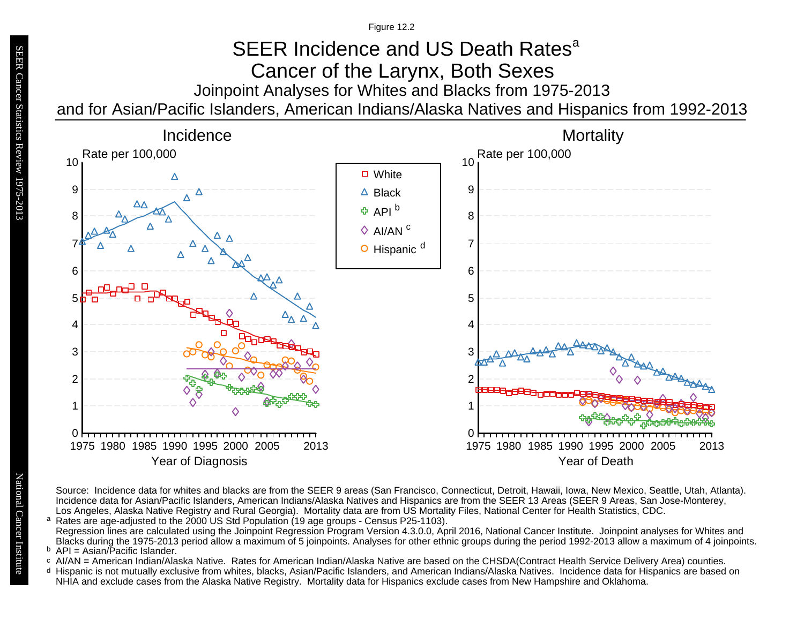# Joinpoint Analyses for Whites and Blacks from 1975-2013 and for Asian/Pacific Islanders, American Indians/Alaska Natives and Hispanics from 1992-2013 SEER Incidence and US Death Rates<sup>a</sup> Cancer of the Larynx, Both Sexes

![](_page_33_Figure_2.jpeg)

Source: Incidence data for whites and blacks are from the SEER 9 areas (San Francisco, Connecticut, Detroit, Hawaii, Iowa, New Mexico, Seattle, Utah, Atlanta). Incidence data for Asian/Pacific Islanders, American Indians/Alaska Natives and Hispanics are from the SEER 13 Areas (SEER 9 Areas, San Jose-Monterey, Los Angeles, Alaska Native Registry and Rural Georgia). Mortality data are from US Mortality Files, National Center for Health Statistics, CDC. <sup>a</sup> Rates are age-adjusted to the 2000 US Std Population (19 age groups - Census P25-1103).

- <sup>b</sup> API = Asian/Pacific Islander.<br>○ AI/AN = American Indian/Ala AI/AN = American Indian/Alaska Native. Rates for American Indian/Alaska Native are based on the CHSDA(Contract Health Service Delivery Area) counties.
- Hispanic is not mutually exclusive from whites, blacks, Asian/Pacific Islanders, and American Indians/Alaska Natives. Incidence data for Hispanics are based on NHIA and exclude cases from the Alaska Native Registry. Mortality data for Hispanics exclude cases from New Hampshire and Oklahoma. a<br>b<br>d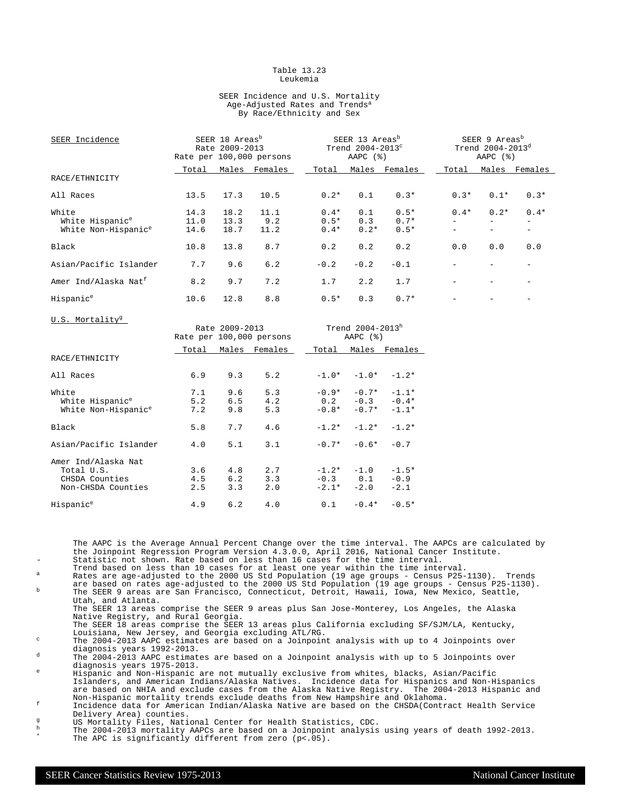#### Table 13.23 Leukemia

### SEER Incidence and U.S. Mortality Age-Adjusted Rates and Trends<sup>a</sup> By Race/Ethnicity and Sex

| SEER Incidence                   | SEER 18 Areas <sup>b</sup><br>Rate 2009-2013<br>Rate per 100,000 persons |      |               | SEER 13 Areas <sup>b</sup><br>Trend 2004-2013 <sup>c</sup><br>AAPC $(%)$ |        |               | SEER 9 Areas <sup>b</sup><br>Trend 2004-2013 <sup>d</sup><br>AAPC $(%)$ |        |               |
|----------------------------------|--------------------------------------------------------------------------|------|---------------|--------------------------------------------------------------------------|--------|---------------|-------------------------------------------------------------------------|--------|---------------|
|                                  | Total                                                                    |      | Males Females | Total                                                                    |        | Males Females | Total                                                                   |        | Males Females |
| RACE/ETHNICITY                   |                                                                          |      |               |                                                                          |        |               |                                                                         |        |               |
| All Races                        | 13.5                                                                     | 17.3 | 10.5          | $0.2*$                                                                   | 0.1    | $0.3*$        | $0.3*$                                                                  | $0.1*$ | $0.3*$        |
| White                            | 14.3                                                                     | 18.2 | 11.1          | $0.4*$                                                                   | 0.1    | $0.5*$        | $0.4*$                                                                  | $0.2*$ | $0.4*$        |
| White Hispanic <sup>e</sup>      | 11.0                                                                     | 13.3 | 9.2           | $0.5*$                                                                   | 0.3    | $0.7*$        |                                                                         |        |               |
| White Non-Hispanic <sup>e</sup>  | 14.6                                                                     | 18.7 | 11.2          | $0.4*$                                                                   | $0.2*$ | $0.5*$        |                                                                         |        |               |
| Black                            | 10.8                                                                     | 13.8 | 8.7           | 0.2                                                                      | 0.2    | 0.2           | 0.0                                                                     | 0.0    | 0.0           |
| Asian/Pacific Islander           | 7.7                                                                      | 9.6  | 6.2           | $-0.2$                                                                   | $-0.2$ | $-0.1$        |                                                                         |        |               |
| Amer Ind/Alaska Nat <sup>f</sup> | 8.2                                                                      | 9.7  | 7.2           | 1.7                                                                      | 2.2    | 1.7           |                                                                         |        |               |
| Hispanic <sup>e</sup>            | 10.6                                                                     | 12.8 | 8.8           | $0.5*$                                                                   | 0.3    | $0.7*$        |                                                                         |        |               |

Rate  $2009 - 2013$  Trend  $2004 - 2013$ <sup>h</sup> Per  $100,000$  persons AAPC  $(*)$ Rate per 100,000 persons Total Males Females 1Total Males Females RACE/ETHNICITY All Races 6.9 9.3 5.2  $-1.0*$   $-1.0*$   $-1.2*$ White<br>
White Hispanic<sup>e</sup> 7.1 9.6 5.3 -0.9\* -0.7\* -1.1\*<br>
5.2 6.5 4.2 0.2 -0.3 -0.4\* White Hispanic<sup>e</sup>  $5.2$   $6.5$   $4.2$   $0.2$   $-0.3$   $-0.4*$ White Non-Hispanic<sup>e</sup> 7.2 9.8 5.3  $-0.8*$  -0.7\*  $-1.1*$ Black 5.8 7.7 4.6 -1.2\* -1.2\* -1.2\* Asian/Pacific Islander  $4.0$  5.1 3.1  $-0.7*$  -0.6\* -0.7 Amer Ind/Alaska Nat Total U.S. 3.6 4.8 2.7 -1.2\* -1.0 -1.5\* CHSDA Counties  $4.5$   $6.2$   $3.3$   $-0.3$   $0.1$   $-0.9$ <br>Non-CHSDA Counties  $2.5$   $3.3$   $2.0$   $-2.1$ \*  $-2.0$   $-2.1$ Non-CHSDA Counties Hispanic<sup>e</sup> 4.9 6.2 4.0 0.1 -0.4\* -0.5\*

The AAPC is the Average Annual Percent Change over the time interval. The AAPCs are calculated by the Joinpoint Regression Program Version 4.3.0.0, April 2016, National Cancer Institute. Statistic not shown. Rate based on less than 16 cases for the time interval.

Trend based on less than 10 cases for at least one year within the time interval.

<sup>a</sup> Rates are age-adjusted to the 2000 US Std Population (19 age groups - Census P25-1130). Trends are based on rates age-adjusted to the 2000 US Std Population (19 age groups - Census P25-1130). <sup>b</sup> The SEER 9 areas are San Francisco, Connecticut, Detroit, Hawaii, Iowa, New Mexico, Seattle, Utah, and Atlanta.

The SEER 13 areas comprise the SEER 9 areas plus San Jose-Monterey, Los Angeles, the Alaska Native Registry, and Rural Georgia.

The SEER 18 areas comprise the SEER 13 areas plus California excluding SF/SJM/LA, Kentucky,

Louisiana, New Jersey, and Georgia excluding ATL/RG. <sup>c</sup> The 2004-2013 AAPC estimates are based on a Joinpoint analysis with up to 4 Joinpoints over diagnosis years 1992-2013.

 $d = The^{-2004-2013}$  AAPC estimates are based on a Joinpoint analysis with up to 5 Joinpoints over diagnosis years 1975-2013.

<sup>e</sup> Hispanic and Non-Hispanic are not mutually exclusive from whites, blacks, Asian/Pacific Islanders, and American Indians/Alaska Natives. Incidence data for Hispanics and Non-Hispanics are based on NHIA and exclude cases from the Alaska Native Registry. The 2004-2013 Hispanic and Non-Hispanic mortality trends exclude deaths from New Hampshire and Oklahoma.

<sup>f</sup> Incidence data for American Indian/Alaska Native are based on the CHSDA(Contract Health Service Delivery Area) counties.

<sup>g</sup> US Mortality Files, National Center for Health Statistics, CDC.<br>h The 2004 2012 mentality APOs are based an a Joinnaint applysis

 $^{\text{h}}$  The 2004-2013 mortality AAPCs are based on a Joinpoint analysis using years of death 1992-2013. \* The APC is significantly different from zero (p<.05).

U.S. Mortality<sup>g</sup>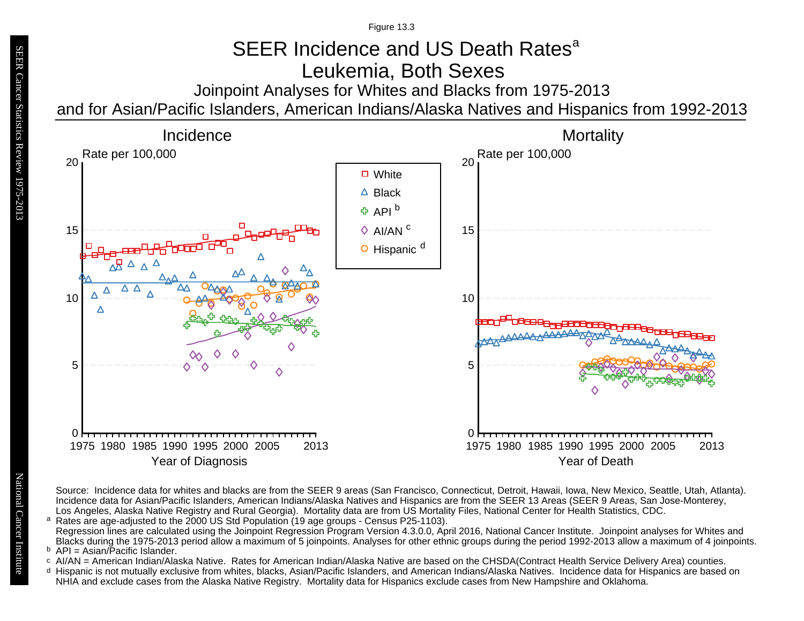# SEER Incidence and US Death Rates<sup>a</sup> Leukemia, Both Sexes

Joinpoint Analyses for Whites and Blacks from 1975-2013

and for Asian/Pacific Islanders, American Indians/Alaska Natives and Hispanics from 1992-2013

![](_page_35_Figure_4.jpeg)

Source: Incidence data for whites and blacks are from the SEER 9 areas (San Francisco, Connecticut, Detroit, Hawaii, Iowa, New Mexico, Seattle, Utah, Atlanta). Incidence data for Asian/Pacific Islanders, American Indians/Alaska Natives and Hispanics are from the SEER 13 Areas (SEER 9 Areas, San Jose-Monterey, Los Angeles, Alaska Native Registry and Rural Georgia). Mortality data are from US Mortality Files, National Center for Health Statistics, CDC. <sup>a</sup> Rates are age-adjusted to the 2000 US Std Population (19 age groups - Census P25-1103).

- <sup>b</sup> API = Asian/Pacific Islander.<br>○ AI/AN = American Indian/Ala AI/AN = American Indian/Alaska Native. Rates for American Indian/Alaska Native are based on the CHSDA(Contract Health Service Delivery Area) counties.
- Hispanic is not mutually exclusive from whites, blacks, Asian/Pacific Islanders, and American Indians/Alaska Natives. Incidence data for Hispanics are based on NHIA and exclude cases from the Alaska Native Registry. Mortality data for Hispanics exclude cases from New Hampshire and Oklahoma. a<br>b<br>d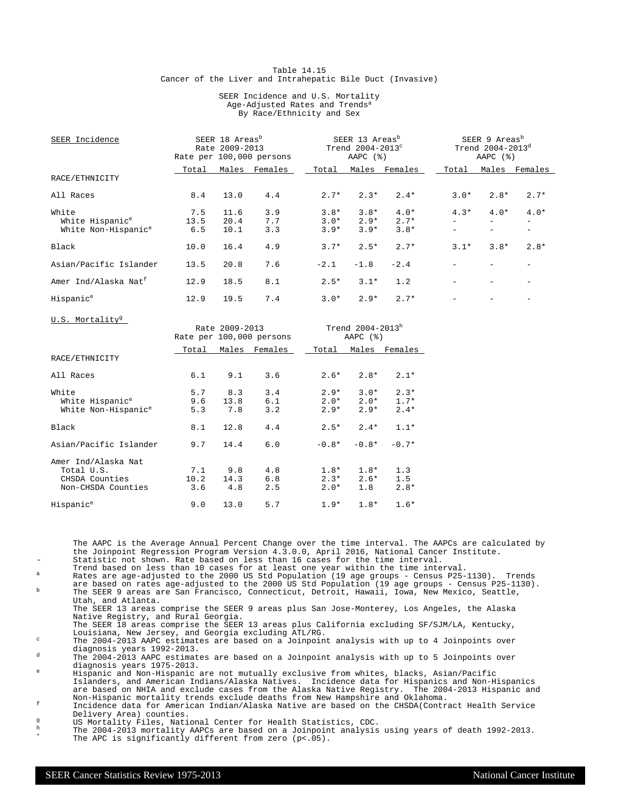### Table 14.15 Cancer of the Liver and Intrahepatic Bile Duct (Invasive)

### SEER Incidence and U.S. Mortality Age-Adjusted Rates and Trends<sup>a</sup> By Race/Ethnicity and Sex

| SEER Incidence                   | SEER 18 Areas <sup>b</sup><br>Rate 2009-2013<br>Rate per 100,000 persons |      |               | SEER 13 Areas <sup>b</sup><br>Trend 2004-2013 <sup>c</sup><br>AAPC $(%)$ |        |         | SEER 9 Areas <sup>b</sup><br>Trend 2004-2013 <sup>d</sup><br>AAPC $(%)$ |        |               |
|----------------------------------|--------------------------------------------------------------------------|------|---------------|--------------------------------------------------------------------------|--------|---------|-------------------------------------------------------------------------|--------|---------------|
|                                  | Total                                                                    |      | Males Females | Total                                                                    | Males  | Females | Total                                                                   |        | Males Females |
| RACE/ETHNICITY                   |                                                                          |      |               |                                                                          |        |         |                                                                         |        |               |
| All Races                        | 8.4                                                                      | 13.0 | 4.4           | $2.7*$                                                                   | $2.3*$ | $2.4*$  | $3.0*$                                                                  | $2.8*$ | $2.7*$        |
| White                            | 7.5                                                                      | 11.6 | 3.9           | $3.8*$                                                                   | $3.8*$ | $4.0*$  | $4.3*$                                                                  | $4.0*$ | $4.0*$        |
| White Hispanic <sup>e</sup>      | 13.5                                                                     | 20.4 | 7.7           | $3.0*$                                                                   | $2.9*$ | $2.7*$  |                                                                         |        |               |
| White Non-Hispanic <sup>e</sup>  | 6.5                                                                      | 10.1 | 3.3           | $3.9*$                                                                   | $3.9*$ | $3.8*$  |                                                                         | $-$    |               |
| Black                            | 10.0                                                                     | 16.4 | 4.9           | $3.7*$                                                                   | $2.5*$ | $2.7*$  | $3.1*$                                                                  | $3.8*$ | $2.8*$        |
| Asian/Pacific Islander           | 13.5                                                                     | 20.8 | 7.6           | $-2.1$                                                                   | $-1.8$ | $-2.4$  |                                                                         |        |               |
| Amer Ind/Alaska Nat <sup>f</sup> | 12.9                                                                     | 18.5 | 8.1           | $2.5*$                                                                   | $3.1*$ | 1.2     |                                                                         |        |               |
| Hispanic <sup>e</sup>            | 12.9                                                                     | 19.5 | 7.4           | $3.0*$                                                                   | $2.9*$ | $2.7*$  |                                                                         |        |               |
|                                  |                                                                          |      |               |                                                                          |        |         |                                                                         |        |               |

|                                                                           |                    | Rate 2009-2013     | Rate per 100,000 persons |                            | Trend 2004-2013h<br>AAPC $(%)$ |                            |  |  |  |
|---------------------------------------------------------------------------|--------------------|--------------------|--------------------------|----------------------------|--------------------------------|----------------------------|--|--|--|
|                                                                           | Total              |                    | Males Females            | Total                      |                                | Males Females              |  |  |  |
| RACE/ETHNICITY                                                            |                    |                    |                          |                            |                                |                            |  |  |  |
| All Races                                                                 | 6.1                | 9.1                | 3.6                      | $2.6*$                     | $2.8*$                         | $2.1*$                     |  |  |  |
| White<br>White Hispanic <sup>e</sup><br>White Non-Hispanic <sup>e</sup>   | 5.7<br>9.6<br>5.3  | 8.3<br>13.8<br>7.8 | 3.4<br>6.1<br>3.2        | $2.9*$<br>$2.0*$<br>$2.9*$ | $3.0*$<br>$2.0*$<br>$2.9*$     | $2.3*$<br>$1.7*$<br>$2.4*$ |  |  |  |
| Black                                                                     | 8.1                | 12.8               | 4.4                      | $2.5*$                     | $2.4*$                         | $1.1*$                     |  |  |  |
| Asian/Pacific Islander                                                    | 9.7                | 14.4               | 6.0                      | $-0.8*$                    | $-0.8*$                        | $-0.7*$                    |  |  |  |
| Amer Ind/Alaska Nat<br>Total U.S.<br>CHSDA Counties<br>Non-CHSDA Counties | 7.1<br>10.2<br>3.6 | 9.8<br>14.3<br>4.8 | 4.8<br>6.8<br>2.5        | $1.8*$<br>$2.3*$<br>$2.0*$ | $1.8*$<br>$2.6*$<br>1.8        | 1.3<br>1.5<br>$2.8*$       |  |  |  |
| Hispanic <sup>e</sup>                                                     | 9.0                | 13.0               | 5.7                      | $1.9*$                     | $1.8*$                         | $1.6*$                     |  |  |  |

The AAPC is the Average Annual Percent Change over the time interval. The AAPCs are calculated by the Joinpoint Regression Program Version 4.3.0.0, April 2016, National Cancer Institute. Statistic not shown. Rate based on less than 16 cases for the time interval.

Trend based on less than 10 cases for at least one year within the time interval.

a Rates are age-adjusted to the 2000 US Std Population (19 age groups - Census P25-1130). Trends are based on rates age-adjusted to the 2000 US Std Population (19 age groups - Census P25-1130). <sup>b</sup> The SEER 9 areas are San Francisco, Connecticut, Detroit, Hawaii, Iowa, New Mexico, Seattle, Utah, and Atlanta.

The SEER 13 areas comprise the SEER 9 areas plus San Jose-Monterey, Los Angeles, the Alaska Native Registry, and Rural Georgia.

The SEER 18 areas comprise the SEER 13 areas plus California excluding SF/SJM/LA, Kentucky,

Louisiana, New Jersey, and Georgia excluding ATL/RG. <sup>c</sup> The 2004-2013 AAPC estimates are based on a Joinpoint analysis with up to 4 Joinpoints over diagnosis years 1992-2013.

<sup>d</sup> The 2004-2013 AAPC estimates are based on a Joinpoint analysis with up to 5 Joinpoints over diagnosis years 1975-2013.

<sup>e</sup> Hispanic and Non-Hispanic are not mutually exclusive from whites, blacks, Asian/Pacific Islanders, and American Indians/Alaska Natives. Incidence data for Hispanics and Non-Hispanics are based on NHIA and exclude cases from the Alaska Native Registry. The 2004-2013 Hispanic and Non-Hispanic mortality trends exclude deaths from New Hampshire and Oklahoma.

<sup>f</sup> Incidence data for American Indian/Alaska Native are based on the CHSDA(Contract Health Service Delivery Area) counties.

<sup>g</sup> US Mortality Files, National Center for Health Statistics, CDC.<br>h The 2004 2012 mentality APOs are based an a Joinnaint applysis

 $^{\text{h}}$  The 2004-2013 mortality AAPCs are based on a Joinpoint analysis using years of death 1992-2013. \* The APC is significantly different from zero (p<.05).

U.S. Mortality<sup>g</sup>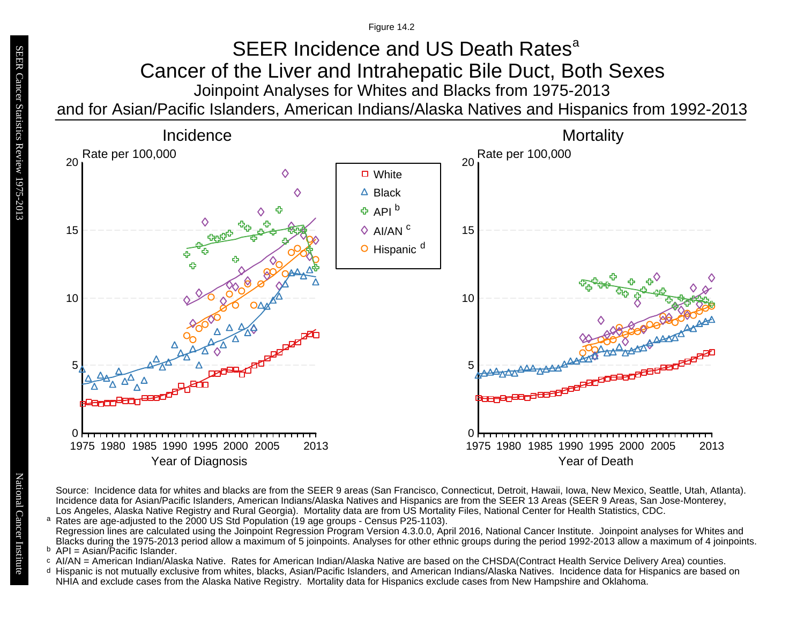### Joinpoint Analyses for Whites and Blacks from 1975-2013 and for Asian/Pacific Islanders, American Indians/Alaska Natives and Hispanics from 1992-2013 SEER Incidence and US Death Rates<sup>a</sup> Cancer of the Liver and Intrahepatic Bile Duct, Both Sexes

![](_page_37_Figure_2.jpeg)

Source: Incidence data for whites and blacks are from the SEER 9 areas (San Francisco, Connecticut, Detroit, Hawaii, Iowa, New Mexico, Seattle, Utah, Atlanta). Incidence data for Asian/Pacific Islanders, American Indians/Alaska Natives and Hispanics are from the SEER 13 Areas (SEER 9 Areas, San Jose-Monterey, Los Angeles, Alaska Native Registry and Rural Georgia). Mortality data are from US Mortality Files, National Center for Health Statistics, CDC. <sup>a</sup> Rates are age-adjusted to the 2000 US Std Population (19 age groups - Census P25-1103).

- <sup>b</sup> API = Asian/Pacific Islander.<br>○ AI/AN = American Indian/Ala AI/AN = American Indian/Alaska Native. Rates for American Indian/Alaska Native are based on the CHSDA(Contract Health Service Delivery Area) counties.
- Hispanic is not mutually exclusive from whites, blacks, Asian/Pacific Islanders, and American Indians/Alaska Natives. Incidence data for Hispanics are based on NHIA and exclude cases from the Alaska Native Registry. Mortality data for Hispanics exclude cases from New Hampshire and Oklahoma. a<br>b<br>d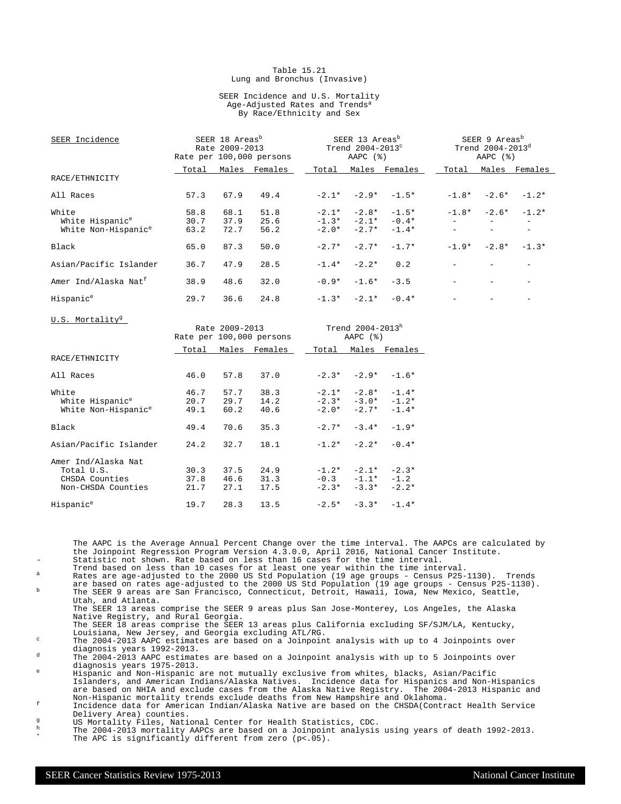### Table 15.21 Lung and Bronchus (Invasive)

### SEER Incidence and U.S. Mortality Age-Adjusted Rates and Trends<sup>a</sup> By Race/Ethnicity and Sex

| SEER Incidence                   | SEER 18 Areas <sup>b</sup><br>Rate 2009-2013<br>Rate per 100,000 persons |      |                     |         | SEER 13 Areas <sup>b</sup><br>AAPC $(%)$ | Trend $2004-2013^{\circ}$ | SEER 9 Areas <sup>b</sup><br>Trend $2004 - 2013^d$<br>AAPC $(%)$ |                          |                          |  |
|----------------------------------|--------------------------------------------------------------------------|------|---------------------|---------|------------------------------------------|---------------------------|------------------------------------------------------------------|--------------------------|--------------------------|--|
|                                  | Total                                                                    |      | Males Females       |         |                                          | Total Males Females       |                                                                  |                          | Total Males Females      |  |
| RACE/ETHNICITY                   |                                                                          |      |                     |         |                                          |                           |                                                                  |                          |                          |  |
| All Races                        | 57.3                                                                     | 67.9 | 49.4                |         |                                          | $-2.1* -2.9* -1.5*$       |                                                                  | $-1.8* -2.6*$            | $-1.2*$                  |  |
| White                            | 58.8                                                                     | 68.1 | 51.8                |         |                                          | $-2.1* -2.8* -1.5*$       |                                                                  | $-1.8* -2.6*$            | $-1.2*$                  |  |
| White Hispanic <sup>e</sup>      | 30.7                                                                     | 37.9 | 25.6                |         |                                          | $-1.3* -2.1* -0.4*$       | $\sim$ 100 $\sim$                                                | $\overline{\phantom{a}}$ | $-$                      |  |
| White Non-Hispanic <sup>e</sup>  | 63.2                                                                     | 72.7 | 56.2                |         | $-2.0* -2.7*$                            | $-1.4*$                   |                                                                  | $\frac{1}{2}$            | $\sim$                   |  |
| Black                            | 65.0                                                                     | 87.3 | 50.0                | $-2.7*$ | $-2.7*$                                  | $-1.7*$                   |                                                                  | $-1.9* -2.8*$            | $-1.3*$                  |  |
| Asian/Pacific Islander           | 36.7                                                                     | 47.9 | 28.5                | $-1.4*$ | $-2.2*$                                  | 0.2                       |                                                                  | $\overline{\phantom{a}}$ | $\overline{\phantom{a}}$ |  |
| Amer Ind/Alaska Nat <sup>f</sup> | 38.9                                                                     | 48.6 | 32.0                | $-0.9*$ | $-1.6*$                                  | $-3.5$                    |                                                                  | $\overline{\phantom{a}}$ | $\overline{\phantom{a}}$ |  |
| Hispanic <sup>e</sup>            | 29.7                                                                     | 36.6 | 24.8                |         | $-1.3* -2.1*$                            | $-0.4*$                   |                                                                  |                          |                          |  |
| U.S. Mortality <sup>g</sup>      | Rate 2009-2013<br>Rate per 100,000 persons                               |      |                     |         | Trend 2004-2013h<br>AAPC $(%)$           |                           |                                                                  |                          |                          |  |
|                                  |                                                                          |      |                     |         |                                          |                           |                                                                  |                          |                          |  |
| RACE/ETHNICITY                   |                                                                          |      | Total Males Females |         |                                          | Total Males Females       |                                                                  |                          |                          |  |
| All Races                        | 46.0                                                                     | 57.8 | 37.0                |         | $-2.3* -2.9*$                            | $-1.6*$                   |                                                                  |                          |                          |  |
| White                            | 46.7                                                                     | 57.7 | 38.3                |         | $-2.1* -2.8* -1.4*$                      |                           |                                                                  |                          |                          |  |
| White Hispanic <sup>e</sup>      | 20.7                                                                     | 29.7 | 14.2                |         |                                          | $-2.3* -3.0* -1.2*$       |                                                                  |                          |                          |  |
| White Non-Hispanic <sup>e</sup>  | 49.1                                                                     | 60.2 | 40.6                | $-2.0*$ | $-2.7*$                                  | $-1.4*$                   |                                                                  |                          |                          |  |
| Black                            | 49.4                                                                     | 70.6 | 35.3                | $-2.7*$ | $-3.4*$                                  | $-1.9*$                   |                                                                  |                          |                          |  |
| Asian/Pacific Islander           | 24.2                                                                     | 32.7 | 18.1                | $-1.2*$ | $-2.2*$                                  | $-0.4*$                   |                                                                  |                          |                          |  |
| Amer Ind/Alaska Nat              |                                                                          |      |                     |         |                                          |                           |                                                                  |                          |                          |  |

Total U.S. 30.3 37.5 24.9 -1.2\* -2.1\* -2.3\* CHSDA Counties 37.8 46.6 31.3 -0.3 -1.1\* -1.2 Non-CHSDA Counties 21.7 27.1 17.5 -2.3\* -3.3\* -2.2\* Hispanic<sup>e</sup> 19.7 28.3 13.5 -2.5\* -3.3\* -1.4\*

The AAPC is the Average Annual Percent Change over the time interval. The AAPCs are calculated by the Joinpoint Regression Program Version 4.3.0.0, April 2016, National Cancer Institute. Statistic not shown. Rate based on less than 16 cases for the time interval.

Trend based on less than 10 cases for at least one year within the time interval.

<sup>a</sup> Rates are age-adjusted to the 2000 US Std Population (19 age groups - Census P25-1130). Trends are based on rates age-adjusted to the 2000 US Std Population (19 age groups - Census P25-1130). <sup>b</sup> The SEER 9 areas are San Francisco, Connecticut, Detroit, Hawaii, Iowa, New Mexico, Seattle, Utah, and Atlanta.

The SEER 13 areas comprise the SEER 9 areas plus San Jose-Monterey, Los Angeles, the Alaska Native Registry, and Rural Georgia.

The SEER 18 areas comprise the SEER 13 areas plus California excluding SF/SJM/LA, Kentucky,

Louisiana, New Jersey, and Georgia excluding ATL/RG. <sup>c</sup> The 2004-2013 AAPC estimates are based on a Joinpoint analysis with up to 4 Joinpoints over diagnosis years 1992-2013.

 $d = The^{-2004-2013}$  AAPC estimates are based on a Joinpoint analysis with up to 5 Joinpoints over diagnosis years 1975-2013.

<sup>e</sup> Hispanic and Non-Hispanic are not mutually exclusive from whites, blacks, Asian/Pacific Islanders, and American Indians/Alaska Natives. Incidence data for Hispanics and Non-Hispanics are based on NHIA and exclude cases from the Alaska Native Registry. The 2004-2013 Hispanic and Non-Hispanic mortality trends exclude deaths from New Hampshire and Oklahoma.

<sup>f</sup> Incidence data for American Indian/Alaska Native are based on the CHSDA(Contract Health Service Delivery Area) counties.

g<br>
US Mortality Files, National Center for Health Statistics, CDC.<br>
The 2004-2013 mortality AADCs are based on a Joinnoint analysis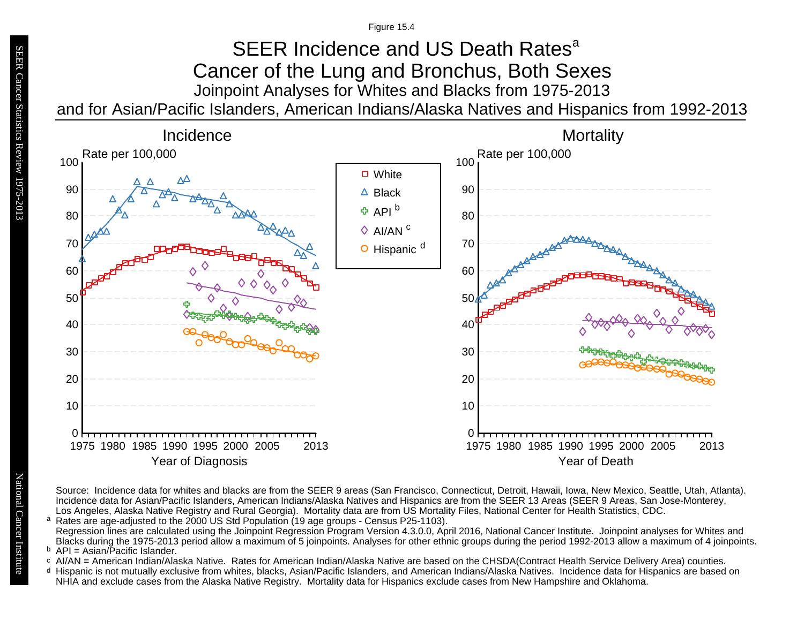## Joinpoint Analyses for Whites and Blacks from 1975-2013 and for Asian/Pacific Islanders, American Indians/Alaska Natives and Hispanics from 1992-2013 SEER Incidence and US Death Rates<sup>a</sup> Cancer of the Lung and Bronchus, Both Sexes

![](_page_39_Figure_2.jpeg)

Source: Incidence data for whites and blacks are from the SEER 9 areas (San Francisco, Connecticut, Detroit, Hawaii, Iowa, New Mexico, Seattle, Utah, Atlanta). Incidence data for Asian/Pacific Islanders, American Indians/Alaska Natives and Hispanics are from the SEER 13 Areas (SEER 9 Areas, San Jose-Monterey, Los Angeles, Alaska Native Registry and Rural Georgia). Mortality data are from US Mortality Files, National Center for Health Statistics, CDC. <sup>a</sup> Rates are age-adjusted to the 2000 US Std Population (19 age groups - Census P25-1103).

- <sup>b</sup> API = Asian/Pacific Islander.<br>○ AI/AN = American Indian/Ala AI/AN = American Indian/Alaska Native. Rates for American Indian/Alaska Native are based on the CHSDA(Contract Health Service Delivery Area) counties.
- Hispanic is not mutually exclusive from whites, blacks, Asian/Pacific Islanders, and American Indians/Alaska Natives. Incidence data for Hispanics are based on NHIA and exclude cases from the Alaska Native Registry. Mortality data for Hispanics exclude cases from New Hampshire and Oklahoma. a<br>b<br>d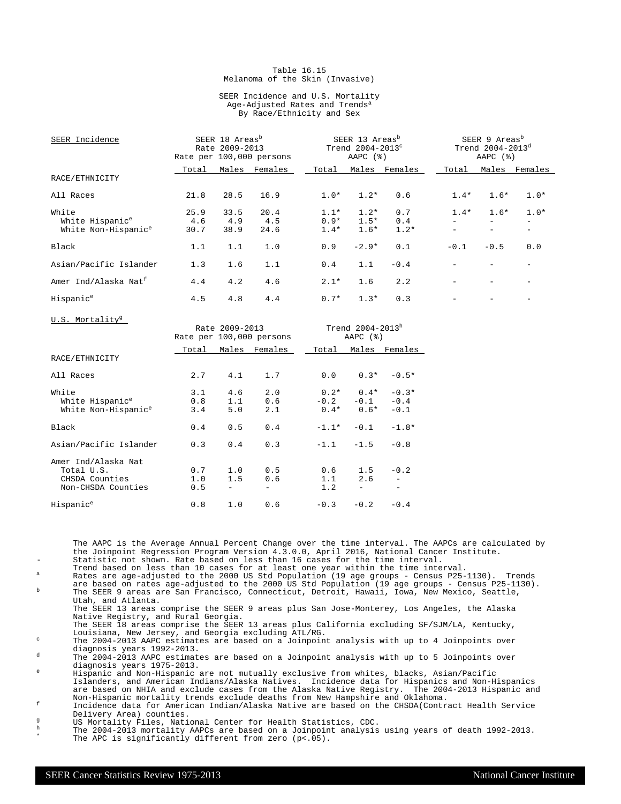### Table 16.15 Melanoma of the Skin (Invasive)

### SEER Incidence and U.S. Mortality Age-Adjusted Rates and Trends<sup>a</sup> By Race/Ethnicity and Sex

| SEER Incidence                   | SEER 18 Areas <sup>b</sup><br>Rate 2009-2013<br>Rate per 100,000 persons |      | SEER 13 Areas <sup>b</sup><br>Trend 2004-2013 <sup>c</sup><br>AAPC $(%)$ |        |         |               | SEER 9 Areas <sup>b</sup><br>Trend $2004 - 2013^d$<br>AAPC $(%)$ |        |               |
|----------------------------------|--------------------------------------------------------------------------|------|--------------------------------------------------------------------------|--------|---------|---------------|------------------------------------------------------------------|--------|---------------|
|                                  | Total                                                                    |      | Males Females                                                            | Total  |         | Males Females | Total                                                            |        | Males Females |
| RACE/ETHNICITY                   |                                                                          |      |                                                                          |        |         |               |                                                                  |        |               |
| All Races                        | 21.8                                                                     | 28.5 | 16.9                                                                     | $1.0*$ | $1.2*$  | 0.6           | $1.4*$                                                           | $1.6*$ | $1.0*$        |
| White                            | 25.9                                                                     | 33.5 | 20.4                                                                     | $1.1*$ | $1.2*$  | 0.7           | $1.4*$                                                           | $1.6*$ | $1.0*$        |
| White Hispanic <sup>e</sup>      | 4.6                                                                      | 4.9  | 4.5                                                                      | $0.9*$ | $1.5*$  | 0.4           |                                                                  |        |               |
| White Non-Hispanic <sup>e</sup>  | 30.7                                                                     | 38.9 | 24.6                                                                     | $1.4*$ | $1.6*$  | $1.2*$        |                                                                  |        |               |
| Black                            | 1.1                                                                      | 1.1  | 1.0                                                                      | 0.9    | $-2.9*$ | 0.1           | $-0.1$                                                           | $-0.5$ | 0.0           |
| Asian/Pacific Islander           | 1.3                                                                      | 1.6  | 1.1                                                                      | 0.4    | 1.1     | $-0.4$        |                                                                  |        |               |
| Amer Ind/Alaska Nat <sup>f</sup> | 4.4                                                                      | 4.2  | 4.6                                                                      | $2.1*$ | 1.6     | 2.2           |                                                                  |        |               |
| Hispanic <sup>e</sup>            | 4.5                                                                      | 4.8  | 4.4                                                                      | $0.7*$ | $1.3*$  | 0.3           |                                                                  |        |               |

Rate  $2009 - 2013$  Trend  $2004 - 2013$ <sup>h</sup> Per  $100,000$  persons AAPC  $(*)$ Rate per 100,000 persons Total Males Females 1Total Males Females RACE/ETHNICITY All Races 2.7 4.1 1.7 0.0 0.3\* -0.5\* White 3.1 4.6 2.0 0.2\* 0.4\* -0.3\* 1991)<br>
White Hispanic<sup>e</sup> 1.1 0.6 -0.2 -0.1 -0.4<br>
White Non-Hispanic<sup>e</sup> 3.4 5.0 2.1 0.4\* 0.6\* -0.1 White Non-Hispanic<sup>e</sup> Black 0.4 0.5 0.4 -1.1\* -0.1 -1.8\* Asian/Pacific Islander 0.3 0.4 0.3 -1.1 -1.5 -0.8 Amer Ind/Alaska Nat Total U.S. 0.7 1.0 0.5 0.6 1.5 -0.2 CHSDA Counties 1.0 1.5 0.6 1.1 2.6 -<br>Non-CHSDA Counties 0.5 - - 1.2 - -Non-CHSDA Counties 0.5 - -Hispanic<sup>e</sup> 0.8 1.0 0.6 -0.3 -0.2 -0.4

The AAPC is the Average Annual Percent Change over the time interval. The AAPCs are calculated by the Joinpoint Regression Program Version 4.3.0.0, April 2016, National Cancer Institute. Statistic not shown. Rate based on less than 16 cases for the time interval.

Trend based on less than 10 cases for at least one year within the time interval.

<sup>a</sup> Rates are age-adjusted to the 2000 US Std Population (19 age groups - Census P25-1130). Trends are based on rates age-adjusted to the 2000 US Std Population (19 age groups - Census P25-1130). <sup>b</sup> The SEER 9 areas are San Francisco, Connecticut, Detroit, Hawaii, Iowa, New Mexico, Seattle, Utah, and Atlanta.

The SEER 13 areas comprise the SEER 9 areas plus San Jose-Monterey, Los Angeles, the Alaska Native Registry, and Rural Georgia.

The SEER 18 areas comprise the SEER 13 areas plus California excluding SF/SJM/LA, Kentucky,

Louisiana, New Jersey, and Georgia excluding ATL/RG. <sup>c</sup> The 2004-2013 AAPC estimates are based on a Joinpoint analysis with up to 4 Joinpoints over diagnosis years 1992-2013.

 $d = The^{-2004-2013}$  AAPC estimates are based on a Joinpoint analysis with up to 5 Joinpoints over diagnosis years 1975-2013.

<sup>e</sup> Hispanic and Non-Hispanic are not mutually exclusive from whites, blacks, Asian/Pacific Islanders, and American Indians/Alaska Natives. Incidence data for Hispanics and Non-Hispanics are based on NHIA and exclude cases from the Alaska Native Registry. The 2004-2013 Hispanic and Non-Hispanic mortality trends exclude deaths from New Hampshire and Oklahoma.

<sup>f</sup> Incidence data for American Indian/Alaska Native are based on the CHSDA(Contract Health Service Delivery Area) counties.

<sup>g</sup> US Mortality Files, National Center for Health Statistics, CDC.<br>h The 2004 2012 mentality APOs are based an a Joinnaint applysis

 $^{\text{h}}$  The 2004-2013 mortality AAPCs are based on a Joinpoint analysis using years of death 1992-2013. \* The APC is significantly different from zero (p<.05).

U.S. Mortality<sup>g</sup>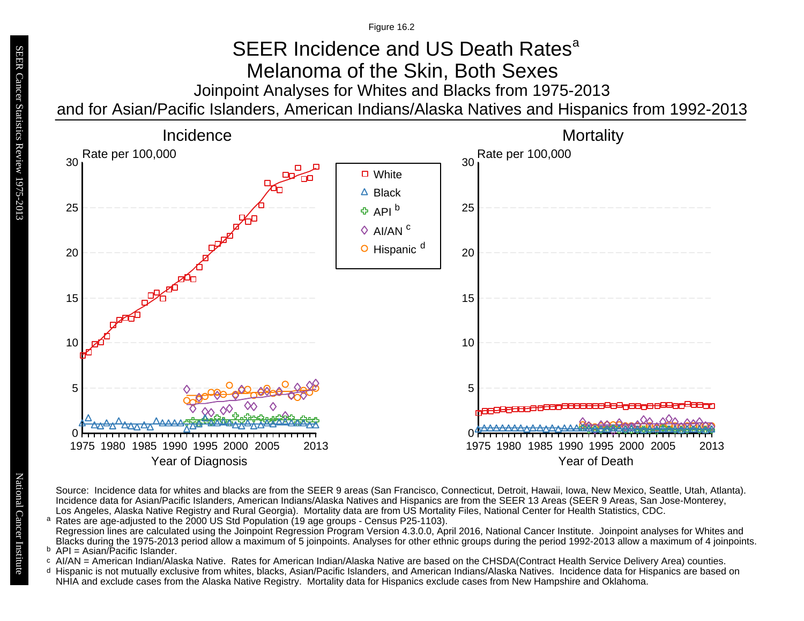# Joinpoint Analyses for Whites and Blacks from 1975-2013 and for Asian/Pacific Islanders, American Indians/Alaska Natives and Hispanics from 1992-2013 SEER Incidence and US Death Rates<sup>a</sup> Melanoma of the Skin, Both Sexes

![](_page_41_Figure_2.jpeg)

Source: Incidence data for whites and blacks are from the SEER 9 areas (San Francisco, Connecticut, Detroit, Hawaii, Iowa, New Mexico, Seattle, Utah, Atlanta). Incidence data for Asian/Pacific Islanders, American Indians/Alaska Natives and Hispanics are from the SEER 13 Areas (SEER 9 Areas, San Jose-Monterey, Los Angeles, Alaska Native Registry and Rural Georgia). Mortality data are from US Mortality Files, National Center for Health Statistics, CDC. <sup>a</sup> Rates are age-adjusted to the 2000 US Std Population (19 age groups - Census P25-1103).

- <sup>b</sup> API = Asian/Pacific Islander.<br>○ AI/AN = American Indian/Ala AI/AN = American Indian/Alaska Native. Rates for American Indian/Alaska Native are based on the CHSDA(Contract Health Service Delivery Area) counties.
- Hispanic is not mutually exclusive from whites, blacks, Asian/Pacific Islanders, and American Indians/Alaska Natives. Incidence data for Hispanics are based on NHIA and exclude cases from the Alaska Native Registry. Mortality data for Hispanics exclude cases from New Hampshire and Oklahoma. a<br>b<br>d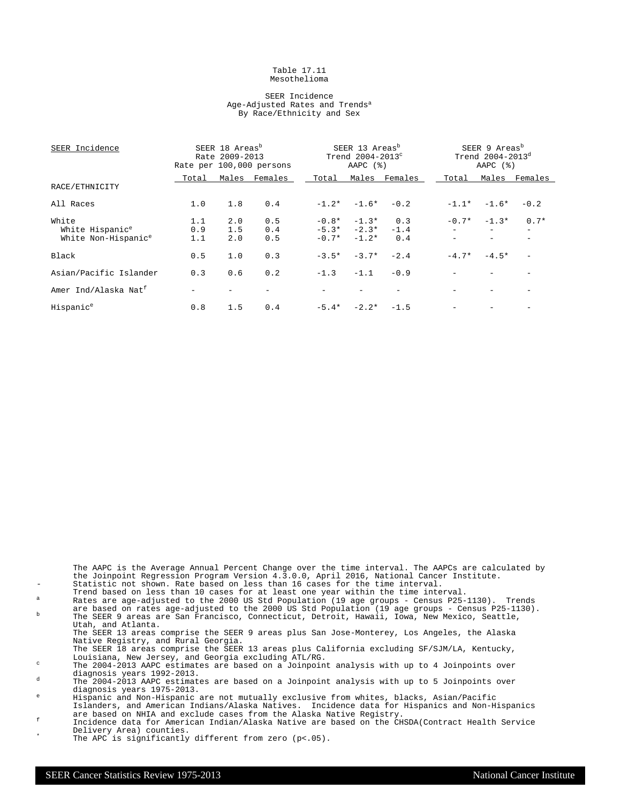#### Table 17.11 Mesothelioma

### SEER Incidence Age-Adjusted Rates and Trends<sup>a</sup> By Race/Ethnicity and Sex

| SEER Incidence                   | SEER 18 Areas <sup>b</sup><br>Rate 2009-2013<br>Rate per 100,000 persons |     |               |         | SEER 13 Areas <sup>b</sup><br>Trend $2004-2013^c$<br>AAPC $(%)$ |               |         | SEER 9 Areas <sup>b</sup><br>Trend $2004 - 2013^d$<br>AAPC $(%)$ |               |  |
|----------------------------------|--------------------------------------------------------------------------|-----|---------------|---------|-----------------------------------------------------------------|---------------|---------|------------------------------------------------------------------|---------------|--|
|                                  | Total                                                                    |     | Males Females | Total   |                                                                 | Males Females | Total   |                                                                  | Males Females |  |
| RACE/ETHNICITY                   |                                                                          |     |               |         |                                                                 |               |         |                                                                  |               |  |
| All Races                        | 1.0                                                                      | 1.8 | 0.4           |         | $-1.2* -1.6*$                                                   | $-0.2$        |         | $-1.1* -1.6*$                                                    | $-0.2$        |  |
| White                            | 1.1                                                                      | 2.0 | 0.5           |         | $-0.8* -1.3*$                                                   | 0.3           | $-0.7*$ | $-1.3*$                                                          | $0.7*$        |  |
| White Hispanic <sup>e</sup>      | 0.9                                                                      | 1.5 | 0.4           |         | $-5.3* -2.3*$                                                   | $-1.4$        |         |                                                                  |               |  |
| White Non-Hispanic <sup>e</sup>  | 1.1                                                                      | 2.0 | 0.5           | $-0.7*$ | $-1.2*$                                                         | 0.4           |         |                                                                  |               |  |
| Black                            | 0.5                                                                      | 1.0 | 0.3           | $-3.5*$ | $-3.7*$                                                         | $-2.4$        | $-4.7*$ | $-4.5*$                                                          |               |  |
| Asian/Pacific Islander           | 0.3                                                                      | 0.6 | 0.2           |         | $-1.3 -1.1$                                                     | $-0.9$        |         |                                                                  |               |  |
| Amer Ind/Alaska Nat <sup>f</sup> |                                                                          |     |               |         |                                                                 |               |         |                                                                  |               |  |
| Hispanic <sup>e</sup>            | 0.8                                                                      | 1.5 | 0.4           |         | $-5.4* -2.2*$                                                   | $-1.5$        |         |                                                                  |               |  |

the Joinpoint Regression Program Version 4.3.0.0, April 2016, National Cancer Institute. Statistic not shown. Rate based on less than 16 cases for the time interval. Trend based on less than 10 cases for at least one year within the time interval. <sup>a</sup> Rates are age-adjusted to the 2000 US Std Population (19 age groups - Census P25-1130). Trends are based on rates age-adjusted to the 2000 US Std Population (19 age groups - Census P25-1130). <sup>b</sup> The SEER 9 areas are San Francisco, Connecticut, Detroit, Hawaii, Iowa, New Mexico, Seattle, Utah, and Atlanta. The SEER 13 areas comprise the SEER 9 areas plus San Jose-Monterey, Los Angeles, the Alaska Native Registry, and Rural Georgia. The SEER 18 areas comprise the SEER 13 areas plus California excluding SF/SJM/LA, Kentucky, Louisiana, New Jersey, and Georgia excluding ATL/RG. <sup>c</sup> The 2004-2013 AAPC estimates are based on a Joinpoint analysis with up to 4 Joinpoints over diagnosis years 1992-2013.  $d$  The 2004-2013 AAPC estimates are based on a Joinpoint analysis with up to 5 Joinpoints over diagnosis years 1975-2013. <sup>e</sup> Hispanic and Non-Hispanic are not mutually exclusive from whites, blacks, Asian/Pacific

The AAPC is the Average Annual Percent Change over the time interval. The AAPCs are calculated by

Islanders, and American Indians/Alaska Natives. Incidence data for Hispanics and Non-Hispanics are based on NHIA and exclude cases from the Alaska Native Registry.

- f Incidence data for American Indian/Alaska Native are based on the CHSDA(Contract Health Service Delivery Area) counties.
	- The APC is significantly different from zero  $(p<.05)$ .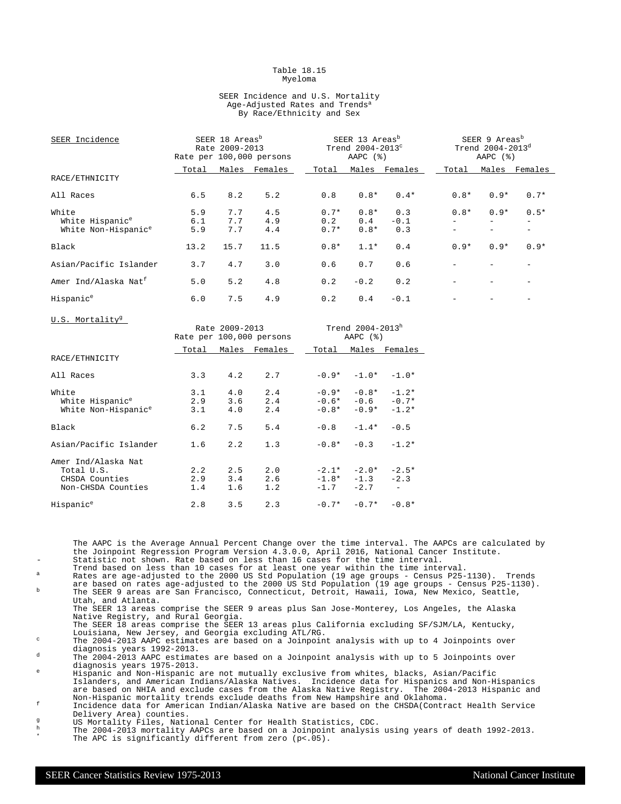#### Table 18.15 Myeloma

### SEER Incidence and U.S. Mortality Age-Adjusted Rates and Trends<sup>a</sup> By Race/Ethnicity and Sex

| SEER Incidence                   | SEER 18 Areas <sup>b</sup><br>Rate 2009-2013<br>Rate per 100,000 persons |       |         | SEER 13 Areas <sup>b</sup><br>Trend 2004-2013 <sup>c</sup><br>AAPC $(%)$ |        |         | SEER 9 Areas <sup>b</sup><br>Trend 2004-2013 <sup>d</sup><br>AAPC $(%)$ |        |         |
|----------------------------------|--------------------------------------------------------------------------|-------|---------|--------------------------------------------------------------------------|--------|---------|-------------------------------------------------------------------------|--------|---------|
|                                  | Total                                                                    | Males | Females | Total                                                                    | Males  | Females | Total                                                                   | Males  | Females |
| RACE/ETHNICITY                   |                                                                          |       |         |                                                                          |        |         |                                                                         |        |         |
| All Races                        | 6.5                                                                      | 8.2   | 5.2     | 0.8                                                                      | $0.8*$ | $0.4*$  | $0.8*$                                                                  | $0.9*$ | $0.7*$  |
| White                            | 5.9                                                                      | 7.7   | 4.5     | $0.7*$                                                                   | $0.8*$ | 0.3     | $0.8*$                                                                  | $0.9*$ | $0.5*$  |
| White Hispanic <sup>e</sup>      | 6.1                                                                      | 7.7   | 4.9     | 0.2                                                                      | 0.4    | $-0.1$  |                                                                         |        |         |
| White Non-Hispanic <sup>e</sup>  | 5.9                                                                      | 7.7   | 4.4     | $0.7*$                                                                   | $0.8*$ | 0.3     |                                                                         |        |         |
| Black                            | 13.2                                                                     | 15.7  | 11.5    | $0.8*$                                                                   | $1.1*$ | 0.4     | $0.9*$                                                                  | $0.9*$ | $0.9*$  |
| Asian/Pacific Islander           | 3.7                                                                      | 4.7   | 3.0     | 0.6                                                                      | 0.7    | 0.6     |                                                                         |        |         |
| Amer Ind/Alaska Nat <sup>f</sup> | 5.0                                                                      | 5.2   | 4.8     | 0.2                                                                      | $-0.2$ | 0.2     |                                                                         |        |         |
| Hispanic <sup>e</sup>            | 6.0                                                                      | 7.5   | 4.9     | 0.2                                                                      | 0.4    | $-0.1$  |                                                                         |        |         |
| U.S. Mortality <sup>9</sup>      |                                                                          |       |         |                                                                          |        |         |                                                                         |        |         |

|                                                                           |                   | Rate 2009-2013    | Rate per 100,000 persons | Trend $2004 - 2013^h$<br>AAPC $(%)$ |                                                    |                          |  |  |
|---------------------------------------------------------------------------|-------------------|-------------------|--------------------------|-------------------------------------|----------------------------------------------------|--------------------------|--|--|
|                                                                           | Total             |                   | Males Females            | Total                               |                                                    | Males Females            |  |  |
| RACE/ETHNICITY                                                            |                   |                   |                          |                                     |                                                    |                          |  |  |
| All Races                                                                 | 3.3               | 4.2               | 2.7                      |                                     | $-0.9* -1.0* -1.0*$                                |                          |  |  |
| White<br>White Hispanic <sup>e</sup><br>White Non-Hispanic <sup>e</sup>   | 3.1<br>2.9<br>3.1 | 4.0<br>3.6<br>4.0 | 2.4<br>2.4<br>2.4        | $-0.9*$                             | $-0.6* -0.6 -0.7*$<br>$-0.8* -0.9*$                | $-0.8* -1.2*$<br>$-1.2*$ |  |  |
| Black                                                                     | 6.2               | 7.5               | 5.4                      |                                     | $-0.8 -1.4*$                                       | $-0.5$                   |  |  |
| Asian/Pacific Islander                                                    | 1.6               | 2.2               | 1.3                      |                                     | $-0.8* -0.3$                                       | $-1.2*$                  |  |  |
| Amer Ind/Alaska Nat<br>Total U.S.<br>CHSDA Counties<br>Non-CHSDA Counties | 2.2<br>2.9<br>1.4 | 2.5<br>3.4<br>1.6 | 2.0<br>2.6<br>1.2        |                                     | $-2.1* -2.0* -2.5*$<br>$-1.8* -1.3$<br>$-1.7 -2.7$ | $-2.3$<br>$\equiv$ .     |  |  |
| Hispanic <sup>e</sup>                                                     | 2.8               | 3.5               | 2.3                      |                                     | $-0.7* -0.7*$                                      | $-0.8*$                  |  |  |

The AAPC is the Average Annual Percent Change over the time interval. The AAPCs are calculated by the Joinpoint Regression Program Version 4.3.0.0, April 2016, National Cancer Institute. Statistic not shown. Rate based on less than 16 cases for the time interval.

Trend based on less than 10 cases for at least one year within the time interval.

a Rates are age-adjusted to the 2000 US Std Population (19 age groups - Census P25-1130). Trends are based on rates age-adjusted to the 2000 US Std Population (19 age groups - Census P25-1130). <sup>b</sup> The SEER 9 areas are San Francisco, Connecticut, Detroit, Hawaii, Iowa, New Mexico, Seattle, Utah, and Atlanta.

The SEER 13 areas comprise the SEER 9 areas plus San Jose-Monterey, Los Angeles, the Alaska Native Registry, and Rural Georgia.

The SEER 18 areas comprise the SEER 13 areas plus California excluding SF/SJM/LA, Kentucky,

Louisiana, New Jersey, and Georgia excluding ATL/RG. <sup>c</sup> The 2004-2013 AAPC estimates are based on a Joinpoint analysis with up to 4 Joinpoints over diagnosis years 1992-2013.

<sup>d</sup> The 2004-2013 AAPC estimates are based on a Joinpoint analysis with up to 5 Joinpoints over diagnosis years 1975-2013.

<sup>e</sup> Hispanic and Non-Hispanic are not mutually exclusive from whites, blacks, Asian/Pacific Islanders, and American Indians/Alaska Natives. Incidence data for Hispanics and Non-Hispanics are based on NHIA and exclude cases from the Alaska Native Registry. The 2004-2013 Hispanic and Non-Hispanic mortality trends exclude deaths from New Hampshire and Oklahoma.

<sup>f</sup> Incidence data for American Indian/Alaska Native are based on the CHSDA(Contract Health Service Delivery Area) counties.

g<br>
US Mortality Files, National Center for Health Statistics, CDC.<br>
The 2004-2012 metality ADGs are based an a Joinnaint applying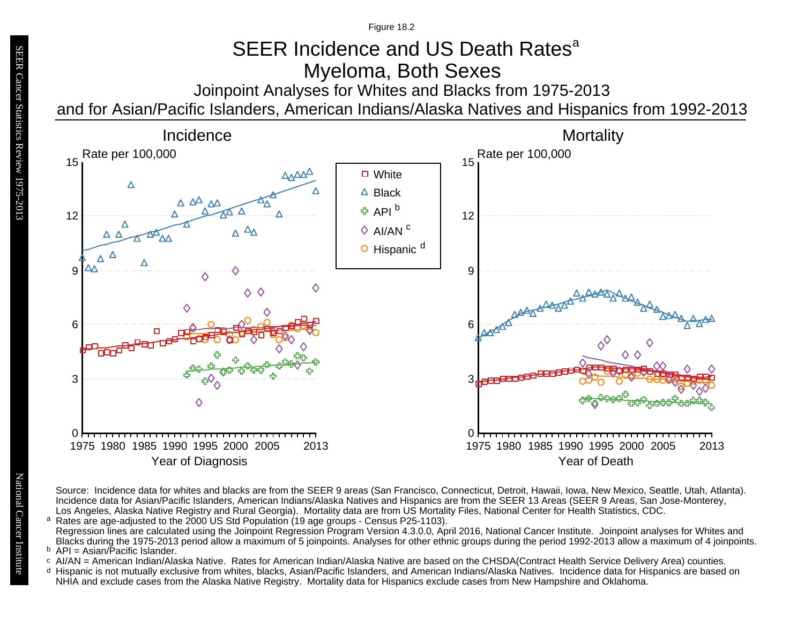# Joinpoint Analyses for Whites and Blacks from 1975-2013 SEER Incidence and US Death Rates<sup>a</sup> Myeloma, Both Sexes Figure 18.2

and for Asian/Pacific Islanders, American Indians/Alaska Natives and Hispanics from 1992-2013

![](_page_44_Figure_2.jpeg)

Source: Incidence data for whites and blacks are from the SEER 9 areas (San Francisco, Connecticut, Detroit, Hawaii, Iowa, New Mexico, Seattle, Utah, Atlanta). Incidence data for Asian/Pacific Islanders, American Indians/Alaska Natives and Hispanics are from the SEER 13 Areas (SEER 9 Areas, San Jose-Monterey, Los Angeles, Alaska Native Registry and Rural Georgia). Mortality data are from US Mortality Files, National Center for Health Statistics, CDC. <sup>a</sup> Rates are age-adjusted to the 2000 US Std Population (19 age groups - Census P25-1103).

- <sup>b</sup> API = Asian/Pacific Islander.<br>○ AI/AN = American Indian/Ala AI/AN = American Indian/Alaska Native. Rates for American Indian/Alaska Native are based on the CHSDA(Contract Health Service Delivery Area) counties.
- Hispanic is not mutually exclusive from whites, blacks, Asian/Pacific Islanders, and American Indians/Alaska Natives. Incidence data for Hispanics are based on NHIA and exclude cases from the Alaska Native Registry. Mortality data for Hispanics exclude cases from New Hampshire and Oklahoma. a<br>b<br>d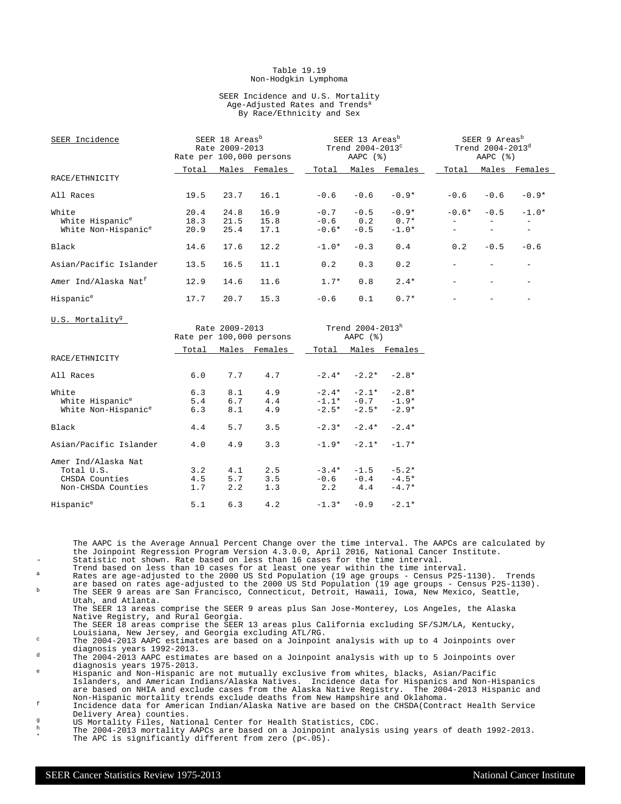### Table 19.19 Non-Hodgkin Lymphoma

### SEER Incidence and U.S. Mortality Age-Adjusted Rates and Trends<sup>a</sup> By Race/Ethnicity and Sex

| SEER Incidence                   | SEER 18 Areas <sup>b</sup><br>Rate 2009-2013<br>Rate per 100,000 persons |                |         |         | SEER 13 Areas <sup>b</sup><br>Trend 2004-2013°<br>AAPC $(%)$ |         | SEER 9 Areas <sup>b</sup><br>Trend $2004 - 2013^d$<br>AAPC $(%)$ |                          |         |  |
|----------------------------------|--------------------------------------------------------------------------|----------------|---------|---------|--------------------------------------------------------------|---------|------------------------------------------------------------------|--------------------------|---------|--|
|                                  | Total                                                                    | Males          | Females | Total   | Males                                                        | Females | Total                                                            | Males                    | Females |  |
| RACE/ETHNICITY                   |                                                                          |                |         |         |                                                              |         |                                                                  |                          |         |  |
| All Races                        | 19.5                                                                     | 23.7           | 16.1    | $-0.6$  | $-0.6$                                                       | $-0.9*$ | $-0.6$                                                           | $-0.6$                   | $-0.9*$ |  |
| White                            | 20.4                                                                     | 24.8           | 16.9    | $-0.7$  | $-0.5$                                                       | $-0.9*$ | $-0.6*$                                                          | $-0.5$                   | $-1.0*$ |  |
| White Hispanic <sup>e</sup>      | 18.3                                                                     | 21.5           | 15.8    | $-0.6$  | 0.2                                                          | $0.7*$  |                                                                  |                          |         |  |
| White Non-Hispanic <sup>e</sup>  | 20.9                                                                     | 25.4           | 17.1    | $-0.6*$ | $-0.5$                                                       | $-1.0*$ |                                                                  | $\overline{\phantom{a}}$ |         |  |
| Black                            | 14.6                                                                     | 17.6           | 12.2    | $-1.0*$ | $-0.3$                                                       | 0.4     | 0.2                                                              | $-0.5$                   | $-0.6$  |  |
| Asian/Pacific Islander           | 13.5                                                                     | 16.5           | 11.1    | 0.2     | 0.3                                                          | 0.2     |                                                                  |                          |         |  |
| Amer Ind/Alaska Nat <sup>f</sup> | 12.9                                                                     | 14.6           | 11.6    | $1.7*$  | 0.8                                                          | $2.4*$  |                                                                  |                          |         |  |
| Hispanic <sup>e</sup>            | 17.7                                                                     | 20.7           | 15.3    | $-0.6$  | 0.1                                                          | $0.7*$  |                                                                  |                          |         |  |
| U.S. Mortality <sup>9</sup>      |                                                                          | Rate 2009-2013 |         |         | Trend 2004-2013h                                             |         |                                                                  |                          |         |  |

|                                 | Rate per 100,000 persons |     |               | AAPC $(%)$ |         |                     |               |
|---------------------------------|--------------------------|-----|---------------|------------|---------|---------------------|---------------|
|                                 | Total                    |     | Males Females |            | Total   |                     | Males Females |
| RACE/ETHNICITY                  |                          |     |               |            |         |                     |               |
| All Races                       | 6.0                      | 7.7 | 4.7           |            |         | $-2.4* -2.2*$       | $-2.8*$       |
| White                           | 6.3                      | 8.1 | 4.9           |            | $-2.4*$ | $-2.1*$             | $-2.8*$       |
| White Hispanic <sup>e</sup>     | 5.4                      | 6.7 | 4.4           |            |         | $-1.1* -0.7 -1.9*$  |               |
| White Non-Hispanic <sup>e</sup> | 6.3                      | 8.1 | 4.9           |            |         | $-2.5* -2.5*$       | $-2.9*$       |
| Black                           | 4.4                      | 5.7 | 3.5           |            | $-2.3*$ | $-2.4*$             | $-2.4*$       |
| Asian/Pacific Islander          | 4.0                      | 4.9 | 3.3           |            |         | $-1.9* -2.1* -1.7*$ |               |
| Amer Ind/Alaska Nat             |                          |     |               |            |         |                     |               |
| Total U.S.                      | 3.2                      | 4.1 | 2.5           |            | $-3.4*$ | $-1.5$              | $-5.2*$       |
| CHSDA Counties                  | 4.5                      | 5.7 | 3.5           |            | $-0.6$  | $-0.4$              | $-4.5*$       |
| Non-CHSDA Counties              | 1.7                      | 2.2 | 1.3           |            | 2.2     | 4.4                 | $-4.7*$       |
| Hispanic <sup>e</sup>           | 5.1                      | 6.3 | 4.2           |            | $-1.3*$ | $-0.9$              | $-2.1*$       |

The AAPC is the Average Annual Percent Change over the time interval. The AAPCs are calculated by the Joinpoint Regression Program Version 4.3.0.0, April 2016, National Cancer Institute. Statistic not shown. Rate based on less than 16 cases for the time interval.

Trend based on less than 10 cases for at least one year within the time interval.

<sup>a</sup> Rates are age-adjusted to the 2000 US Std Population (19 age groups - Census P25-1130). Trends are based on rates age-adjusted to the 2000 US Std Population (19 age groups - Census P25-1130). <sup>b</sup> The SEER 9 areas are San Francisco, Connecticut, Detroit, Hawaii, Iowa, New Mexico, Seattle, Utah, and Atlanta.

The SEER 13 areas comprise the SEER 9 areas plus San Jose-Monterey, Los Angeles, the Alaska Native Registry, and Rural Georgia.

The SEER 18 areas comprise the SEER 13 areas plus California excluding SF/SJM/LA, Kentucky,

Louisiana, New Jersey, and Georgia excluding ATL/RG. <sup>c</sup> The 2004-2013 AAPC estimates are based on a Joinpoint analysis with up to 4 Joinpoints over diagnosis years 1992-2013.

<sup>d</sup> The 2004-2013 AAPC estimates are based on a Joinpoint analysis with up to 5 Joinpoints over diagnosis years 1975-2013.

<sup>e</sup> Hispanic and Non-Hispanic are not mutually exclusive from whites, blacks, Asian/Pacific Islanders, and American Indians/Alaska Natives. Incidence data for Hispanics and Non-Hispanics are based on NHIA and exclude cases from the Alaska Native Registry. The 2004-2013 Hispanic and Non-Hispanic mortality trends exclude deaths from New Hampshire and Oklahoma.

<sup>f</sup> Incidence data for American Indian/Alaska Native are based on the CHSDA(Contract Health Service Delivery Area) counties.

g<br>
US Mortality Files, National Center for Health Statistics, CDC.<br>
The 2004-2013 mortality AADCs are based on a Joinnoint analysis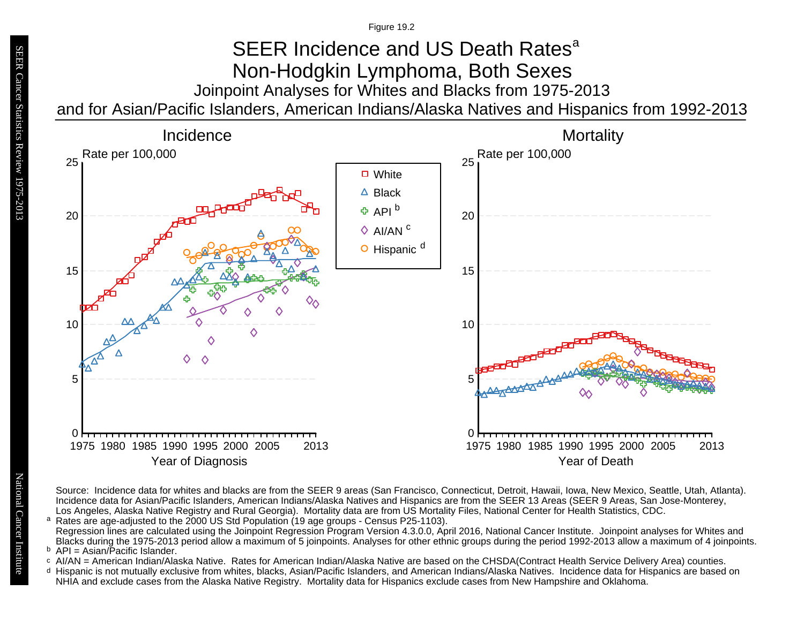## Joinpoint Analyses for Whites and Blacks from 1975-2013 and for Asian/Pacific Islanders, American Indians/Alaska Natives and Hispanics from 1992-2013 SEER Incidence and US Death Rates<sup>a</sup> Non-Hodgkin Lymphoma, Both Sexes

![](_page_46_Figure_2.jpeg)

Source: Incidence data for whites and blacks are from the SEER 9 areas (San Francisco, Connecticut, Detroit, Hawaii, Iowa, New Mexico, Seattle, Utah, Atlanta). Incidence data for Asian/Pacific Islanders, American Indians/Alaska Natives and Hispanics are from the SEER 13 Areas (SEER 9 Areas, San Jose-Monterey, Los Angeles, Alaska Native Registry and Rural Georgia). Mortality data are from US Mortality Files, National Center for Health Statistics, CDC. <sup>a</sup> Rates are age-adjusted to the 2000 US Std Population (19 age groups - Census P25-1103).

- <sup>b</sup> API = Asian/Pacific Islander.<br>○ AI/AN = American Indian/Ala AI/AN = American Indian/Alaska Native. Rates for American Indian/Alaska Native are based on the CHSDA(Contract Health Service Delivery Area) counties.
- Hispanic is not mutually exclusive from whites, blacks, Asian/Pacific Islanders, and American Indians/Alaska Natives. Incidence data for Hispanics are based on NHIA and exclude cases from the Alaska Native Registry. Mortality data for Hispanics exclude cases from New Hampshire and Oklahoma. a<br>b<br>d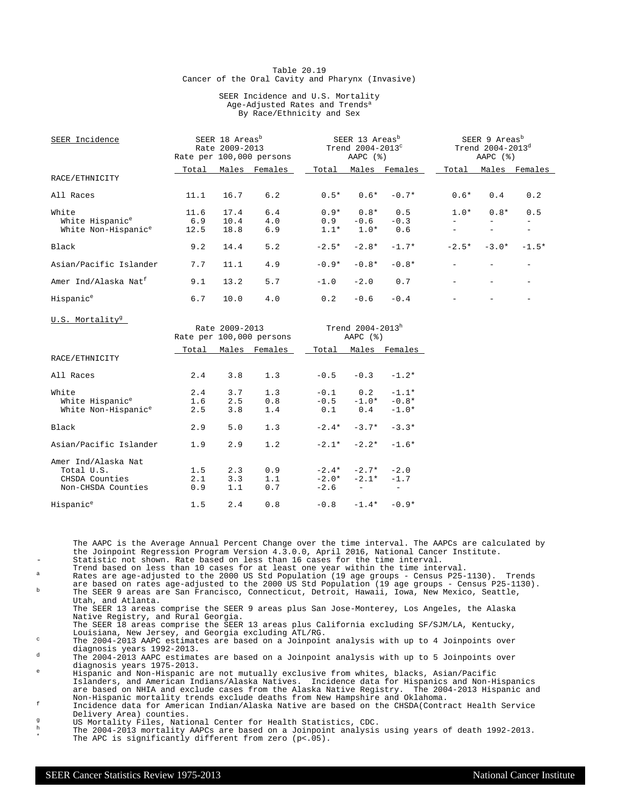### Table 20.19 Cancer of the Oral Cavity and Pharynx (Invasive)

### SEER Incidence and U.S. Mortality Age-Adjusted Rates and Trends<sup>a</sup> By Race/Ethnicity and Sex

| SEER Incidence                   |       | SEER 18 Areas <sup>b</sup><br>Rate 2009-2013 | Rate per 100,000 persons |         | SEER 13 Areas <sup>b</sup><br>Trend 2004-2013 <sup>c</sup><br>AAPC $(%)$ |         |         | SEER 9 Areas <sup>b</sup><br>Trend $2004 - 2013^d$<br>AAPC $(%)$ |         |
|----------------------------------|-------|----------------------------------------------|--------------------------|---------|--------------------------------------------------------------------------|---------|---------|------------------------------------------------------------------|---------|
|                                  | Total | Males                                        | Females                  | Total   | Males                                                                    | Females | Total   | Males                                                            | Females |
| RACE/ETHNICITY                   |       |                                              |                          |         |                                                                          |         |         |                                                                  |         |
| All Races                        | 11.1  | 16.7                                         | 6.2                      | $0.5*$  | $0.6*$                                                                   | $-0.7*$ | $0.6*$  | 0.4                                                              | 0.2     |
| White                            | 11.6  | 17.4                                         | 6.4                      | $0.9*$  | $0.8*$                                                                   | 0.5     | $1.0*$  | $0.8*$                                                           | 0.5     |
| White Hispanic <sup>e</sup>      | 6.9   | 10.4                                         | 4.0                      | 0.9     | $-0.6$                                                                   | $-0.3$  |         |                                                                  |         |
| White Non-Hispanic <sup>e</sup>  | 12.5  | 18.8                                         | 6.9                      | $1.1*$  | $1.0*$                                                                   | 0.6     |         |                                                                  |         |
| <b>Black</b>                     | 9.2   | 14.4                                         | 5.2                      | $-2.5*$ | $-2.8*$                                                                  | $-1.7*$ | $-2.5*$ | $-3.0*$                                                          | $-1.5*$ |
| Asian/Pacific Islander           | 7.7   | 11.1                                         | 4.9                      | $-0.9*$ | $-0.8*$                                                                  | $-0.8*$ |         |                                                                  |         |
| Amer Ind/Alaska Nat <sup>f</sup> | 9.1   | 13.2                                         | 5.7                      | $-1.0$  | $-2.0$                                                                   | 0.7     |         |                                                                  |         |
| Hispanic <sup>e</sup>            | 6.7   | 10.0                                         | 4.0                      | 0.2     | $-0.6$                                                                   | $-0.4$  |         |                                                                  |         |

U.S. Mortality<sup>g</sup> Rate  $2009 - 2013$ <br>
Per  $100,000$  persons  $XAPC$  ( $\})$ Rate per 100,000 persons Total Males Females Total Males Females RACE/ETHNICITY All Races 2.4 3.8 1.3 -0.5 -0.3 -1.2\* White<br>
White Hispanic<sup>e</sup><br>
2.4 3.7 1.3 -0.1 0.2 -1.1\*<br>
2.5 0.8 -0.5 -1.0\* -0.8\*<br>
2.5 0.8 -0.5 -1.0\* -0.8\* White Hispanic<sup>e</sup> 1.6 2.5 0.8 -0.5 -1.0\* -0.8\*<br>White Non-Hispanic<sup>e</sup> 2.5 3.8 1.4 0.1 0.4 -1.0\* White Non-Hispanic<sup>e</sup> Black 2.9 5.0 1.3 -2.4\* -3.7\* -3.3\* Asian/Pacific Islander 1.9 2.9 1.2 -2.1\* -2.2\* -1.6\* Amer Ind/Alaska Nat Total U.S. 1.5 2.3 0.9 -2.4\* -2.7\* -2.0 CHSDA Counties 2.1 3.3 1.1 -2.0\* -2.1\* -1.7 Non-CHSDA Counties

The AAPC is the Average Annual Percent Change over the time interval. The AAPCs are calculated by the Joinpoint Regression Program Version 4.3.0.0, April 2016, National Cancer Institute. Statistic not shown. Rate based on less than 16 cases for the time interval.

Hispanic<sup>e</sup> 1.5 2.4 0.8 -0.8 -1.4\* -0.9\*

Trend based on less than 10 cases for at least one year within the time interval.

<sup>a</sup> Rates are age-adjusted to the 2000 US Std Population (19 age groups - Census P25-1130). Trends are based on rates age-adjusted to the 2000 US Std Population (19 age groups - Census P25-1130). <sup>b</sup> The SEER 9 areas are San Francisco, Connecticut, Detroit, Hawaii, Iowa, New Mexico, Seattle, Utah, and Atlanta.

The SEER 13 areas comprise the SEER 9 areas plus San Jose-Monterey, Los Angeles, the Alaska Native Registry, and Rural Georgia.

The SEER 18 areas comprise the SEER 13 areas plus California excluding SF/SJM/LA, Kentucky,

Louisiana, New Jersey, and Georgia excluding ATL/RG. <sup>c</sup> The 2004-2013 AAPC estimates are based on a Joinpoint analysis with up to 4 Joinpoints over diagnosis years 1992-2013.

 $d = The^{-2004-2013}$  AAPC estimates are based on a Joinpoint analysis with up to 5 Joinpoints over diagnosis years 1975-2013.

<sup>e</sup> Hispanic and Non-Hispanic are not mutually exclusive from whites, blacks, Asian/Pacific Islanders, and American Indians/Alaska Natives. Incidence data for Hispanics and Non-Hispanics are based on NHIA and exclude cases from the Alaska Native Registry. The 2004-2013 Hispanic and Non-Hispanic mortality trends exclude deaths from New Hampshire and Oklahoma.

<sup>f</sup> Incidence data for American Indian/Alaska Native are based on the CHSDA(Contract Health Service Delivery Area) counties.

<sup>g</sup> US Mortality Files, National Center for Health Statistics, CDC.<br>h The 2004 2012 mentality APOs are based an a Joinnaint applysis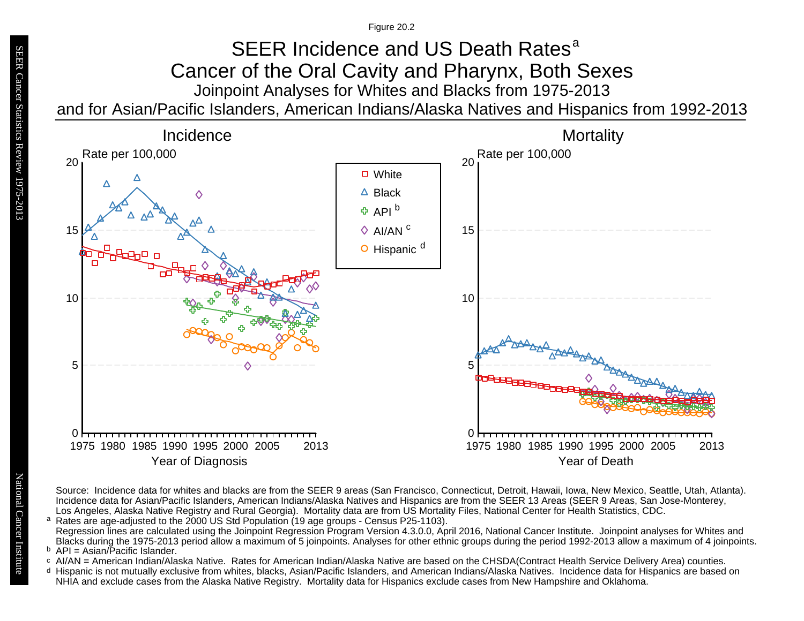Figure 20.2

### Joinpoint Analyses for Whites and Blacks from 1975-2013 and for Asian/Pacific Islanders, American Indians/Alaska Natives and Hispanics from 1992-2013 SEER Incidence and US Death Rates<sup>a</sup> Cancer of the Oral Cavity and Pharynx, Both Sexes

![](_page_48_Figure_2.jpeg)

Source: Incidence data for whites and blacks are from the SEER 9 areas (San Francisco, Connecticut, Detroit, Hawaii, Iowa, New Mexico, Seattle, Utah, Atlanta). Incidence data for Asian/Pacific Islanders, American Indians/Alaska Natives and Hispanics are from the SEER 13 Areas (SEER 9 Areas, San Jose-Monterey, Los Angeles, Alaska Native Registry and Rural Georgia). Mortality data are from US Mortality Files, National Center for Health Statistics, CDC. <sup>a</sup> Rates are age-adjusted to the 2000 US Std Population (19 age groups - Census P25-1103).

- <sup>b</sup> API = Asian/Pacific Islander.<br>○ AI/AN = American Indian/Ala AI/AN = American Indian/Alaska Native. Rates for American Indian/Alaska Native are based on the CHSDA(Contract Health Service Delivery Area) counties.
- Hispanic is not mutually exclusive from whites, blacks, Asian/Pacific Islanders, and American Indians/Alaska Natives. Incidence data for Hispanics are based on NHIA and exclude cases from the Alaska Native Registry. Mortality data for Hispanics exclude cases from New Hampshire and Oklahoma. a<br>b<br>d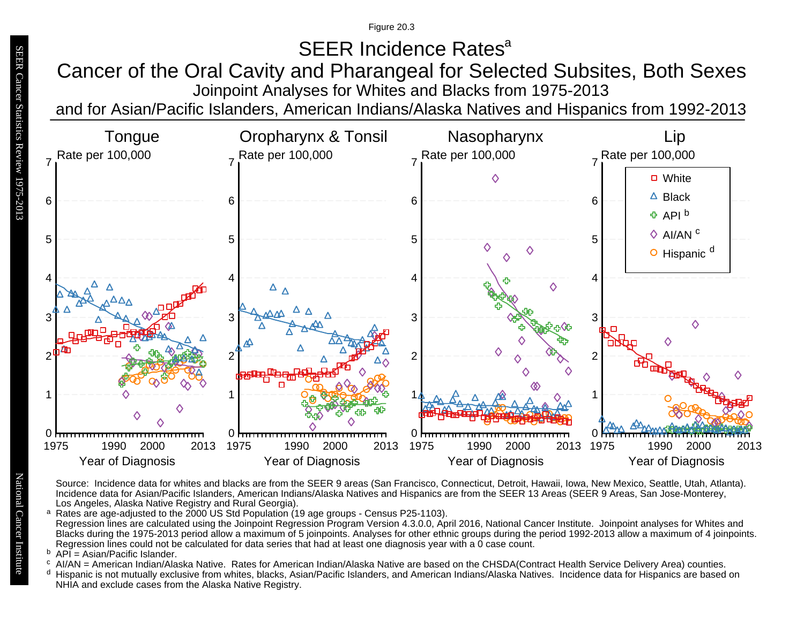Figure 20.3

# SEER Incidence Rates<sup>a</sup>

Joinpoint Analyses for Whites and Blacks from 1975-2013 Cancer of the Oral Cavity and Pharangeal for Selected Subsites, Both Sexes

and for Asian/Pacific Islanders, American Indians/Alaska Natives and Hispanics from 1992-2013

![](_page_49_Figure_4.jpeg)

Source: Incidence data for whites and blacks are from the SEER 9 areas (San Francisco, Connecticut, Detroit, Hawaii, Iowa, New Mexico, Seattle, Utah, Atlanta). Incidence data for Asian/Pacific Islanders, American Indians/Alaska Natives and Hispanics are from the SEER 13 Areas (SEER 9 Areas, San Jose-Monterey, Los Angeles, Alaska Native Registry and Rural Georgia).

a Rates are age-adjusted to the 2000 US Std Population (19 age groups - Census P25-1103). Regression lines are calculated using the Joinpoint Regression Program Version 4.3.0.0, April 2016, National Cancer Institute. Joinpoint analyses for Whites and Blacks during the 1975-2013 period allow a maximum of 5 joinpoints. Analyses for other ethnic groups during the period 1992-2013 allow a maximum of 4 joinpoints. Regression lines could not be calculated for data series that had at least one diagnosis year with a 0 case count. a<br>b<br>c<br>d

AI/AN = American Indian/Alaska Native. Rates for American Indian/Alaska Native are based on the CHSDA(Contract Health Service Delivery Area) counties.

<sup>d</sup> Hispanic is not mutually exclusive from whites, blacks, Asian/Pacific Islanders, and American Indians/Alaska Natives, Incidence data for Hispanics are based on NHIA and exclude cases from the Alaska Native Registry.

<sup>&</sup>lt;sup>b</sup> API = Asian/Pacific Islander.<br><sup>c</sup> AI/AN – American Indian/Ala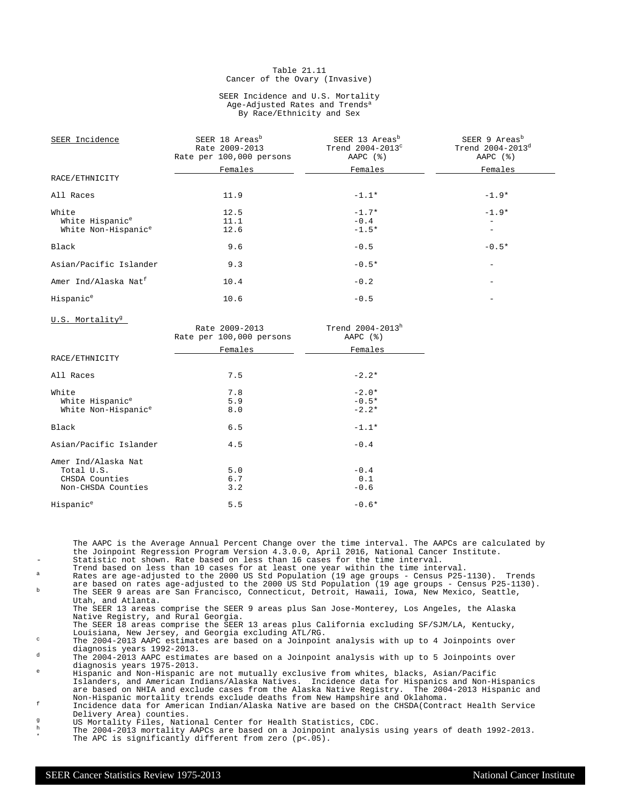### Table 21.11 Cancer of the Ovary (Invasive)

### SEER Incidence and U.S. Mortality Age-Adjusted Rates and Trends<sup>a</sup> By Race/Ethnicity and Sex

| SEER Incidence                   | SEER 18 Areas <sup>b</sup><br>Rate 2009-2013<br>Rate per 100,000 persons | SEER 13 Areas <sup>b</sup><br>Trend $2004-2013^{\circ}$<br>AAPC $(%)$ | SEER 9 Areas <sup>b</sup><br>Trend 2004-2013 <sup>d</sup><br>AAPC $(%)$ |
|----------------------------------|--------------------------------------------------------------------------|-----------------------------------------------------------------------|-------------------------------------------------------------------------|
|                                  | Females                                                                  | Females                                                               | Females                                                                 |
| RACE/ETHNICITY                   |                                                                          |                                                                       |                                                                         |
| All Races                        | 11.9                                                                     | $-1.1*$                                                               | $-1.9*$                                                                 |
| White                            | 12.5                                                                     | $-1.7*$                                                               | $-1.9*$                                                                 |
| White Hispanic <sup>e</sup>      | 11.1                                                                     | $-0.4$                                                                | $\overline{\phantom{0}}$                                                |
| White Non-Hispanic <sup>e</sup>  | 12.6                                                                     | $-1.5*$                                                               |                                                                         |
| Black                            | 9.6                                                                      | $-0.5$                                                                | $-0.5*$                                                                 |
| Asian/Pacific Islander           | 9.3                                                                      | $-0.5*$                                                               |                                                                         |
| Amer Ind/Alaska Nat <sup>f</sup> | 10.4                                                                     | $-0.2$                                                                | -                                                                       |
| Hispanic <sup>e</sup>            | 10.6                                                                     | $-0.5$                                                                |                                                                         |

U.S. Mortality<sup>g</sup>

|                                 | Rate 2009-2013<br>Rate per 100,000 persons | Trend 2004-2013h<br>AAPC $(%)$ |
|---------------------------------|--------------------------------------------|--------------------------------|
|                                 | Females                                    | Females                        |
| RACE/ETHNICITY                  |                                            |                                |
| All Races                       | 7.5                                        | $-2.2*$                        |
| White                           | 7.8                                        | $-2.0*$                        |
| White Hispanic <sup>e</sup>     | 5.9                                        | $-0.5*$                        |
| White Non-Hispanic <sup>e</sup> | 8.0                                        | $-2.2*$                        |
| Black                           | 6.5                                        | $-1.1*$                        |
| Asian/Pacific Islander          | 4.5                                        | $-0.4$                         |
| Amer Ind/Alaska Nat             |                                            |                                |
| Total U.S.                      | 5.0                                        | $-0.4$                         |
| CHSDA Counties                  | 6.7                                        | 0.1                            |
| Non-CHSDA Counties              | 3.2                                        | $-0.6$                         |
| Hispanic <sup>e</sup>           | 5.5                                        | $-0.6*$                        |

The AAPC is the Average Annual Percent Change over the time interval. The AAPCs are calculated by the Joinpoint Regression Program Version 4.3.0.0, April 2016, National Cancer Institute. Statistic not shown. Rate based on less than 16 cases for the time interval.

Trend based on less than 10 cases for at least one year within the time interval.

a Rates are age-adjusted to the 2000 US Std Population (19 age groups - Census P25-1130). Trends are based on rates age-adjusted to the 2000 US Std Population (19 age groups - Census P25-1130). <sup>b</sup> The SEER 9 areas are San Francisco, Connecticut, Detroit, Hawaii, Iowa, New Mexico, Seattle,

Utah, and Atlanta. The SEER 13 areas comprise the SEER 9 areas plus San Jose-Monterey, Los Angeles, the Alaska Native Registry, and Rural Georgia. The SEER 18 areas comprise the SEER 13 areas plus California excluding SF/SJM/LA, Kentucky, Louisiana, New Jersey, and Georgia excluding ATL/RG. <sup>c</sup> The 2004-2013 AAPC estimates are based on a Joinpoint analysis with up to 4 Joinpoints over diagnosis years 1992-2013. <sup>d</sup> The 2004-2013 AAPC estimates are based on a Joinpoint analysis with up to 5 Joinpoints over diagnosis years 1975-2013. <sup>e</sup> Hispanic and Non-Hispanic are not mutually exclusive from whites, blacks, Asian/Pacific Islanders, and American Indians/Alaska Natives. Incidence data for Hispanics and Non-Hispanics are based on NHIA and exclude cases from the Alaska Native Registry. The 2004-2013 Hispanic and Non-Hispanic mortality trends exclude deaths from New Hampshire and Oklahoma.

<sup>f</sup> Incidence data for American Indian/Alaska Native are based on the CHSDA(Contract Health Service Delivery Area) counties.

g<br>
US Mortality Files, National Center for Health Statistics, CDC.<br>
The 2004-2012 metality ADGs are based an a Joinnaint applying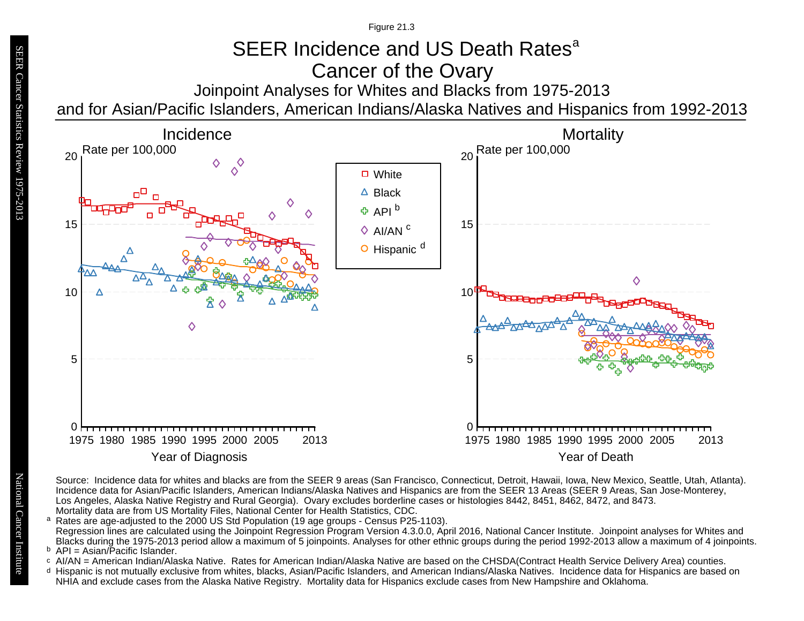### SEER Incidence and US Death Rates<sup>a</sup> Cancer of the Ovary Figure 21.3

Joinpoint Analyses for Whites and Blacks from 1975-2013 and for Asian/Pacific Islanders, American Indians/Alaska Natives and Hispanics from 1992-2013

![](_page_51_Figure_2.jpeg)

Source: Incidence data for whites and blacks are from the SEER 9 areas (San Francisco, Connecticut, Detroit, Hawaii, Iowa, New Mexico, Seattle, Utah, Atlanta). Incidence data for Asian/Pacific Islanders, American Indians/Alaska Natives and Hispanics are from the SEER 13 Areas (SEER 9 Areas, San Jose-Monterey, Los Angeles, Alaska Native Registry and Rural Georgia). Ovary excludes borderline cases or histologies 8442, 8451, 8462, 8472, and 8473. Mortality data are from US Mortality Files, National Center for Health Statistics, CDC.

<sup>a</sup> Rates are age-adjusted to the 2000 US Std Population (19 age groups - Census P25-1103). Regression lines are calculated using the Joinpoint Regression Program Version 4.3.0.0, April 2016, National Cancer Institute. Joinpoint analyses for Whites and Blacks during the 1975-2013 period allow a maximum of 5 joinpoints. Analyses for other ethnic groups during the period 1992-2013 allow a maximum of 4 joinpoints.

- <sup>b</sup> API = Asian/Pacific Islander.<br>○ AI/AN = American Indian/Ala a<br>b<br>d
- AI/AN = American Indian/Alaska Native. Rates for American Indian/Alaska Native are based on the CHSDA(Contract Health Service Delivery Area) counties.
- Hispanic is not mutually exclusive from whites, blacks, Asian/Pacific Islanders, and American Indians/Alaska Natives. Incidence data for Hispanics are based on NHIA and exclude cases from the Alaska Native Registry. Mortality data for Hispanics exclude cases from New Hampshire and Oklahoma.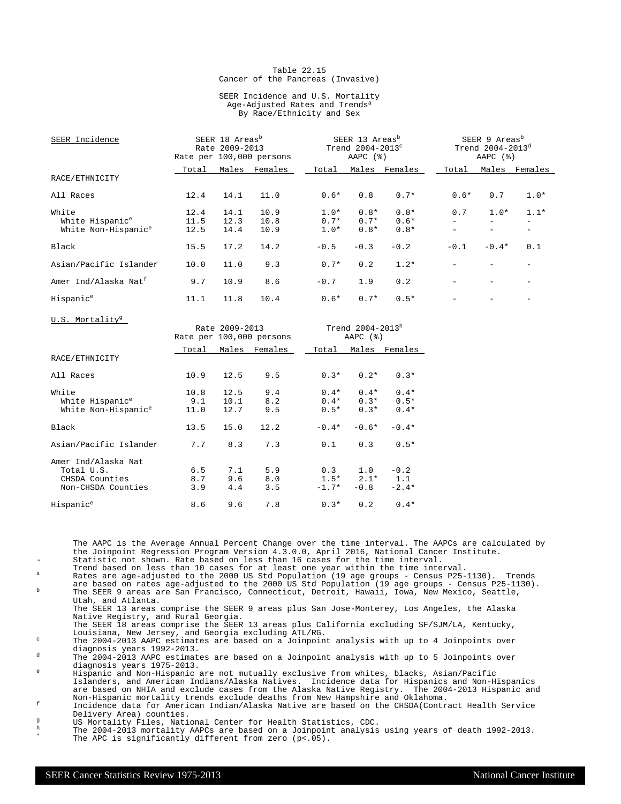### Table 22.15 Cancer of the Pancreas (Invasive)

### SEER Incidence and U.S. Mortality Age-Adjusted Rates and Trends<sup>a</sup> By Race/Ethnicity and Sex

| SEER Incidence                   |       | SEER 18 Areas <sup>b</sup><br>Rate 2009-2013 | Rate per 100,000 persons |        | SEER 13 Areas <sup>b</sup><br>Trend 2004-2013 <sup>c</sup><br>AAPC $(%)$ |         |                          | SEER 9 Areas <sup>b</sup><br>Trend $2004 - 2013^d$<br>AAPC $(%)$ |         |
|----------------------------------|-------|----------------------------------------------|--------------------------|--------|--------------------------------------------------------------------------|---------|--------------------------|------------------------------------------------------------------|---------|
|                                  | Total | Males                                        | Females                  | Total  | Males                                                                    | Females | Total                    | Males                                                            | Females |
| RACE/ETHNICITY                   |       |                                              |                          |        |                                                                          |         |                          |                                                                  |         |
| All Races                        | 12.4  | 14.1                                         | 11.0                     | $0.6*$ | 0.8                                                                      | $0.7*$  | $0.6*$                   | 0.7                                                              | $1.0*$  |
| White                            | 12.4  | 14.1                                         | 10.9                     | $1.0*$ | $0.8*$                                                                   | $0.8*$  | 0.7                      | $1.0*$                                                           | $1.1*$  |
| White Hispanic <sup>e</sup>      | 11.5  | 12.3                                         | 10.8                     | $0.7*$ | $0.7*$                                                                   | $0.6*$  |                          |                                                                  |         |
| White Non-Hispanic <sup>e</sup>  | 12.5  | 14.4                                         | 10.9                     | $1.0*$ | $0.8*$                                                                   | $0.8*$  | $\overline{\phantom{0}}$ |                                                                  |         |
| Black                            | 15.5  | 17.2                                         | 14.2                     | $-0.5$ | $-0.3$                                                                   | $-0.2$  | $-0.1$                   | $-0.4*$                                                          | 0.1     |
| Asian/Pacific Islander           | 10.0  | 11.0                                         | 9.3                      | $0.7*$ | 0.2                                                                      | $1.2*$  |                          |                                                                  |         |
| Amer Ind/Alaska Nat <sup>f</sup> | 9.7   | 10.9                                         | 8.6                      | $-0.7$ | 1.9                                                                      | 0.2     |                          |                                                                  |         |
| Hispanic <sup>e</sup>            | 11.1  | 11.8                                         | 10.4                     | $0.6*$ | $0.7*$                                                                   | $0.5*$  |                          |                                                                  |         |
| U.S. Mortality <sup>9</sup>      |       |                                              |                          |        |                                                                          |         |                          |                                                                  |         |

|                                                                           | Rate 2009-2013<br>Rate per 100,000 persons |                      |                   |         | Trend 2004-2013h<br>AAPC $(%)$              |                            |  |  |
|---------------------------------------------------------------------------|--------------------------------------------|----------------------|-------------------|---------|---------------------------------------------|----------------------------|--|--|
|                                                                           | Total                                      |                      | Males Females     | Total   |                                             | Males Females              |  |  |
| RACE/ETHNICITY                                                            |                                            |                      |                   |         |                                             |                            |  |  |
| All Races                                                                 | 10.9                                       | 12.5                 | 9.5               | $0.3*$  | $0.2*$                                      | $0.3*$                     |  |  |
| White<br>White Hispanic <sup>e</sup><br>White Non-Hispanic <sup>e</sup>   | 10.8<br>9.1<br>11.0                        | 12.5<br>10.1<br>12.7 | 9.4<br>8.2<br>9.5 |         | $0.4*$ 0.4*<br>$0.4*$ 0.3*<br>$0.5*$ 0.3*   | $0.4*$<br>$0.5*$<br>$0.4*$ |  |  |
| Black                                                                     | 13.5                                       | 15.0                 | 12.2              | $-0.4*$ | $-0.6*$                                     | $-0.4*$                    |  |  |
| Asian/Pacific Islander                                                    | 7.7                                        | 8.3                  | 7.3               | 0.1     | 0.3                                         | $0.5*$                     |  |  |
| Amer Ind/Alaska Nat<br>Total U.S.<br>CHSDA Counties<br>Non-CHSDA Counties | 6.5<br>8.7<br>3.9                          | 7.1<br>9.6<br>4.4    | 5.9<br>8.0<br>3.5 | $-1.7*$ | 0.3<br>1.0<br>$1.5*$ $2.1*$ $1.1$<br>$-0.8$ | $-0.2$<br>$-2.4*$          |  |  |
| Hispanic <sup>e</sup>                                                     | 8.6                                        | 9.6                  | 7.8               |         | $0.3*$<br>0.2                               | $0.4*$                     |  |  |

The AAPC is the Average Annual Percent Change over the time interval. The AAPCs are calculated by the Joinpoint Regression Program Version 4.3.0.0, April 2016, National Cancer Institute. Statistic not shown. Rate based on less than 16 cases for the time interval.

Trend based on less than 10 cases for at least one year within the time interval.

a Rates are age-adjusted to the 2000 US Std Population (19 age groups - Census P25-1130). Trends are based on rates age-adjusted to the 2000 US Std Population (19 age groups - Census P25-1130). <sup>b</sup> The SEER 9 areas are San Francisco, Connecticut, Detroit, Hawaii, Iowa, New Mexico, Seattle, Utah, and Atlanta.

The SEER 13 areas comprise the SEER 9 areas plus San Jose-Monterey, Los Angeles, the Alaska Native Registry, and Rural Georgia.

The SEER 18 areas comprise the SEER 13 areas plus California excluding SF/SJM/LA, Kentucky,

Louisiana, New Jersey, and Georgia excluding ATL/RG. <sup>c</sup> The 2004-2013 AAPC estimates are based on a Joinpoint analysis with up to 4 Joinpoints over diagnosis years 1992-2013.

<sup>d</sup> The 2004-2013 AAPC estimates are based on a Joinpoint analysis with up to 5 Joinpoints over diagnosis years 1975-2013.

<sup>e</sup> Hispanic and Non-Hispanic are not mutually exclusive from whites, blacks, Asian/Pacific Islanders, and American Indians/Alaska Natives. Incidence data for Hispanics and Non-Hispanics are based on NHIA and exclude cases from the Alaska Native Registry. The 2004-2013 Hispanic and Non-Hispanic mortality trends exclude deaths from New Hampshire and Oklahoma.

<sup>f</sup> Incidence data for American Indian/Alaska Native are based on the CHSDA(Contract Health Service Delivery Area) counties.

<sup>g</sup> US Mortality Files, National Center for Health Statistics, CDC.<br>h The 2004 2012 mentality APOs are based an a Joinnaint applysis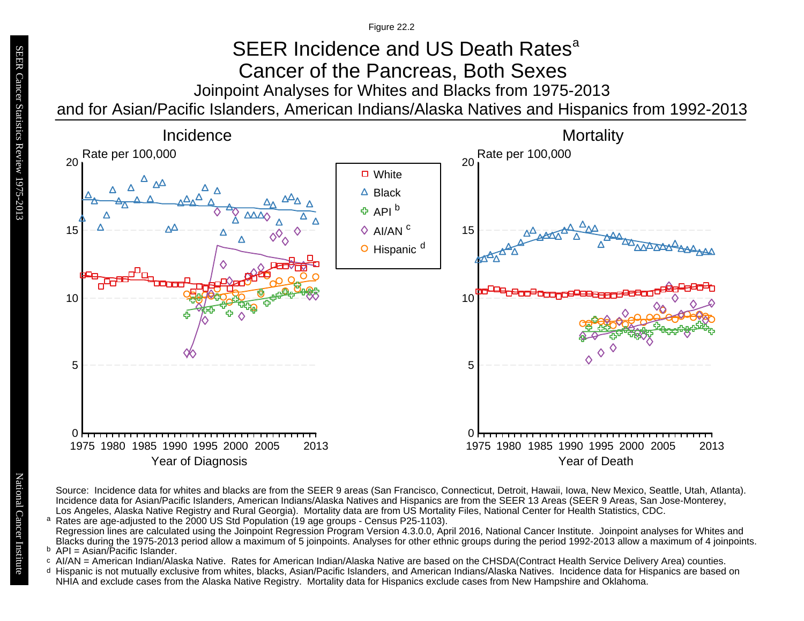Figure 22.2

# Joinpoint Analyses for Whites and Blacks from 1975-2013 and for Asian/Pacific Islanders, American Indians/Alaska Natives and Hispanics from 1992-2013 SEER Incidence and US Death Rates<sup>a</sup> Cancer of the Pancreas, Both Sexes

![](_page_53_Figure_2.jpeg)

Source: Incidence data for whites and blacks are from the SEER 9 areas (San Francisco, Connecticut, Detroit, Hawaii, Iowa, New Mexico, Seattle, Utah, Atlanta). Incidence data for Asian/Pacific Islanders, American Indians/Alaska Natives and Hispanics are from the SEER 13 Areas (SEER 9 Areas, San Jose-Monterey, Los Angeles, Alaska Native Registry and Rural Georgia). Mortality data are from US Mortality Files, National Center for Health Statistics, CDC. <sup>a</sup> Rates are age-adjusted to the 2000 US Std Population (19 age groups - Census P25-1103).

- <sup>b</sup> API = Asian/Pacific Islander.<br>○ AI/AN = American Indian/Ala AI/AN = American Indian/Alaska Native. Rates for American Indian/Alaska Native are based on the CHSDA(Contract Health Service Delivery Area) counties.
- Hispanic is not mutually exclusive from whites, blacks, Asian/Pacific Islanders, and American Indians/Alaska Natives. Incidence data for Hispanics are based on NHIA and exclude cases from the Alaska Native Registry. Mortality data for Hispanics exclude cases from New Hampshire and Oklahoma. a<br>b<br>d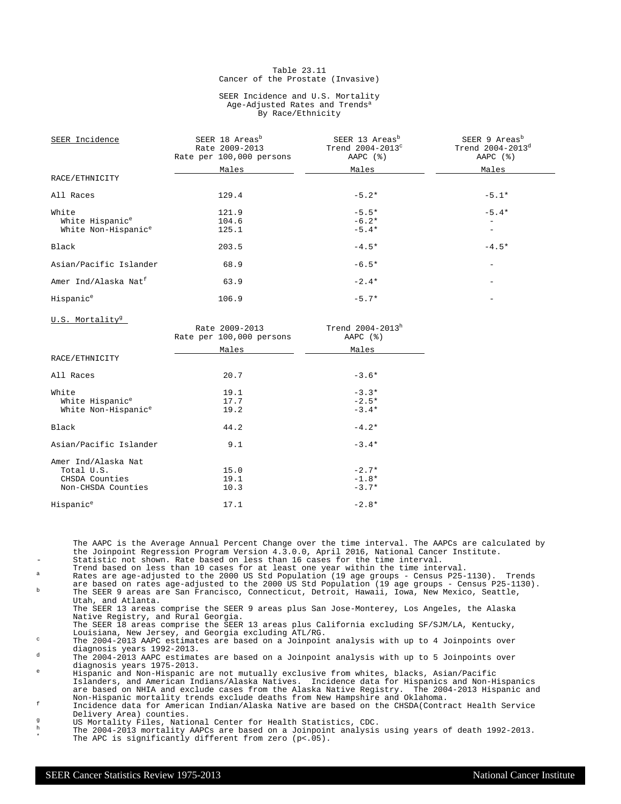### Table 23.11 Cancer of the Prostate (Invasive)

### SEER Incidence and U.S. Mortality Age-Adjusted Rates and Trends<sup>a</sup> By Race/Ethnicity

| SEER 18 Areas <sup>b</sup><br>Rate 2009-2013<br>Rate per 100,000 persons | SEER 13 Areas <sup>b</sup><br>Trend 2004-2013 <sup>c</sup><br>AAPC $(%)$ | SEER 9 Areas <sup>b</sup><br>Trend 2004-2013 <sup>d</sup><br>AAPC $(%)$ |
|--------------------------------------------------------------------------|--------------------------------------------------------------------------|-------------------------------------------------------------------------|
| Males                                                                    | Males                                                                    | Males                                                                   |
|                                                                          |                                                                          |                                                                         |
| 129.4                                                                    | $-5.2*$                                                                  | $-5.1*$                                                                 |
| 121.9                                                                    | $-5.5*$                                                                  | $-5.4*$                                                                 |
| 104.6                                                                    | $-6.2*$                                                                  |                                                                         |
| 125.1                                                                    | $-5.4*$                                                                  |                                                                         |
| 203.5                                                                    | $-4.5*$                                                                  | $-4.5*$                                                                 |
| 68.9                                                                     | $-6.5*$                                                                  |                                                                         |
| 63.9                                                                     | $-2.4*$                                                                  | $\qquad \qquad$                                                         |
| 106.9                                                                    | $-5.7*$                                                                  | $\qquad \qquad$                                                         |
|                                                                          |                                                                          |                                                                         |

U.S. Mortality<sup>9</sup>

|                                 | Rate 2009-2013<br>Rate per 100,000 persons | Trend 2004-2013h<br>AAPC $(%)$ |
|---------------------------------|--------------------------------------------|--------------------------------|
|                                 | Males                                      | Males                          |
| RACE/ETHNICITY                  |                                            |                                |
| All Races                       | 20.7                                       | $-3.6*$                        |
| White                           | 19.1                                       | $-3.3*$                        |
| White Hispanic <sup>e</sup>     | 17.7                                       | $-2.5*$                        |
| White Non-Hispanic <sup>e</sup> | 19.2                                       | $-3.4*$                        |
| Black                           | 44.2                                       | $-4.2*$                        |
| Asian/Pacific Islander          | 9.1                                        | $-3.4*$                        |
| Amer Ind/Alaska Nat             |                                            |                                |
| Total U.S.                      | 15.0                                       | $-2.7*$                        |
| CHSDA Counties                  | 19.1                                       | $-1.8*$                        |
| Non-CHSDA Counties              | 10.3                                       | $-3.7*$                        |
| Hispanic <sup>e</sup>           | 17.1                                       | $-2.8*$                        |

The AAPC is the Average Annual Percent Change over the time interval. The AAPCs are calculated by the Joinpoint Regression Program Version 4.3.0.0, April 2016, National Cancer Institute. Statistic not shown. Rate based on less than 16 cases for the time interval.

Trend based on less than 10 cases for at least one year within the time interval.

<sup>a</sup> Rates are age-adjusted to the 2000 US Std Population (19 age groups - Census P25-1130). Trends are based on rates age-adjusted to the 2000 US Std Population (19 age groups - Census P25-1130). <sup>b</sup> The SEER 9 areas are San Francisco, Connecticut, Detroit, Hawaii, Iowa, New Mexico, Seattle, Utah, and Atlanta. The SEER 13 areas comprise the SEER 9 areas plus San Jose-Monterey, Los Angeles, the Alaska

Native Registry, and Rural Georgia. The SEER 18 areas comprise the SEER 13 areas plus California excluding SF/SJM/LA, Kentucky,

Louisiana, New Jersey, and Georgia excluding ATL/RG. <sup>c</sup> The 2004-2013 AAPC estimates are based on a Joinpoint analysis with up to 4 Joinpoints over

diagnosis years 1992-2013.

<sup>d</sup> The 2004-2013 AAPC estimates are based on a Joinpoint analysis with up to 5 Joinpoints over diagnosis years 1975-2013.

<sup>e</sup> Hispanic and Non-Hispanic are not mutually exclusive from whites, blacks, Asian/Pacific Islanders, and American Indians/Alaska Natives. Incidence data for Hispanics and Non-Hispanics are based on NHIA and exclude cases from the Alaska Native Registry. The 2004-2013 Hispanic and Non-Hispanic mortality trends exclude deaths from New Hampshire and Oklahoma.

<sup>f</sup> Incidence data for American Indian/Alaska Native are based on the CHSDA(Contract Health Service Delivery Area) counties.

g<br>
US Mortality Files, National Center for Health Statistics, CDC.<br>
The 2004-2012 metality ADGs are based an a Joinnaint applying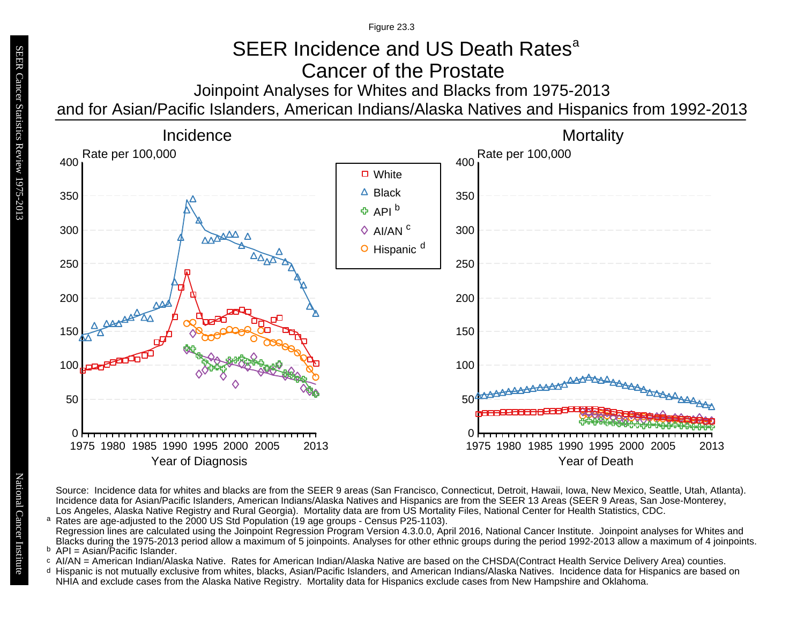### SEER Incidence and US Death Rates<sup>a</sup> Cancer of the Prostate Figure 23.3

Joinpoint Analyses for Whites and Blacks from 1975-2013 and for Asian/Pacific Islanders, American Indians/Alaska Natives and Hispanics from 1992-2013

![](_page_55_Figure_2.jpeg)

Source: Incidence data for whites and blacks are from the SEER 9 areas (San Francisco, Connecticut, Detroit, Hawaii, Iowa, New Mexico, Seattle, Utah, Atlanta). Incidence data for Asian/Pacific Islanders, American Indians/Alaska Natives and Hispanics are from the SEER 13 Areas (SEER 9 Areas, San Jose-Monterey, Los Angeles, Alaska Native Registry and Rural Georgia). Mortality data are from US Mortality Files, National Center for Health Statistics, CDC. <sup>a</sup> Rates are age-adjusted to the 2000 US Std Population (19 age groups - Census P25-1103).

Regression lines are calculated using the Joinpoint Regression Program Version 4.3.0.0, April 2016, National Cancer Institute. Joinpoint analyses for Whites and Blacks during the 1975-2013 period allow a maximum of 5 joinpoints. Analyses for other ethnic groups during the period 1992-2013 allow a maximum of 4 joinpoints.

- <sup>b</sup> API = Asian/Pacific Islander.<br>○ AI/AN = American Indian/Ala AI/AN = American Indian/Alaska Native. Rates for American Indian/Alaska Native are based on the CHSDA(Contract Health Service Delivery Area) counties.
- Hispanic is not mutually exclusive from whites, blacks, Asian/Pacific Islanders, and American Indians/Alaska Natives. Incidence data for Hispanics are based on NHIA and exclude cases from the Alaska Native Registry. Mortality data for Hispanics exclude cases from New Hampshire and Oklahoma. a<br>b<br>d

National Cancer Institute National Cancer Institute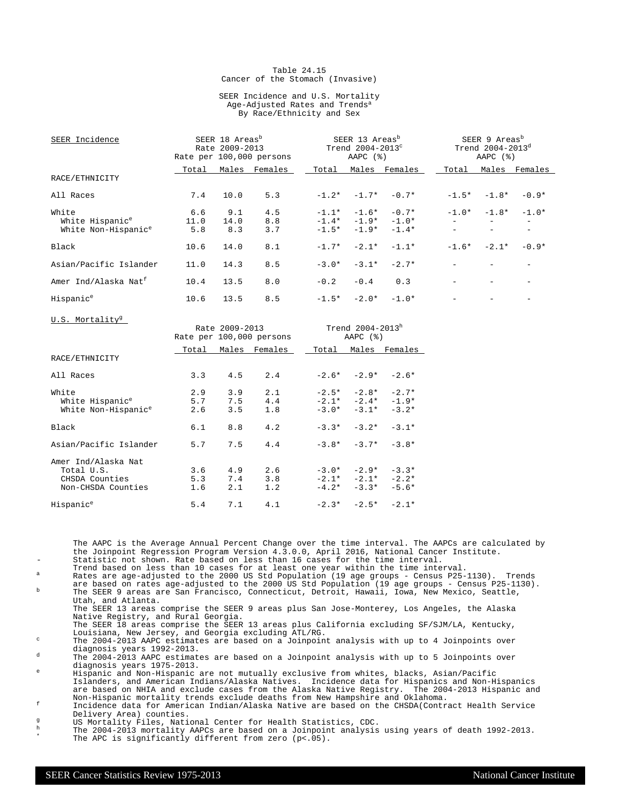### Table 24.15 Cancer of the Stomach (Invasive)

### SEER Incidence and U.S. Mortality Age-Adjusted Rates and Trends<sup>a</sup> By Race/Ethnicity and Sex

| SEER Incidence                   |       | SEER 18 Areas <sup>b</sup><br>Rate 2009-2013 | Rate per 100,000 persons |         | SEER 13 Areas <sup>b</sup><br>Trend 2004-2013 <sup>c</sup><br>AAPC $(%)$ |                     |       | SEER 9 Areas <sup>b</sup><br>Trend $2004 - 2013^d$<br>AAPC $(%)$ |               |
|----------------------------------|-------|----------------------------------------------|--------------------------|---------|--------------------------------------------------------------------------|---------------------|-------|------------------------------------------------------------------|---------------|
|                                  | Total |                                              | Males Females            | Total   |                                                                          | Males Females       | Total |                                                                  | Males Females |
| RACE/ETHNICITY                   |       |                                              |                          |         |                                                                          |                     |       |                                                                  |               |
| All Races                        | 7.4   | 10.0                                         | 5.3                      |         |                                                                          | $-1.2* -1.7* -0.7*$ |       | $-1.5* -1.8*$                                                    | $-0.9*$       |
| White                            | 6.6   | 9.1                                          | 4.5                      |         |                                                                          | $-1.1* -1.6* -0.7*$ |       | $-1.0* -1.8*$                                                    | $-1.0*$       |
| White Hispanic <sup>e</sup>      | 11.0  | 14.0                                         | 8.8                      |         |                                                                          | $-1.4* -1.9* -1.0*$ |       |                                                                  |               |
| White Non-Hispanic <sup>e</sup>  | 5.8   | 8.3                                          | 3.7                      |         |                                                                          | $-1.5* -1.9* -1.4*$ |       | $\equiv$                                                         |               |
| Black                            | 10.6  | 14.0                                         | 8.1                      | $-1.7*$ |                                                                          | $-2.1* -1.1*$       |       | $-1.6* -2.1*$                                                    | $-0.9*$       |
| Asian/Pacific Islander           | 11.0  | 14.3                                         | 8.5                      |         | $-3.0* -3.1*$                                                            | $-2.7*$             |       |                                                                  |               |
| Amer Ind/Alaska Nat <sup>f</sup> | 10.4  | 13.5                                         | 8.0                      | $-0.2$  | $-0.4$                                                                   | 0.3                 |       |                                                                  |               |
| Hispanic <sup>e</sup>            | 10.6  | 13.5                                         | 8.5                      |         |                                                                          | $-1.5* -2.0* -1.0*$ |       |                                                                  |               |
| U.S. Mortality <sup>9</sup>      |       | Rate 2009-2013                               | $Pate = 100, 000 = 000$  |         | Trend 2004-2013h                                                         |                     |       |                                                                  |               |

|                                                                           | Rate per 100,000 persons |                   |                   |       | AAPC $(%)$                                      |                               |  |  |
|---------------------------------------------------------------------------|--------------------------|-------------------|-------------------|-------|-------------------------------------------------|-------------------------------|--|--|
|                                                                           | Total                    |                   | Males Females     | Total |                                                 | Males Females                 |  |  |
| RACE/ETHNICITY                                                            |                          |                   |                   |       |                                                 |                               |  |  |
| All Races                                                                 | 3.3                      | 4.5               | 2.4               |       | $-2.6* -2.9*$                                   | $-2.6*$                       |  |  |
| White<br>White Hispanic <sup>e</sup><br>White Non-Hispanic <sup>e</sup>   | 2.9<br>5.7<br>2.6        | 3.9<br>7.5<br>3.5 | 2.1<br>4.4<br>1.8 |       | $-2.5* -2.8*$<br>$-2.1* -2.4*$<br>$-3.0* -3.1*$ | $-2.7*$<br>$-1.9*$<br>$-3.2*$ |  |  |
| Black                                                                     | 6.1                      | 8.8               | 4.2               |       | $-3.3* -3.2*$                                   | $-3.1*$                       |  |  |
| Asian/Pacific Islander                                                    | 5.7                      | 7.5               | 4.4               |       | $-3.8* -3.7* -3.8*$                             |                               |  |  |
| Amer Ind/Alaska Nat<br>Total U.S.<br>CHSDA Counties<br>Non-CHSDA Counties | 3.6<br>5.3<br>1.6        | 4.9<br>7.4<br>2.1 | 2.6<br>3.8<br>1.2 |       | $-3.0* -2.9*$<br>$-2.1* -2.1*$<br>$-4.2* -3.3*$ | $-3.3*$<br>$-2.2*$<br>$-5.6*$ |  |  |
| Hispanic <sup>e</sup>                                                     | 5.4                      | 7.1               | 4.1               |       | $-2.3* -2.5* -2.1*$                             |                               |  |  |

The AAPC is the Average Annual Percent Change over the time interval. The AAPCs are calculated by the Joinpoint Regression Program Version 4.3.0.0, April 2016, National Cancer Institute. Statistic not shown. Rate based on less than 16 cases for the time interval.

Trend based on less than 10 cases for at least one year within the time interval.

<sup>a</sup> Rates are age-adjusted to the 2000 US Std Population (19 age groups - Census P25-1130). Trends are based on rates age-adjusted to the 2000 US Std Population (19 age groups - Census P25-1130). <sup>b</sup> The SEER 9 areas are San Francisco, Connecticut, Detroit, Hawaii, Iowa, New Mexico, Seattle, Utah, and Atlanta.

The SEER 13 areas comprise the SEER 9 areas plus San Jose-Monterey, Los Angeles, the Alaska Native Registry, and Rural Georgia.

The SEER 18 areas comprise the SEER 13 areas plus California excluding SF/SJM/LA, Kentucky,

Louisiana, New Jersey, and Georgia excluding ATL/RG. <sup>c</sup> The 2004-2013 AAPC estimates are based on a Joinpoint analysis with up to 4 Joinpoints over diagnosis years 1992-2013.

 $d = The^{-2004-2013}$  AAPC estimates are based on a Joinpoint analysis with up to 5 Joinpoints over diagnosis years 1975-2013.

<sup>e</sup> Hispanic and Non-Hispanic are not mutually exclusive from whites, blacks, Asian/Pacific Islanders, and American Indians/Alaska Natives. Incidence data for Hispanics and Non-Hispanics are based on NHIA and exclude cases from the Alaska Native Registry. Non-Hispanic mortality trends exclude deaths from New Hampshire and Oklahoma.

<sup>f</sup> Incidence data for American Indian/Alaska Native are based on the CHSDA(Contract Health Service Delivery Area) counties.

g<br>
US Mortality Files, National Center for Health Statistics, CDC.<br>
The 2004-2013 mortality AADCs are based on a Joinnoint analysis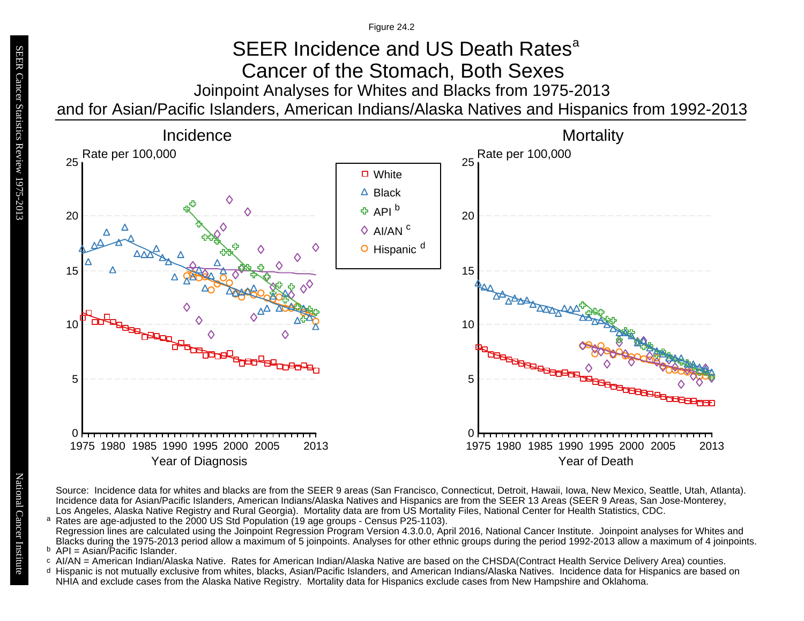Figure 24.2

# Joinpoint Analyses for Whites and Blacks from 1975-2013 and for Asian/Pacific Islanders, American Indians/Alaska Natives and Hispanics from 1992-2013 SEER Incidence and US Death Rates<sup>a</sup> Cancer of the Stomach, Both Sexes

![](_page_57_Figure_2.jpeg)

Source: Incidence data for whites and blacks are from the SEER 9 areas (San Francisco, Connecticut, Detroit, Hawaii, Iowa, New Mexico, Seattle, Utah, Atlanta). Incidence data for Asian/Pacific Islanders, American Indians/Alaska Natives and Hispanics are from the SEER 13 Areas (SEER 9 Areas, San Jose-Monterey, Los Angeles, Alaska Native Registry and Rural Georgia). Mortality data are from US Mortality Files, National Center for Health Statistics, CDC. <sup>a</sup> Rates are age-adjusted to the 2000 US Std Population (19 age groups - Census P25-1103).

- <sup>b</sup> API = Asian/Pacific Islander.<br>○ AI/AN = American Indian/Ala AI/AN = American Indian/Alaska Native. Rates for American Indian/Alaska Native are based on the CHSDA(Contract Health Service Delivery Area) counties.
- Hispanic is not mutually exclusive from whites, blacks, Asian/Pacific Islanders, and American Indians/Alaska Natives. Incidence data for Hispanics are based on NHIA and exclude cases from the Alaska Native Registry. Mortality data for Hispanics exclude cases from New Hampshire and Oklahoma. a<br>b<br>d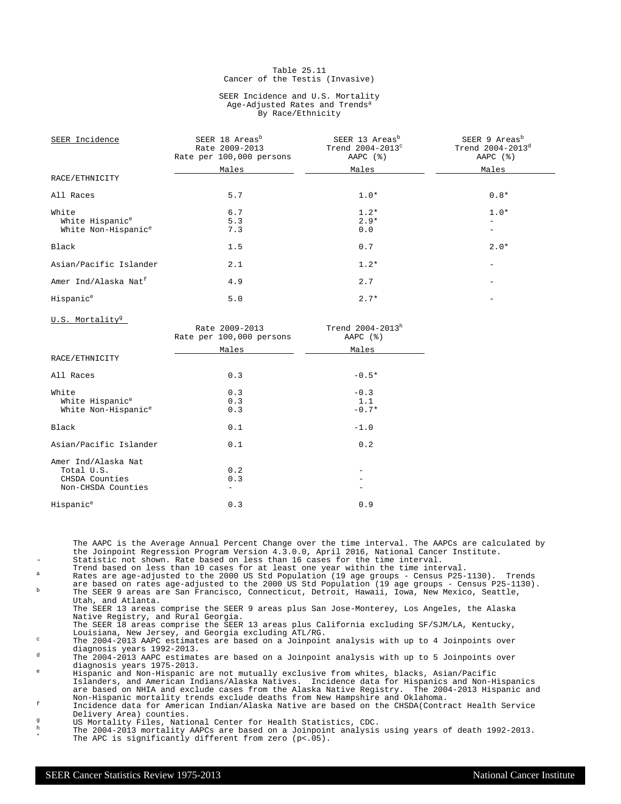### Table 25.11 Cancer of the Testis (Invasive)

### SEER Incidence and U.S. Mortality Age-Adjusted Rates and Trends<sup>a</sup> By Race/Ethnicity

| SEER Incidence                   | SEER 18 Areas <sup>b</sup><br>Rate 2009-2013<br>Rate per 100,000 persons | SEER 13 Areas <sup>b</sup><br>Trend 2004-2013 <sup>c</sup><br>AAPC $(%)$ | SEER 9 Areas <sup>b</sup><br>Trend 2004-2013 <sup>d</sup><br>AAPC (%) |
|----------------------------------|--------------------------------------------------------------------------|--------------------------------------------------------------------------|-----------------------------------------------------------------------|
|                                  | Males                                                                    | Males                                                                    | Males                                                                 |
| RACE/ETHNICITY                   |                                                                          |                                                                          |                                                                       |
| All Races                        | 5.7                                                                      | $1.0*$                                                                   | $0.8*$                                                                |
| White                            | 6.7                                                                      | $1.2*$                                                                   | $1.0*$                                                                |
| White Hispanic <sup>e</sup>      | 5.3                                                                      | $2.9*$                                                                   |                                                                       |
| White Non-Hispanic <sup>e</sup>  | 7.3                                                                      | 0.0                                                                      | $\overline{\phantom{0}}$                                              |
| Black                            | 1.5                                                                      | 0.7                                                                      | $2.0*$                                                                |
| Asian/Pacific Islander           | 2.1                                                                      | $1.2*$                                                                   |                                                                       |
| Amer Ind/Alaska Nat <sup>f</sup> | 4.9                                                                      | 2.7                                                                      |                                                                       |
| Hispanic <sup>e</sup>            | 5.0                                                                      | $2.7*$                                                                   |                                                                       |

U.S. Mortality<sup>9</sup>

|                                 | Rate 2009-2013<br>Rate per 100,000 persons | Trend 2004-2013h<br>AAPC $(%)$ |
|---------------------------------|--------------------------------------------|--------------------------------|
|                                 | Males                                      | Males                          |
| RACE/ETHNICITY                  |                                            |                                |
| All Races                       | 0.3                                        | $-0.5*$                        |
| White                           | 0.3                                        | $-0.3$                         |
| White Hispanic <sup>e</sup>     | 0.3                                        | 1.1                            |
| White Non-Hispanic <sup>e</sup> | 0.3                                        | $-0.7*$                        |
| Black                           | 0.1                                        | $-1.0$                         |
| Asian/Pacific Islander          | 0.1                                        | 0.2                            |
| Amer Ind/Alaska Nat             |                                            |                                |
| Total U.S.                      | 0.2                                        |                                |
| CHSDA Counties                  | 0.3                                        |                                |
| Non-CHSDA Counties              |                                            |                                |
| Hispanic <sup>e</sup>           | 0.3                                        | 0.9                            |

The AAPC is the Average Annual Percent Change over the time interval. The AAPCs are calculated by the Joinpoint Regression Program Version 4.3.0.0, April 2016, National Cancer Institute. Statistic not shown. Rate based on less than 16 cases for the time interval.

Trend based on less than 10 cases for at least one year within the time interval.

<sup>a</sup> Rates are age-adjusted to the 2000 US Std Population (19 age groups - Census P25-1130). Trends are based on rates age-adjusted to the 2000 US Std Population (19 age groups - Census P25-1130). <sup>b</sup> The SEER 9 areas are San Francisco, Connecticut, Detroit, Hawaii, Iowa, New Mexico, Seattle, Utah, and Atlanta. The SEER 13 areas comprise the SEER 9 areas plus San Jose-Monterey, Los Angeles, the Alaska Native Registry, and Rural Georgia.

The SEER 18 areas comprise the SEER 13 areas plus California excluding SF/SJM/LA, Kentucky,

Louisiana, New Jersey, and Georgia excluding ATL/RG. <sup>c</sup> The 2004-2013 AAPC estimates are based on a Joinpoint analysis with up to 4 Joinpoints over diagnosis years 1992-2013.

<sup>d</sup> The 2004-2013 AAPC estimates are based on a Joinpoint analysis with up to 5 Joinpoints over diagnosis years 1975-2013.

<sup>e</sup> Hispanic and Non-Hispanic are not mutually exclusive from whites, blacks, Asian/Pacific Islanders, and American Indians/Alaska Natives. Incidence data for Hispanics and Non-Hispanics are based on NHIA and exclude cases from the Alaska Native Registry. The 2004-2013 Hispanic and Non-Hispanic mortality trends exclude deaths from New Hampshire and Oklahoma.

<sup>f</sup> Incidence data for American Indian/Alaska Native are based on the CHSDA(Contract Health Service Delivery Area) counties.

g<br>
US Mortality Files, National Center for Health Statistics, CDC.<br>
The 2004-2012 metality ADGs are based an a Joinnaint applying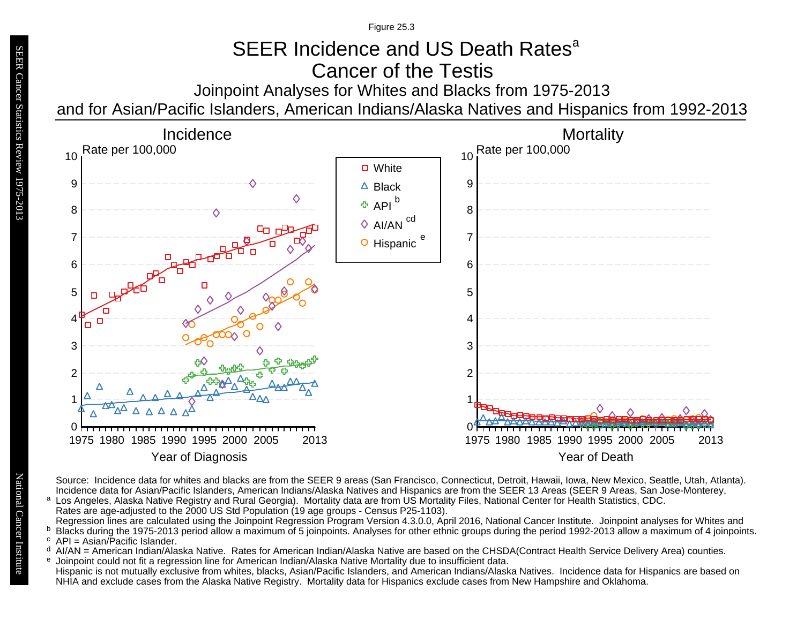### SEER Incidence and US Death Rates<sup>a</sup> Cancer of the Testis Figure 25.3

Joinpoint Analyses for Whites and Blacks from 1975-2013

and for Asian/Pacific Islanders, American Indians/Alaska Natives and Hispanics from 1992-2013

![](_page_59_Figure_3.jpeg)

Source: Incidence data for whites and blacks are from the SEER 9 areas (San Francisco, Connecticut, Detroit, Hawaii, Iowa, New Mexico, Seattle, Utah, Atlanta). Incidence data for Asian/Pacific Islanders, American Indians/Alaska Natives and Hispanics are from the SEER 13 Areas (SEER 9 Areas, San Jose-Monterey, Los Angeles, Alaska Native Registry and Rural Georgia). Mortality data are from US Mortality Files, National Center for Health Statistics, CDC.

Rates are age-adjusted to the 2000 US Std Population (19 age groups - Census P25-1103).

Regression lines are calculated using the Joinpoint Regression Program Version 4.3.0.0, April 2016, National Cancer Institute. Joinpoint analyses for Whites and

<sup>b</sup> Blacks during the 1975-2013 period allow a maximum of 5 joinpoints. Analyses for other ethnic groups during the period 1992-2013 allow a maximum of 4 joinpoints.<br>○ APL – Asian/Pacific Islander

 $\epsilon$  API = Asian/Pacific Islander. a<br>b c<br>e<br>e

- <sup>d</sup> Al/AN = American Indian/Alaska Native. Rates for American Indian/Alaska Native are based on the CHSDA(Contract Health Service Delivery Area) counties.
- Joinpoint could not fit a regression line for American Indian/Alaska Native Mortality due to insufficient data.

Hispanic is not mutually exclusive from whites, blacks, Asian/Pacific Islanders, and American Indians/Alaska Natives. Incidence data for Hispanics are based on NHIA and exclude cases from the Alaska Native Registry. Mortality data for Hispanics exclude cases from New Hampshire and Oklahoma.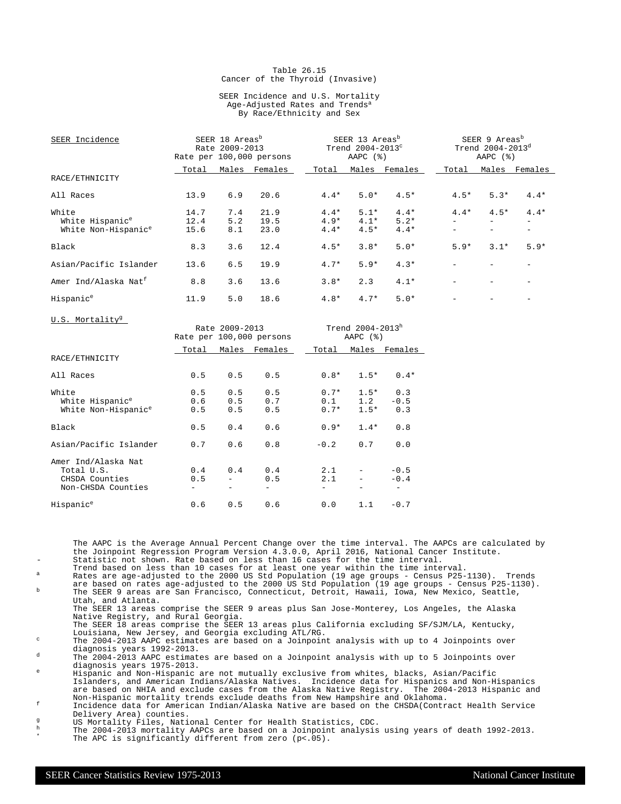### Table 26.15 Cancer of the Thyroid (Invasive)

### SEER Incidence and U.S. Mortality Age-Adjusted Rates and Trends<sup>a</sup> By Race/Ethnicity and Sex

| SEER Incidence                   | SEER 18 Areas <sup>b</sup><br>Rate 2009-2013<br>Rate per 100,000 persons |       |         | SEER 13 Areas <sup>b</sup><br>Trend 2004-2013 <sup>c</sup><br>AAPC $(%)$ |        |         | SEER 9 Areas <sup>b</sup><br>Trend $2004 - 2013^d$<br>AAPC $(%)$ |        |         |
|----------------------------------|--------------------------------------------------------------------------|-------|---------|--------------------------------------------------------------------------|--------|---------|------------------------------------------------------------------|--------|---------|
|                                  | Total                                                                    | Males | Females | Total                                                                    | Males  | Females | Total                                                            | Males  | Females |
| RACE/ETHNICITY                   |                                                                          |       |         |                                                                          |        |         |                                                                  |        |         |
| All Races                        | 13.9                                                                     | 6.9   | 20.6    | $4.4*$                                                                   | $5.0*$ | $4.5*$  | $4.5*$                                                           | $5.3*$ | $4.4*$  |
| White                            | 14.7                                                                     | 7.4   | 21.9    | $4.4*$                                                                   | $5.1*$ | $4.4*$  | $4.4*$                                                           | $4.5*$ | $4.4*$  |
| White Hispanic <sup>e</sup>      | 12.4                                                                     | 5.2   | 19.5    | $4.9*$                                                                   | $4.1*$ | $5.2*$  |                                                                  |        |         |
| White Non-Hispanic <sup>e</sup>  | 15.6                                                                     | 8.1   | 23.0    | $4.4*$                                                                   | $4.5*$ | $4.4*$  |                                                                  |        |         |
| Black                            | 8.3                                                                      | 3.6   | 12.4    | $4.5*$                                                                   | $3.8*$ | $5.0*$  | $5.9*$                                                           | $3.1*$ | $5.9*$  |
| Asian/Pacific Islander           | 13.6                                                                     | 6.5   | 19.9    | $4.7*$                                                                   | $5.9*$ | $4.3*$  |                                                                  |        |         |
| Amer Ind/Alaska Nat <sup>f</sup> | 8.8                                                                      | 3.6   | 13.6    | $3.8*$                                                                   | 2.3    | $4.1*$  |                                                                  |        |         |
| Hispanic <sup>e</sup>            | 11.9                                                                     | 5.0   | 18.6    | $4.8*$                                                                   | $4.7*$ | $5.0*$  |                                                                  |        |         |
| U.S. Mortality <sup>g</sup>      |                                                                          |       |         |                                                                          |        |         |                                                                  |        |         |

| 0.0. MOLLGILLY                                                            |                   | Rate 2009-2013    | Rate per 100,000 persons |                         | Trend 2004-2013h<br>AAPC $(%)$ |                                              |  |  |
|---------------------------------------------------------------------------|-------------------|-------------------|--------------------------|-------------------------|--------------------------------|----------------------------------------------|--|--|
|                                                                           | Total             |                   | Males Females            | Total                   |                                | Males Females                                |  |  |
| RACE/ETHNICITY                                                            |                   |                   |                          |                         |                                |                                              |  |  |
| All Races                                                                 | 0.5               | 0.5               | 0.5                      | $0.8*$                  | $1.5*$                         | $0.4*$                                       |  |  |
| White<br>White Hispanic <sup>e</sup><br>White Non-Hispanic <sup>e</sup>   | 0.5<br>0.6<br>0.5 | 0.5<br>0.5<br>0.5 | 0.5<br>0.7<br>0.5        | $0.7*$<br>0.1<br>$0.7*$ | $1.5*$<br>1.2<br>$1.5*$        | 0.3<br>$-0.5$<br>0.3                         |  |  |
| Black                                                                     | 0.5               | 0.4               | 0.6                      | $0.9*$                  | $1.4*$                         | 0.8                                          |  |  |
| Asian/Pacific Islander                                                    | 0.7               | 0.6               | 0.8                      | $-0.2$                  | 0.7                            | 0.0                                          |  |  |
| Amer Ind/Alaska Nat<br>Total U.S.<br>CHSDA Counties<br>Non-CHSDA Counties | 0.4<br>0.5        | 0.4               | 0.4<br>0.5               | 2.1<br>2.1              |                                | $-0.5$<br>$-0.4$<br>$\overline{\phantom{a}}$ |  |  |
| Hispanic <sup>e</sup>                                                     | 0.6               | 0.5               | 0.6                      | 0.0                     | 1.1                            | $-0.7$                                       |  |  |

The AAPC is the Average Annual Percent Change over the time interval. The AAPCs are calculated by the Joinpoint Regression Program Version 4.3.0.0, April 2016, National Cancer Institute. Statistic not shown. Rate based on less than 16 cases for the time interval.

Trend based on less than 10 cases for at least one year within the time interval.

<sup>a</sup> Rates are age-adjusted to the 2000 US Std Population (19 age groups - Census P25-1130). Trends are based on rates age-adjusted to the 2000 US Std Population (19 age groups - Census P25-1130). <sup>b</sup> The SEER 9 areas are San Francisco, Connecticut, Detroit, Hawaii, Iowa, New Mexico, Seattle, Utah, and Atlanta.

The SEER 13 areas comprise the SEER 9 areas plus San Jose-Monterey, Los Angeles, the Alaska Native Registry, and Rural Georgia.

The SEER 18 areas comprise the SEER 13 areas plus California excluding SF/SJM/LA, Kentucky,

Louisiana, New Jersey, and Georgia excluding ATL/RG. <sup>c</sup> The 2004-2013 AAPC estimates are based on a Joinpoint analysis with up to 4 Joinpoints over diagnosis years 1992-2013.

<sup>d</sup> The 2004-2013 AAPC estimates are based on a Joinpoint analysis with up to 5 Joinpoints over diagnosis years 1975-2013.

<sup>e</sup> Hispanic and Non-Hispanic are not mutually exclusive from whites, blacks, Asian/Pacific Islanders, and American Indians/Alaska Natives. Incidence data for Hispanics and Non-Hispanics are based on NHIA and exclude cases from the Alaska Native Registry. The 2004-2013 Hispanic and Non-Hispanic mortality trends exclude deaths from New Hampshire and Oklahoma.

<sup>f</sup> Incidence data for American Indian/Alaska Native are based on the CHSDA(Contract Health Service Delivery Area) counties.

g<br>
US Mortality Files, National Center for Health Statistics, CDC.<br>
The 2004-2012 metality ADGs are based an a Joinnaint applying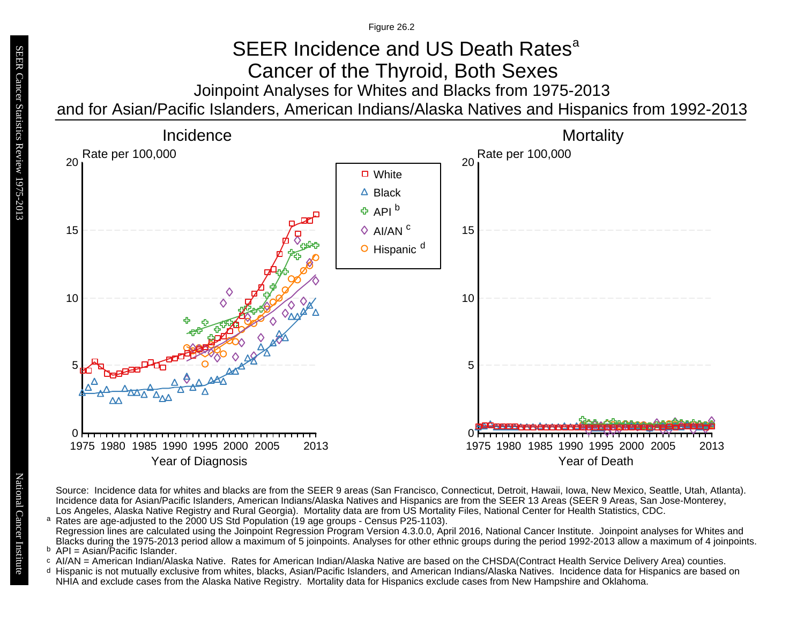Figure 26.2

# Joinpoint Analyses for Whites and Blacks from 1975-2013 and for Asian/Pacific Islanders, American Indians/Alaska Natives and Hispanics from 1992-2013 SEER Incidence and US Death Rates<sup>a</sup> Cancer of the Thyroid, Both Sexes

![](_page_61_Figure_2.jpeg)

Source: Incidence data for whites and blacks are from the SEER 9 areas (San Francisco, Connecticut, Detroit, Hawaii, Iowa, New Mexico, Seattle, Utah, Atlanta). Incidence data for Asian/Pacific Islanders, American Indians/Alaska Natives and Hispanics are from the SEER 13 Areas (SEER 9 Areas, San Jose-Monterey, Los Angeles, Alaska Native Registry and Rural Georgia). Mortality data are from US Mortality Files, National Center for Health Statistics, CDC. <sup>a</sup> Rates are age-adjusted to the 2000 US Std Population (19 age groups - Census P25-1103).

- <sup>b</sup> API = Asian/Pacific Islander.<br>○ AI/AN = American Indian/Ala AI/AN = American Indian/Alaska Native. Rates for American Indian/Alaska Native are based on the CHSDA(Contract Health Service Delivery Area) counties.
- Hispanic is not mutually exclusive from whites, blacks, Asian/Pacific Islanders, and American Indians/Alaska Natives. Incidence data for Hispanics are based on NHIA and exclude cases from the Alaska Native Registry. Mortality data for Hispanics exclude cases from New Hampshire and Oklahoma. a<br>b<br>d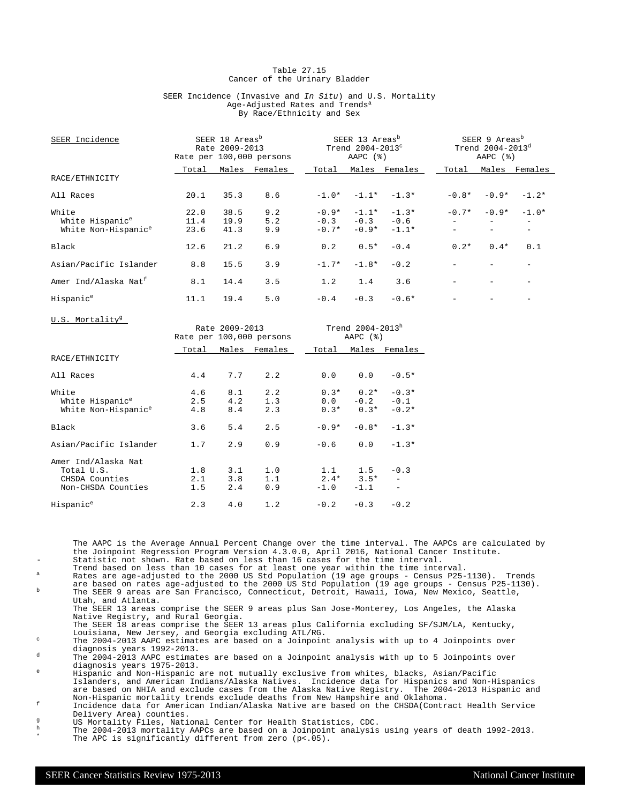### Table 27.15 Cancer of the Urinary Bladder

### SEER Incidence (Invasive and In Situ) and U.S. Mortality Age-Adjusted Rates and Trends<sup>a</sup> By Race/Ethnicity and Sex

| SEER Incidence                   | SEER 18 Areas <sup>b</sup><br>Rate 2009-2013<br>Rate per 100,000 persons |       | SEER 13 Areas <sup>b</sup><br>Trend 2004-2013 <sup>c</sup><br>AAPC (%) |         |         |         | SEER 9 Areas <sup>b</sup><br>Trend 2004-2013 <sup>d</sup><br>AAPC $(%)$ |         |         |
|----------------------------------|--------------------------------------------------------------------------|-------|------------------------------------------------------------------------|---------|---------|---------|-------------------------------------------------------------------------|---------|---------|
|                                  | Total                                                                    | Males | Females                                                                | Total   | Males   | Females | Total                                                                   | Males   | Females |
| RACE/ETHNICITY                   |                                                                          |       |                                                                        |         |         |         |                                                                         |         |         |
| All Races                        | 20.1                                                                     | 35.3  | 8.6                                                                    | $-1.0*$ | $-1.1*$ | $-1.3*$ | $-0.8*$                                                                 | $-0.9*$ | $-1.2*$ |
| White                            | 22.0                                                                     | 38.5  | 9.2                                                                    | $-0.9*$ | $-1.1*$ | $-1.3*$ | $-0.7*$                                                                 | $-0.9*$ | $-1.0*$ |
| White Hispanic <sup>e</sup>      | 11.4                                                                     | 19.9  | 5.2                                                                    | $-0.3$  | $-0.3$  | $-0.6$  |                                                                         |         |         |
| White Non-Hispanic <sup>e</sup>  | 23.6                                                                     | 41.3  | 9.9                                                                    | $-0.7*$ | $-0.9*$ | $-1.1*$ |                                                                         |         |         |
| Black                            | 12.6                                                                     | 21.2  | 6.9                                                                    | 0.2     | $0.5*$  | $-0.4$  | $0.2*$                                                                  | $0.4*$  | 0.1     |
| Asian/Pacific Islander           | 8.8                                                                      | 15.5  | 3.9                                                                    | $-1.7*$ | $-1.8*$ | $-0.2$  |                                                                         |         |         |
| Amer Ind/Alaska Nat <sup>f</sup> | 8.1                                                                      | 14.4  | 3.5                                                                    | 1.2     | 1.4     | 3.6     |                                                                         |         |         |
| Hispanic <sup>e</sup>            | 11.1                                                                     | 19.4  | 5.0                                                                    | $-0.4$  | $-0.3$  | $-0.6*$ |                                                                         |         |         |

Rate 2009-2013 Trend 2004-2013h

U.S. Mortality<sup>g</sup>

|                                                                |            |            | Rate per 100,000 persons |         | AAPC $(%)$              |                   |  |  |
|----------------------------------------------------------------|------------|------------|--------------------------|---------|-------------------------|-------------------|--|--|
|                                                                | Total      |            | Males Females            | Total   |                         | Males Females     |  |  |
| RACE/ETHNICITY                                                 |            |            |                          |         |                         |                   |  |  |
| All Races                                                      | 4.4        | 7.7        | 2.2                      | 0.0     | 0.0                     | $-0.5*$           |  |  |
| White                                                          | 4.6        | 8.1        | 2.2                      |         | $0.3*$ $0.2*$           | $-0.3*$           |  |  |
| White Hispanic <sup>e</sup><br>White Non-Hispanic <sup>e</sup> | 2.5<br>4.8 | 4.2<br>8.4 | 1.3<br>2.3               | 0.0     | $-0.2$<br>$0.3*$ $0.3*$ | $-0.1$<br>$-0.2*$ |  |  |
|                                                                |            |            |                          |         |                         |                   |  |  |
| Black                                                          | 3.6        | 5.4        | 2.5                      | $-0.9*$ | $-0.8*$                 | $-1.3*$           |  |  |
| Asian/Pacific Islander                                         | 1.7        | 2.9        | 0.9                      | $-0.6$  | 0.0                     | $-1.3*$           |  |  |
| Amer Ind/Alaska Nat                                            |            |            |                          |         |                         |                   |  |  |
| Total U.S.                                                     | 1.8        | 3.1        | 1.0                      | 1.1     | 1.5                     | $-0.3$            |  |  |
| CHSDA Counties                                                 | 2.1        | 3.8        | 1.1                      |         | $2.4*$ 3.5*             | $\sim$            |  |  |
| Non-CHSDA Counties                                             | 1.5        | 2.4        | 0.9                      | $-1.0$  | $-1.1$                  | $\equiv$          |  |  |
| Hispanic <sup>e</sup>                                          | 2.3        | 4.0        | 1.2                      | $-0.2$  | $-0.3$                  | $-0.2$            |  |  |

The AAPC is the Average Annual Percent Change over the time interval. The AAPCs are calculated by the Joinpoint Regression Program Version 4.3.0.0, April 2016, National Cancer Institute. Statistic not shown. Rate based on less than 16 cases for the time interval.

Trend based on less than 10 cases for at least one year within the time interval.

a Rates are age-adjusted to the 2000 US Std Population (19 age groups - Census P25-1130). Trends are based on rates age-adjusted to the 2000 US Std Population (19 age groups - Census P25-1130). <sup>b</sup> The SEER 9 areas are San Francisco, Connecticut, Detroit, Hawaii, Iowa, New Mexico, Seattle, Utah, and Atlanta.

The SEER 13 areas comprise the SEER 9 areas plus San Jose-Monterey, Los Angeles, the Alaska Native Registry, and Rural Georgia.

The SEER 18 areas comprise the SEER 13 areas plus California excluding SF/SJM/LA, Kentucky,

Louisiana, New Jersey, and Georgia excluding ATL/RG. <sup>c</sup> The 2004-2013 AAPC estimates are based on a Joinpoint analysis with up to 4 Joinpoints over diagnosis years 1992-2013.

<sup>d</sup> The 2004-2013 AAPC estimates are based on a Joinpoint analysis with up to 5 Joinpoints over diagnosis years 1975-2013.

<sup>e</sup> Hispanic and Non-Hispanic are not mutually exclusive from whites, blacks, Asian/Pacific Islanders, and American Indians/Alaska Natives. Incidence data for Hispanics and Non-Hispanics are based on NHIA and exclude cases from the Alaska Native Registry. The 2004-2013 Hispanic and Non-Hispanic mortality trends exclude deaths from New Hampshire and Oklahoma.

<sup>f</sup> Incidence data for American Indian/Alaska Native are based on the CHSDA(Contract Health Service Delivery Area) counties.

<sup>g</sup> US Mortality Files, National Center for Health Statistics, CDC.<br>h The 2004 2012 mentality APOs are based an a Joinnaint applysis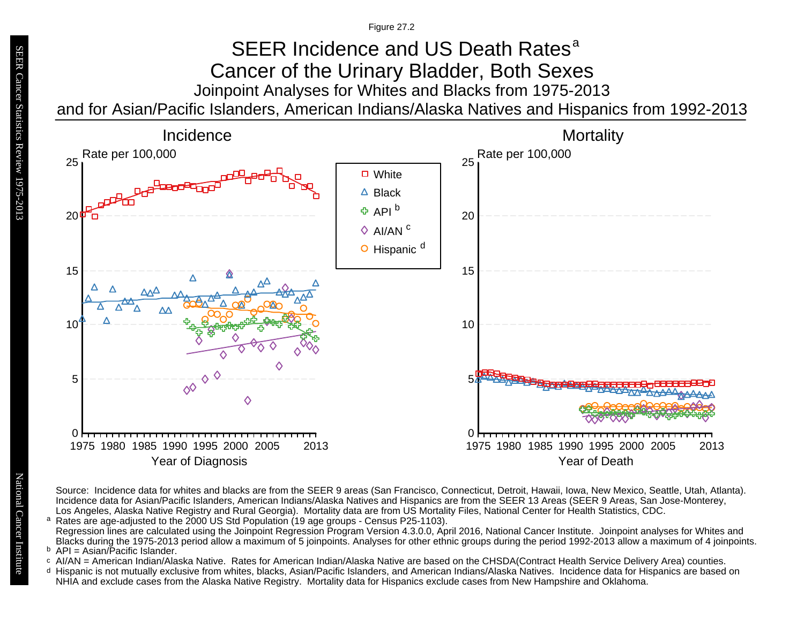Figure 27.2

# Joinpoint Analyses for Whites and Blacks from 1975-2013 SEER Incidence and US Death Rates<sup>a</sup> Cancer of the Urinary Bladder, Both Sexes

and for Asian/Pacific Islanders, American Indians/Alaska Natives and Hispanics from 1992-2013

![](_page_63_Figure_3.jpeg)

Source: Incidence data for whites and blacks are from the SEER 9 areas (San Francisco, Connecticut, Detroit, Hawaii, Iowa, New Mexico, Seattle, Utah, Atlanta). Incidence data for Asian/Pacific Islanders, American Indians/Alaska Natives and Hispanics are from the SEER 13 Areas (SEER 9 Areas, San Jose-Monterey, Los Angeles, Alaska Native Registry and Rural Georgia). Mortality data are from US Mortality Files, National Center for Health Statistics, CDC. <sup>a</sup> Rates are age-adjusted to the 2000 US Std Population (19 age groups - Census P25-1103).

Regression lines are calculated using the Joinpoint Regression Program Version 4.3.0.0, April 2016, National Cancer Institute. Joinpoint analyses for Whites and Blacks during the 1975-2013 period allow a maximum of 5 joinpoints. Analyses for other ethnic groups during the period 1992-2013 allow a maximum of 4 joinpoints.

<sup>b</sup> API = Asian/Pacific Islander.<br>○ AI/AN = American Indian/Ala AI/AN = American Indian/Alaska Native. Rates for American Indian/Alaska Native are based on the CHSDA(Contract Health Service Delivery Area) counties.

Hispanic is not mutually exclusive from whites, blacks, Asian/Pacific Islanders, and American Indians/Alaska Natives. Incidence data for Hispanics are based on NHIA and exclude cases from the Alaska Native Registry. Mortality data for Hispanics exclude cases from New Hampshire and Oklahoma. a<br>b<br>d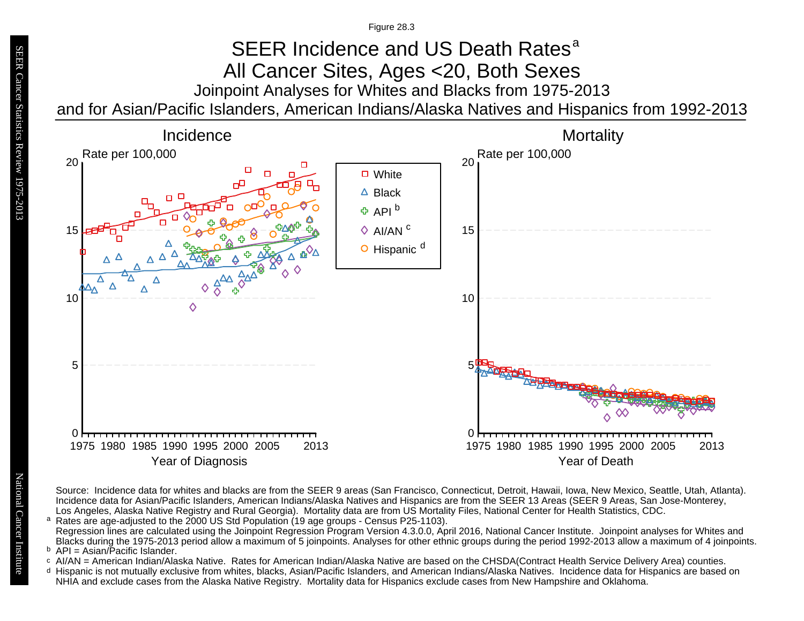Figure 28.3

# Joinpoint Analyses for Whites and Blacks from 1975-2013 SEER Incidence and US Death Rates<sup>a</sup> All Cancer Sites, Ages <20, Both Sexes

and for Asian/Pacific Islanders, American Indians/Alaska Natives and Hispanics from 1992-2013

![](_page_64_Figure_3.jpeg)

Source: Incidence data for whites and blacks are from the SEER 9 areas (San Francisco, Connecticut, Detroit, Hawaii, Iowa, New Mexico, Seattle, Utah, Atlanta). Incidence data for Asian/Pacific Islanders, American Indians/Alaska Natives and Hispanics are from the SEER 13 Areas (SEER 9 Areas, San Jose-Monterey, Los Angeles, Alaska Native Registry and Rural Georgia). Mortality data are from US Mortality Files, National Center for Health Statistics, CDC. <sup>a</sup> Rates are age-adjusted to the 2000 US Std Population (19 age groups - Census P25-1103).

- <sup>b</sup> API = Asian/Pacific Islander.<br>○ AI/AN = American Indian/Ala AI/AN = American Indian/Alaska Native. Rates for American Indian/Alaska Native are based on the CHSDA(Contract Health Service Delivery Area) counties.
- Hispanic is not mutually exclusive from whites, blacks, Asian/Pacific Islanders, and American Indians/Alaska Natives. Incidence data for Hispanics are based on NHIA and exclude cases from the Alaska Native Registry. Mortality data for Hispanics exclude cases from New Hampshire and Oklahoma. a<br>b<br>d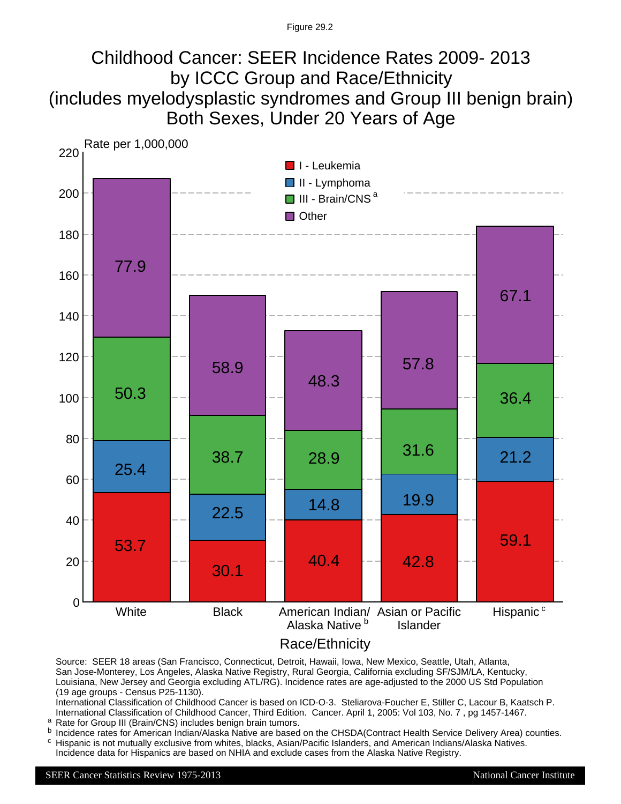## Childhood Cancer: SEER Incidence Rates 2009- 2013 by ICCC Group and Race/Ethnicity (includes myelodysplastic syndromes and Group III benign brain) Both Sexes, Under 20 Years of Age

![](_page_65_Figure_2.jpeg)

# Source: SEER 18 areas (San Francisco, Connecticut, Detroit, Hawaii, Iowa, New Mexico, Seattle, Utah, Atlanta,

San Jose-Monterey, Los Angeles, Alaska Native Registry, Rural Georgia, California excluding SF/SJM/LA, Kentucky, Louisiana, New Jersey and Georgia excluding ATL/RG). Incidence rates are age-adjusted to the 2000 US Std Population (19 age groups - Census P25-1130).

International Classification of Childhood Cancer is based on ICD-O-3. Steliarova-Foucher E, Stiller C, Lacour B, Kaatsch P. International Classification of Childhood Cancer, Third Edition. Cancer. April 1, 2005: Vol 103, No. 7 , pg 1457-1467.

<sup>a</sup> Rate for Group III (Brain/CNS) includes benign brain tumors.

<sup>b</sup> Incidence rates for American Indian/Alaska Native are based on the CHSDA(Contract Health Service Delivery Area) counties.  $\circ$  Hispanic is not mutually exclusive from whites, blacks, Asian/Pacific Islanders, and American Indians/Alaska Natives.

Incidence data for Hispanics are based on NHIA and exclude cases from the Alaska Native Registry.